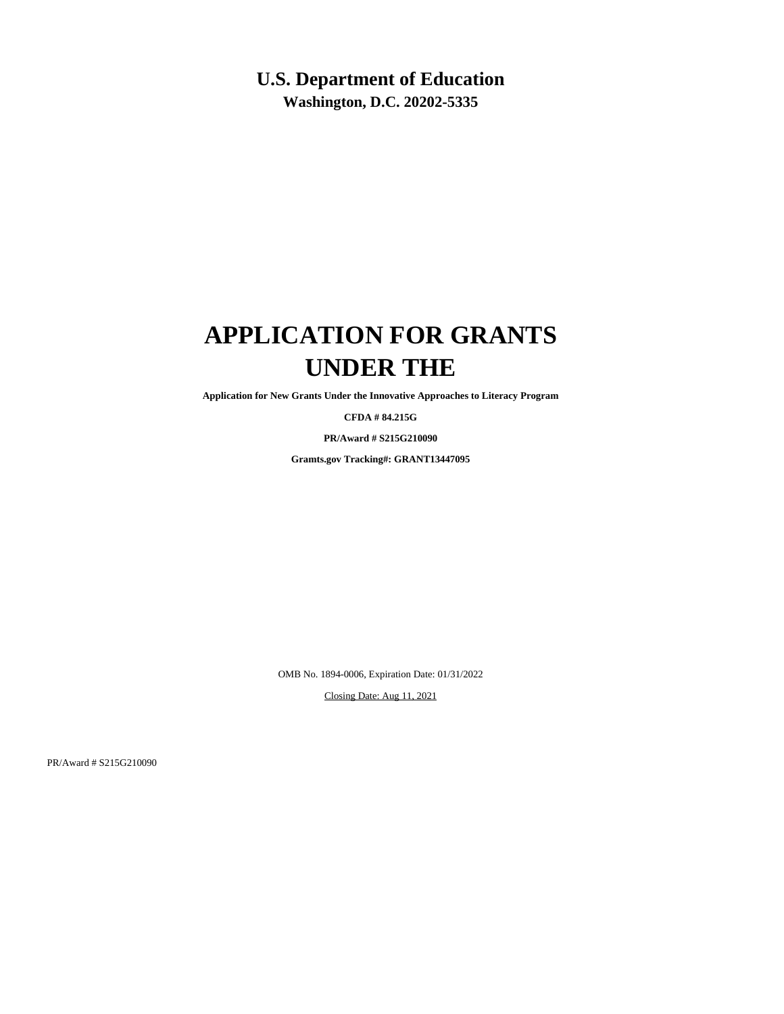### **U.S. Department of Education**

**Washington, D.C. 20202-5335**

# **APPLICATION FOR GRANTS UNDER THE**

**Application for New Grants Under the Innovative Approaches to Literacy Program**

**CFDA # 84.215G**

**PR/Award # S215G210090**

**Gramts.gov Tracking#: GRANT13447095**

OMB No. 1894-0006, Expiration Date: 01/31/2022

Closing Date: Aug 11, 2021

PR/Award # S215G210090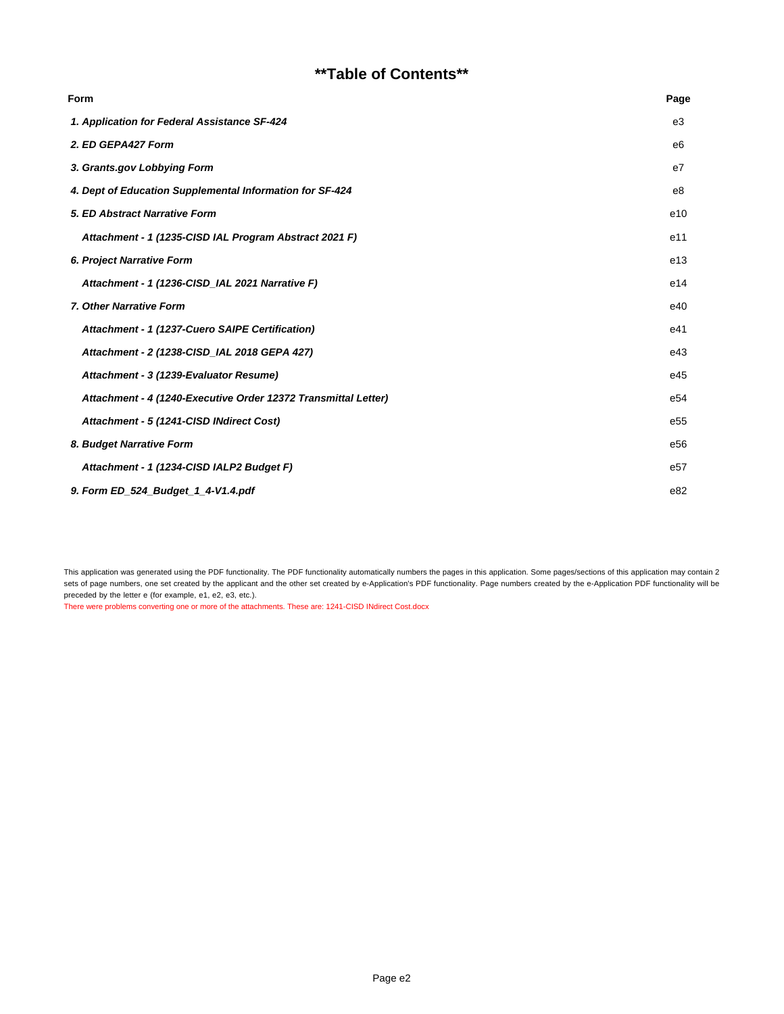### **\*\*Table of Contents\*\***

| <b>Form</b>                                                    | Page |
|----------------------------------------------------------------|------|
| 1. Application for Federal Assistance SF-424                   | e3   |
| 2. ED GEPA427 Form                                             | e6   |
| 3. Grants.gov Lobbying Form                                    | e7   |
| 4. Dept of Education Supplemental Information for SF-424       | e8   |
| 5. ED Abstract Narrative Form                                  | e10  |
| Attachment - 1 (1235-CISD IAL Program Abstract 2021 F)         | e11  |
| 6. Project Narrative Form                                      | e13  |
| Attachment - 1 (1236-CISD IAL 2021 Narrative F)                | e14  |
| 7. Other Narrative Form                                        | e40  |
| Attachment - 1 (1237-Cuero SAIPE Certification)                | e41  |
| Attachment - 2 (1238-CISD_IAL 2018 GEPA 427)                   | e43  |
| Attachment - 3 (1239-Evaluator Resume)                         | e45  |
| Attachment - 4 (1240-Executive Order 12372 Transmittal Letter) | e54  |
| Attachment - 5 (1241-CISD INdirect Cost)                       | e55  |
| 8. Budget Narrative Form                                       | e56  |
| Attachment - 1 (1234-CISD IALP2 Budget F)                      | e57  |
| 9. Form ED 524 Budget 1 4-V1.4.pdf                             | e82  |

This application was generated using the PDF functionality. The PDF functionality automatically numbers the pages in this application. Some pages/sections of this application may contain 2 sets of page numbers, one set created by the applicant and the other set created by e-Application's PDF functionality. Page numbers created by the e-Application PDF functionality will be preceded by the letter e (for example, e1, e2, e3, etc.).

There were problems converting one or more of the attachments. These are: 1241-CISD INdirect Cost.docx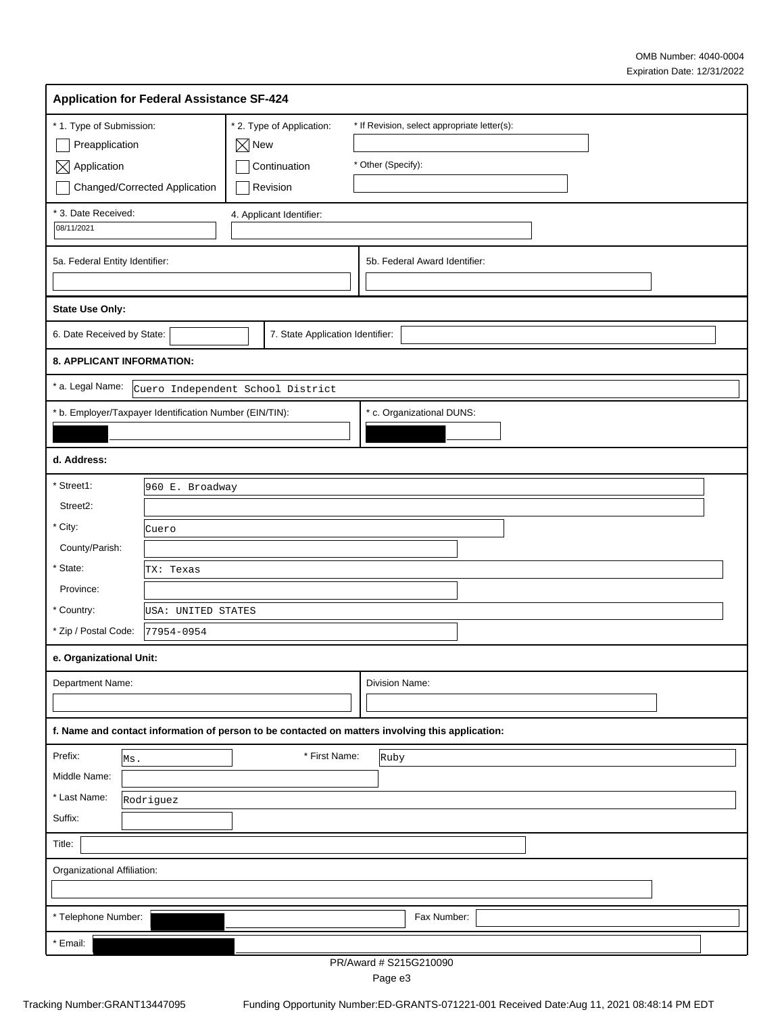| <b>Application for Federal Assistance SF-424</b>                                                       |                                                                          |                                                                                                                                                                                                                                                                                                                                                                                      |
|--------------------------------------------------------------------------------------------------------|--------------------------------------------------------------------------|--------------------------------------------------------------------------------------------------------------------------------------------------------------------------------------------------------------------------------------------------------------------------------------------------------------------------------------------------------------------------------------|
| * 1. Type of Submission:<br>Preapplication<br>$\boxtimes$ Application<br>Changed/Corrected Application | * 2. Type of Application:<br>$\boxtimes$ New<br>Continuation<br>Revision | * If Revision, select appropriate letter(s):<br>* Other (Specify):                                                                                                                                                                                                                                                                                                                   |
| * 3. Date Received:<br>08/11/2021                                                                      | 4. Applicant Identifier:                                                 |                                                                                                                                                                                                                                                                                                                                                                                      |
| 5a. Federal Entity Identifier:                                                                         |                                                                          | 5b. Federal Award Identifier:                                                                                                                                                                                                                                                                                                                                                        |
| <b>State Use Only:</b>                                                                                 |                                                                          |                                                                                                                                                                                                                                                                                                                                                                                      |
| 6. Date Received by State:                                                                             | 7. State Application Identifier:                                         |                                                                                                                                                                                                                                                                                                                                                                                      |
| 8. APPLICANT INFORMATION:                                                                              |                                                                          |                                                                                                                                                                                                                                                                                                                                                                                      |
| * a. Legal Name:                                                                                       | Cuero Independent School District                                        |                                                                                                                                                                                                                                                                                                                                                                                      |
| * b. Employer/Taxpayer Identification Number (EIN/TIN):                                                |                                                                          | * c. Organizational DUNS:                                                                                                                                                                                                                                                                                                                                                            |
|                                                                                                        |                                                                          |                                                                                                                                                                                                                                                                                                                                                                                      |
| d. Address:                                                                                            |                                                                          |                                                                                                                                                                                                                                                                                                                                                                                      |
| * Street1:<br>960 E. Broadway                                                                          |                                                                          |                                                                                                                                                                                                                                                                                                                                                                                      |
| Street2:                                                                                               |                                                                          |                                                                                                                                                                                                                                                                                                                                                                                      |
| * City:<br>Cuero                                                                                       |                                                                          |                                                                                                                                                                                                                                                                                                                                                                                      |
| County/Parish:                                                                                         |                                                                          |                                                                                                                                                                                                                                                                                                                                                                                      |
| * State:<br>TX: Texas                                                                                  |                                                                          |                                                                                                                                                                                                                                                                                                                                                                                      |
| Province:                                                                                              |                                                                          |                                                                                                                                                                                                                                                                                                                                                                                      |
| * Country:<br>USA: UNITED STATES                                                                       |                                                                          |                                                                                                                                                                                                                                                                                                                                                                                      |
| * Zip / Postal Code:<br>77954-0954                                                                     |                                                                          |                                                                                                                                                                                                                                                                                                                                                                                      |
| e. Organizational Unit:                                                                                |                                                                          |                                                                                                                                                                                                                                                                                                                                                                                      |
| Department Name:                                                                                       |                                                                          | Division Name:                                                                                                                                                                                                                                                                                                                                                                       |
|                                                                                                        |                                                                          |                                                                                                                                                                                                                                                                                                                                                                                      |
| f. Name and contact information of person to be contacted on matters involving this application:       |                                                                          |                                                                                                                                                                                                                                                                                                                                                                                      |
| Prefix:<br>Ms.                                                                                         | * First Name:                                                            | Ruby                                                                                                                                                                                                                                                                                                                                                                                 |
| Middle Name:                                                                                           |                                                                          |                                                                                                                                                                                                                                                                                                                                                                                      |
| * Last Name:<br>Rodriguez                                                                              |                                                                          |                                                                                                                                                                                                                                                                                                                                                                                      |
| Suffix:                                                                                                |                                                                          |                                                                                                                                                                                                                                                                                                                                                                                      |
| Title:                                                                                                 |                                                                          |                                                                                                                                                                                                                                                                                                                                                                                      |
| Organizational Affiliation:                                                                            |                                                                          |                                                                                                                                                                                                                                                                                                                                                                                      |
|                                                                                                        |                                                                          |                                                                                                                                                                                                                                                                                                                                                                                      |
| * Telephone Number:                                                                                    |                                                                          | Fax Number:                                                                                                                                                                                                                                                                                                                                                                          |
| * Email:                                                                                               | DD/4                                                                     | $\overline{1}$ $\overline{1}$ $\overline{0}$ $\overline{0}$ $\overline{1}$ $\overline{0}$ $\overline{0}$ $\overline{0}$ $\overline{0}$ $\overline{0}$ $\overline{0}$ $\overline{0}$ $\overline{0}$ $\overline{0}$ $\overline{0}$ $\overline{0}$ $\overline{0}$ $\overline{0}$ $\overline{0}$ $\overline{0}$ $\overline{0}$ $\overline{0}$ $\overline{0}$ $\overline{0}$ $\overline{$ |

PR/Award # S215G210090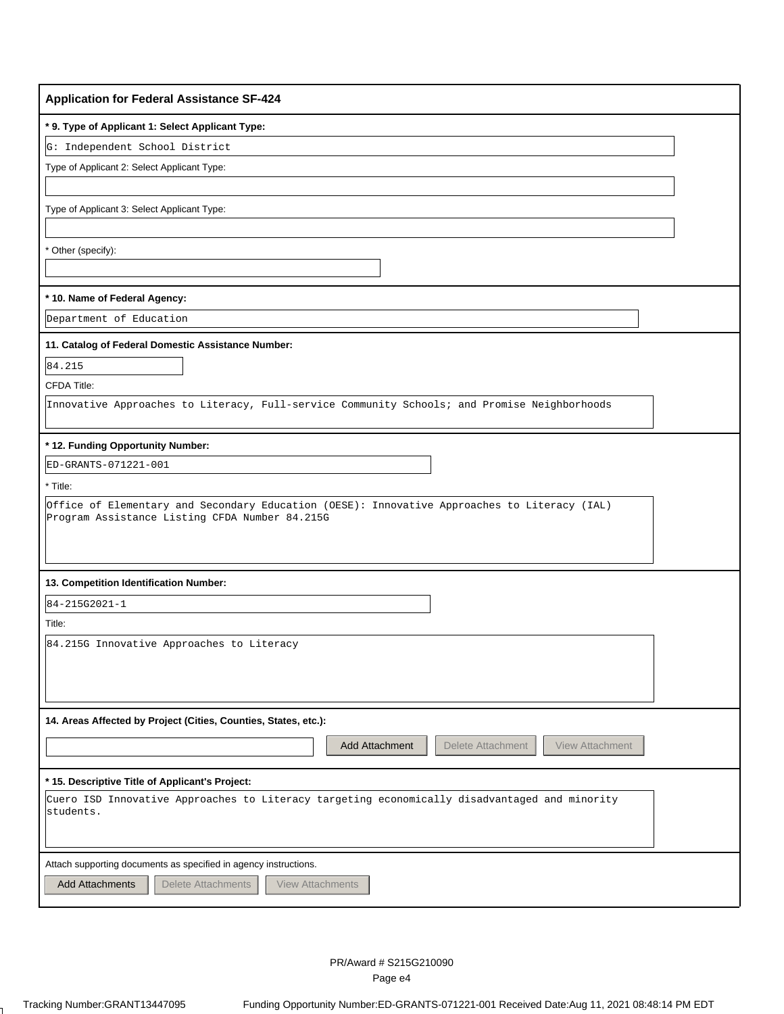| <b>Application for Federal Assistance SF-424</b>                                                                                               |
|------------------------------------------------------------------------------------------------------------------------------------------------|
| * 9. Type of Applicant 1: Select Applicant Type:                                                                                               |
| G: Independent School District                                                                                                                 |
| Type of Applicant 2: Select Applicant Type:                                                                                                    |
|                                                                                                                                                |
| Type of Applicant 3: Select Applicant Type:                                                                                                    |
|                                                                                                                                                |
| Other (specify):                                                                                                                               |
|                                                                                                                                                |
| * 10. Name of Federal Agency:                                                                                                                  |
| Department of Education                                                                                                                        |
| 11. Catalog of Federal Domestic Assistance Number:                                                                                             |
| 84.215                                                                                                                                         |
| CFDA Title:                                                                                                                                    |
| Innovative Approaches to Literacy, Full-service Community Schools; and Promise Neighborhoods                                                   |
|                                                                                                                                                |
| * 12. Funding Opportunity Number:                                                                                                              |
| ED-GRANTS-071221-001                                                                                                                           |
| * Title:                                                                                                                                       |
| Office of Elementary and Secondary Education (OESE): Innovative Approaches to Literacy (IAL)<br>Program Assistance Listing CFDA Number 84.215G |
| 13. Competition Identification Number:                                                                                                         |
| 84-215G2021-1                                                                                                                                  |
| Title:                                                                                                                                         |
| 84.215G Innovative Approaches to Literacy                                                                                                      |
|                                                                                                                                                |
|                                                                                                                                                |
|                                                                                                                                                |
| 14. Areas Affected by Project (Cities, Counties, States, etc.):                                                                                |
| Add Attachment<br>Delete Attachment<br>View Attachment                                                                                         |
| * 15. Descriptive Title of Applicant's Project:                                                                                                |
| Cuero ISD Innovative Approaches to Literacy targeting economically disadvantaged and minority                                                  |
| students.                                                                                                                                      |
|                                                                                                                                                |
| Attach supporting documents as specified in agency instructions.                                                                               |
| <b>Add Attachments</b><br><b>Delete Attachments</b><br><b>View Attachments</b>                                                                 |
|                                                                                                                                                |

 $\mathbf{L}$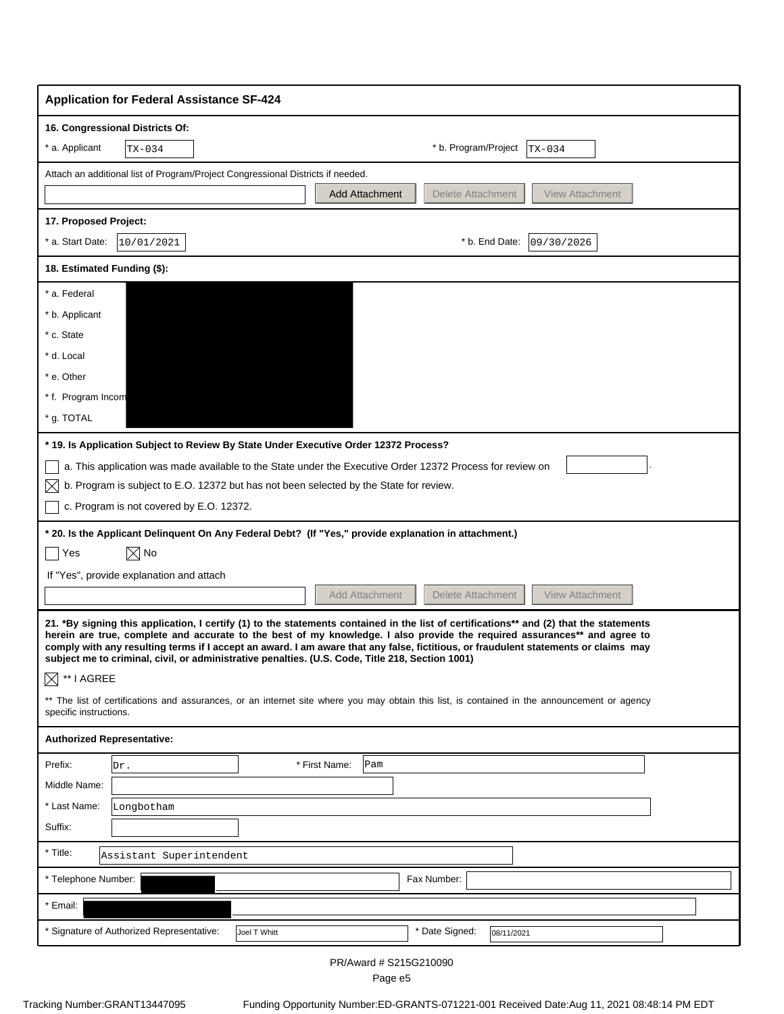| <b>Application for Federal Assistance SF-424</b>                                                                                                                                                                                                                                                                                                                                                                                                                                                                                                                                                                                                                                                                     |
|----------------------------------------------------------------------------------------------------------------------------------------------------------------------------------------------------------------------------------------------------------------------------------------------------------------------------------------------------------------------------------------------------------------------------------------------------------------------------------------------------------------------------------------------------------------------------------------------------------------------------------------------------------------------------------------------------------------------|
| 16. Congressional Districts Of:<br>* b. Program/Project<br>* a. Applicant<br>TX-034<br>TX-034                                                                                                                                                                                                                                                                                                                                                                                                                                                                                                                                                                                                                        |
|                                                                                                                                                                                                                                                                                                                                                                                                                                                                                                                                                                                                                                                                                                                      |
| Attach an additional list of Program/Project Congressional Districts if needed.<br>Delete Attachment<br><b>View Attachment</b><br><b>Add Attachment</b>                                                                                                                                                                                                                                                                                                                                                                                                                                                                                                                                                              |
|                                                                                                                                                                                                                                                                                                                                                                                                                                                                                                                                                                                                                                                                                                                      |
| 17. Proposed Project:<br>* a. Start Date:<br>* b. End Date:<br>09/30/2026<br>10/01/2021                                                                                                                                                                                                                                                                                                                                                                                                                                                                                                                                                                                                                              |
|                                                                                                                                                                                                                                                                                                                                                                                                                                                                                                                                                                                                                                                                                                                      |
| 18. Estimated Funding (\$):                                                                                                                                                                                                                                                                                                                                                                                                                                                                                                                                                                                                                                                                                          |
| * a. Federal                                                                                                                                                                                                                                                                                                                                                                                                                                                                                                                                                                                                                                                                                                         |
| * b. Applicant                                                                                                                                                                                                                                                                                                                                                                                                                                                                                                                                                                                                                                                                                                       |
| * c. State<br>* d. Local                                                                                                                                                                                                                                                                                                                                                                                                                                                                                                                                                                                                                                                                                             |
| * e. Other                                                                                                                                                                                                                                                                                                                                                                                                                                                                                                                                                                                                                                                                                                           |
| * f. Program Incom                                                                                                                                                                                                                                                                                                                                                                                                                                                                                                                                                                                                                                                                                                   |
| * g. TOTAL                                                                                                                                                                                                                                                                                                                                                                                                                                                                                                                                                                                                                                                                                                           |
| * 19. Is Application Subject to Review By State Under Executive Order 12372 Process?                                                                                                                                                                                                                                                                                                                                                                                                                                                                                                                                                                                                                                 |
| a. This application was made available to the State under the Executive Order 12372 Process for review on                                                                                                                                                                                                                                                                                                                                                                                                                                                                                                                                                                                                            |
| b. Program is subject to E.O. 12372 but has not been selected by the State for review.<br>$\bowtie$                                                                                                                                                                                                                                                                                                                                                                                                                                                                                                                                                                                                                  |
| c. Program is not covered by E.O. 12372.                                                                                                                                                                                                                                                                                                                                                                                                                                                                                                                                                                                                                                                                             |
| * 20. Is the Applicant Delinquent On Any Federal Debt? (If "Yes," provide explanation in attachment.)                                                                                                                                                                                                                                                                                                                                                                                                                                                                                                                                                                                                                |
| $\boxtimes$ No<br>Yes                                                                                                                                                                                                                                                                                                                                                                                                                                                                                                                                                                                                                                                                                                |
| If "Yes", provide explanation and attach                                                                                                                                                                                                                                                                                                                                                                                                                                                                                                                                                                                                                                                                             |
| Delete Attachment<br><b>View Attachment</b><br><b>Add Attachment</b>                                                                                                                                                                                                                                                                                                                                                                                                                                                                                                                                                                                                                                                 |
| 21. *By signing this application, I certify (1) to the statements contained in the list of certifications** and (2) that the statements<br>herein are true, complete and accurate to the best of my knowledge. I also provide the required assurances** and agree to<br>comply with any resulting terms if I accept an award. I am aware that any false, fictitious, or fraudulent statements or claims may<br>subject me to criminal, civil, or administrative penalties. (U.S. Code, Title 218, Section 1001)<br>** I AGREE<br>$\bowtie$<br>** The list of certifications and assurances, or an internet site where you may obtain this list, is contained in the announcement or agency<br>specific instructions. |
| <b>Authorized Representative:</b>                                                                                                                                                                                                                                                                                                                                                                                                                                                                                                                                                                                                                                                                                    |
| Prefix:<br>* First Name:<br>Pam<br>Dr.                                                                                                                                                                                                                                                                                                                                                                                                                                                                                                                                                                                                                                                                               |
| Middle Name:                                                                                                                                                                                                                                                                                                                                                                                                                                                                                                                                                                                                                                                                                                         |
| * Last Name:<br>Longbotham                                                                                                                                                                                                                                                                                                                                                                                                                                                                                                                                                                                                                                                                                           |
| Suffix:                                                                                                                                                                                                                                                                                                                                                                                                                                                                                                                                                                                                                                                                                                              |
| * Title:<br>Assistant Superintendent                                                                                                                                                                                                                                                                                                                                                                                                                                                                                                                                                                                                                                                                                 |
| * Telephone Number:<br>Fax Number:                                                                                                                                                                                                                                                                                                                                                                                                                                                                                                                                                                                                                                                                                   |
| * Email:                                                                                                                                                                                                                                                                                                                                                                                                                                                                                                                                                                                                                                                                                                             |
| * Date Signed:<br>* Signature of Authorized Representative:<br>Joel T Whitt<br>08/11/2021                                                                                                                                                                                                                                                                                                                                                                                                                                                                                                                                                                                                                            |

PR/Award # S215G210090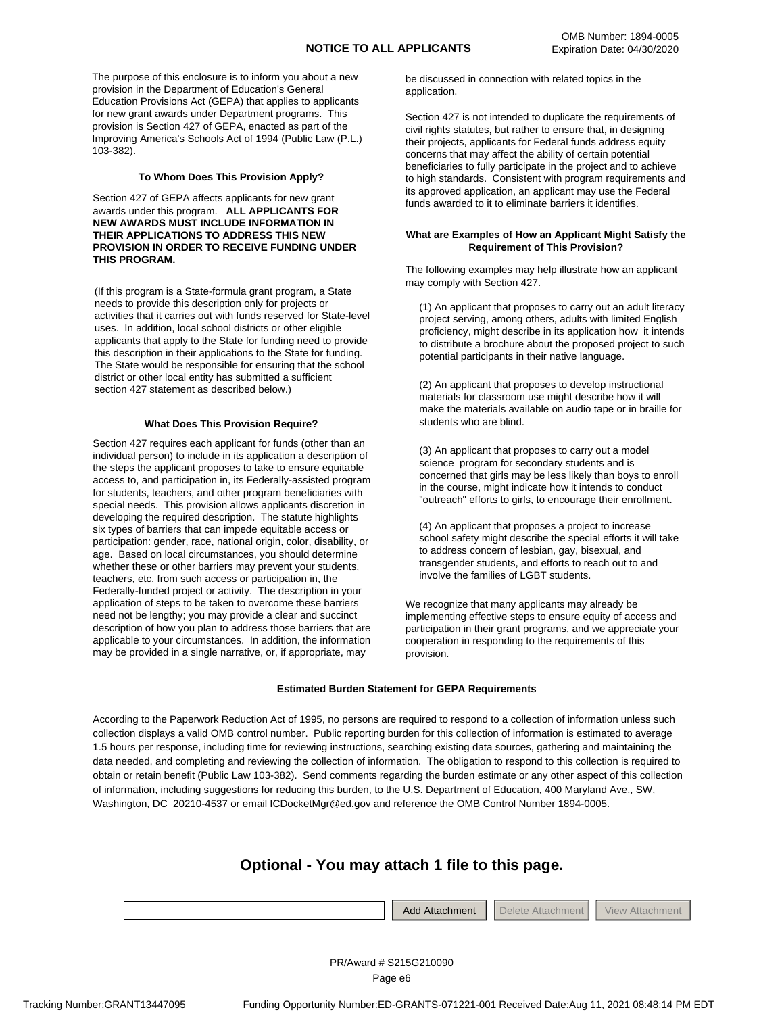The purpose of this enclosure is to inform you about a new provision in the Department of Education's General Education Provisions Act (GEPA) that applies to applicants for new grant awards under Department programs. This provision is Section 427 of GEPA, enacted as part of the Improving America's Schools Act of 1994 (Public Law (P.L.) 103-382).

#### **To Whom Does This Provision Apply?**

Section 427 of GEPA affects applicants for new grant awards under this program. **ALL APPLICANTS FOR NEW AWARDS MUST INCLUDE INFORMATION IN THEIR APPLICATIONS TO ADDRESS THIS NEW PROVISION IN ORDER TO RECEIVE FUNDING UNDER THIS PROGRAM.** 

(If this program is a State-formula grant program, a State needs to provide this description only for projects or activities that it carries out with funds reserved for State-level uses. In addition, local school districts or other eligible applicants that apply to the State for funding need to provide this description in their applications to the State for funding. The State would be responsible for ensuring that the school district or other local entity has submitted a sufficient section 427 statement as described below.)

#### **What Does This Provision Require?**

Section 427 requires each applicant for funds (other than an individual person) to include in its application a description of the steps the applicant proposes to take to ensure equitable access to, and participation in, its Federally-assisted program for students, teachers, and other program beneficiaries with special needs. This provision allows applicants discretion in developing the required description. The statute highlights six types of barriers that can impede equitable access or participation: gender, race, national origin, color, disability, or age. Based on local circumstances, you should determine whether these or other barriers may prevent your students, teachers, etc. from such access or participation in, the Federally-funded project or activity. The description in your application of steps to be taken to overcome these barriers need not be lengthy; you may provide a clear and succinct description of how you plan to address those barriers that are applicable to your circumstances. In addition, the information may be provided in a single narrative, or, if appropriate, may

be discussed in connection with related topics in the application.

Section 427 is not intended to duplicate the requirements of civil rights statutes, but rather to ensure that, in designing their projects, applicants for Federal funds address equity concerns that may affect the ability of certain potential beneficiaries to fully participate in the project and to achieve to high standards. Consistent with program requirements and its approved application, an applicant may use the Federal funds awarded to it to eliminate barriers it identifies.

#### **What are Examples of How an Applicant Might Satisfy the Requirement of This Provision?**

The following examples may help illustrate how an applicant may comply with Section 427.

(1) An applicant that proposes to carry out an adult literacy project serving, among others, adults with limited English proficiency, might describe in its application how it intends to distribute a brochure about the proposed project to such potential participants in their native language.

(2) An applicant that proposes to develop instructional materials for classroom use might describe how it will make the materials available on audio tape or in braille for students who are blind.

(3) An applicant that proposes to carry out a model science program for secondary students and is concerned that girls may be less likely than boys to enroll in the course, might indicate how it intends to conduct "outreach" efforts to girls, to encourage their enrollment.

(4) An applicant that proposes a project to increase school safety might describe the special efforts it will take to address concern of lesbian, gay, bisexual, and transgender students, and efforts to reach out to and involve the families of LGBT students.

We recognize that many applicants may already be implementing effective steps to ensure equity of access and participation in their grant programs, and we appreciate your cooperation in responding to the requirements of this provision.

**Attachment** 

#### **Estimated Burden Statement for GEPA Requirements**

According to the Paperwork Reduction Act of 1995, no persons are required to respond to a collection of information unless such collection displays a valid OMB control number. Public reporting burden for this collection of information is estimated to average 1.5 hours per response, including time for reviewing instructions, searching existing data sources, gathering and maintaining the data needed, and completing and reviewing the collection of information. The obligation to respond to this collection is required to obtain or retain benefit (Public Law 103-382). Send comments regarding the burden estimate or any other aspect of this collection of information, including suggestions for reducing this burden, to the U.S. Department of Education, 400 Maryland Ave., SW, Washington, DC 20210-4537 or email ICDocketMgr@ed.gov and reference the OMB Control Number 1894-0005.

### **Optional - You may attach 1 file to this page.**

|  | Add Attachment |  | م†مام(<br>Attachment |  | ew |
|--|----------------|--|----------------------|--|----|
|--|----------------|--|----------------------|--|----|

Tracking Number:GRANT13447095 Funding Opportunity Number:ED-GRANTS-071221-001 Received Date:Aug 11, 2021 08:48:14 PM EDT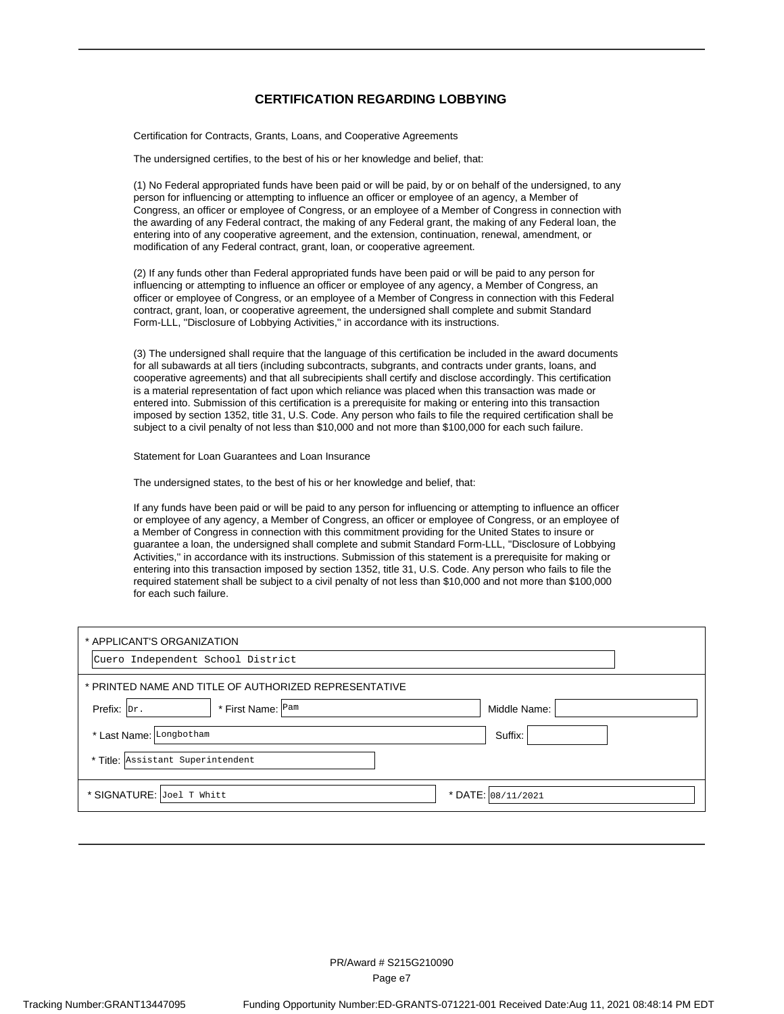#### **CERTIFICATION REGARDING LOBBYING**

Certification for Contracts, Grants, Loans, and Cooperative Agreements

The undersigned certifies, to the best of his or her knowledge and belief, that:

(1) No Federal appropriated funds have been paid or will be paid, by or on behalf of the undersigned, to any person for influencing or attempting to influence an officer or employee of an agency, a Member of Congress, an officer or employee of Congress, or an employee of a Member of Congress in connection with the awarding of any Federal contract, the making of any Federal grant, the making of any Federal loan, the entering into of any cooperative agreement, and the extension, continuation, renewal, amendment, or modification of any Federal contract, grant, loan, or cooperative agreement.

(2) If any funds other than Federal appropriated funds have been paid or will be paid to any person for influencing or attempting to influence an officer or employee of any agency, a Member of Congress, an officer or employee of Congress, or an employee of a Member of Congress in connection with this Federal contract, grant, loan, or cooperative agreement, the undersigned shall complete and submit Standard Form-LLL, ''Disclosure of Lobbying Activities,'' in accordance with its instructions.

(3) The undersigned shall require that the language of this certification be included in the award documents for all subawards at all tiers (including subcontracts, subgrants, and contracts under grants, loans, and cooperative agreements) and that all subrecipients shall certify and disclose accordingly. This certification is a material representation of fact upon which reliance was placed when this transaction was made or entered into. Submission of this certification is a prerequisite for making or entering into this transaction imposed by section 1352, title 31, U.S. Code. Any person who fails to file the required certification shall be subject to a civil penalty of not less than \$10,000 and not more than \$100,000 for each such failure.

Statement for Loan Guarantees and Loan Insurance

The undersigned states, to the best of his or her knowledge and belief, that:

If any funds have been paid or will be paid to any person for influencing or attempting to influence an officer or employee of any agency, a Member of Congress, an officer or employee of Congress, or an employee of a Member of Congress in connection with this commitment providing for the United States to insure or guarantee a loan, the undersigned shall complete and submit Standard Form-LLL, ''Disclosure of Lobbying Activities,'' in accordance with its instructions. Submission of this statement is a prerequisite for making or entering into this transaction imposed by section 1352, title 31, U.S. Code. Any person who fails to file the required statement shall be subject to a civil penalty of not less than \$10,000 and not more than \$100,000 for each such failure.

| * APPLICANT'S ORGANIZATION                            |                    |
|-------------------------------------------------------|--------------------|
| Cuero Independent School District                     |                    |
| * PRINTED NAME AND TITLE OF AUTHORIZED REPRESENTATIVE |                    |
| * First Name: Pam<br>Prefix: $ Dr.$                   | Middle Name:       |
| * Last Name: Longbotham                               | Suffix:            |
| * Title: Assistant Superintendent                     |                    |
| * SIGNATURE: Joel T Whitt                             | * DATE: 08/11/2021 |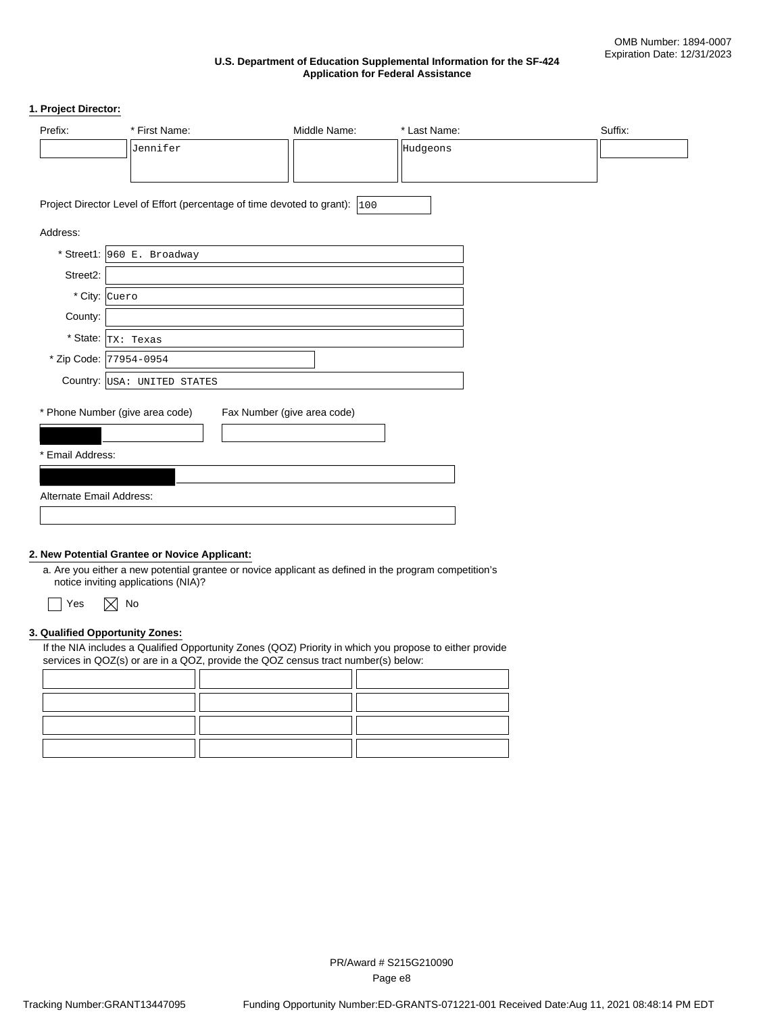#### **U.S. Department of Education Supplemental Information for the SF-424 Application for Federal Assistance**

#### **1. Project Director:**

| Prefix:                  | * First Name:                   | Middle Name:                                                                | * Last Name: | Suffix: |
|--------------------------|---------------------------------|-----------------------------------------------------------------------------|--------------|---------|
|                          | Jennifer                        |                                                                             | Hudgeons     |         |
|                          |                                 |                                                                             |              |         |
|                          |                                 | Project Director Level of Effort (percentage of time devoted to grant): 100 |              |         |
| Address:                 |                                 |                                                                             |              |         |
|                          | * Street1: 960 E. Broadway      |                                                                             |              |         |
| Street2:                 |                                 |                                                                             |              |         |
| * City: Cuero            |                                 |                                                                             |              |         |
| County:                  |                                 |                                                                             |              |         |
|                          | * State: $ _{TX}$ : Texas       |                                                                             |              |         |
|                          | * Zip Code: 77954-0954          |                                                                             |              |         |
|                          | Country: USA: UNITED STATES     |                                                                             |              |         |
|                          | * Phone Number (give area code) | Fax Number (give area code)                                                 |              |         |
|                          |                                 |                                                                             |              |         |
| * Email Address:         |                                 |                                                                             |              |         |
|                          |                                 |                                                                             |              |         |
| Alternate Email Address: |                                 |                                                                             |              |         |
|                          |                                 |                                                                             |              |         |

#### **2. New Potential Grantee or Novice Applicant:**

a. Are you either a new potential grantee or novice applicant as defined in the program competition's notice inviting applications (NIA)?



#### **3. Qualified Opportunity Zones:**

If the NIA includes a Qualified Opportunity Zones (QOZ) Priority in which you propose to either provide services in QOZ(s) or are in a QOZ, provide the QOZ census tract number(s) below: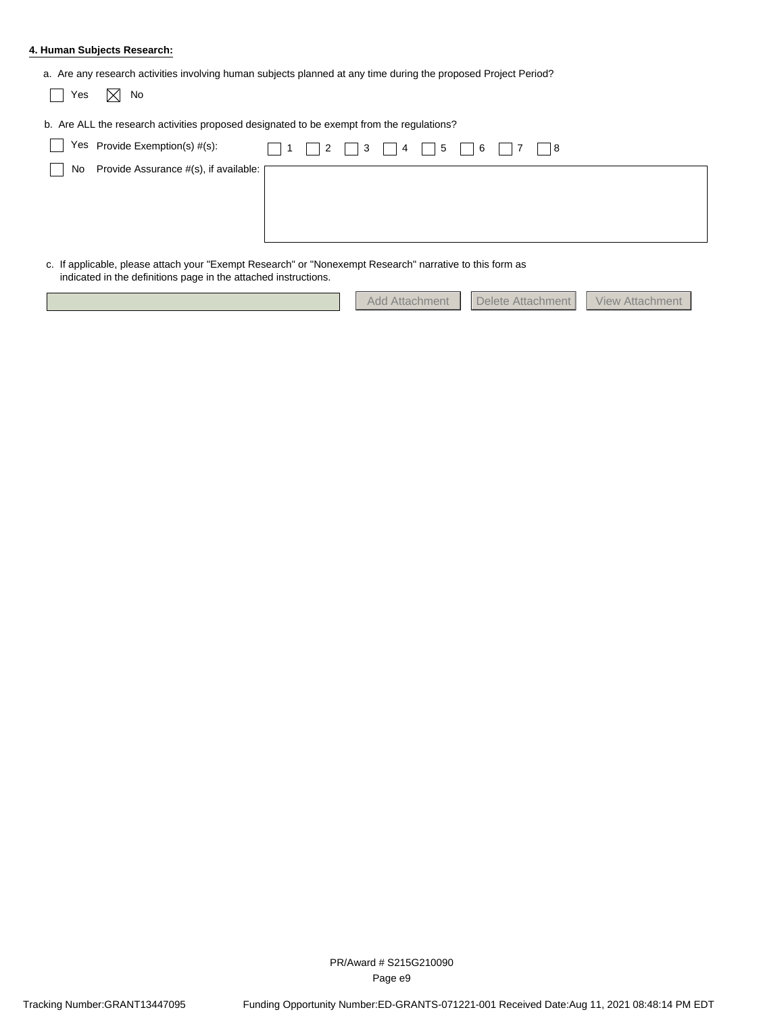#### **4. Human Subjects Research:**

| Yes | No<br>X                                                                                   |   |                      |             |  |
|-----|-------------------------------------------------------------------------------------------|---|----------------------|-------------|--|
|     | b. Are ALL the research activities proposed designated to be exempt from the regulations? |   |                      |             |  |
|     | Yes Provide Exemption(s) #(s):                                                            |   | $\Box$ 1 2 3 4 5 6 7 | $\vert$   8 |  |
|     | No Provide Assurance #(s), if available: [                                                |   |                      |             |  |
|     |                                                                                           | . |                      |             |  |

c. If applicable, please attach your "Exempt Research" or "Nonexempt Research" narrative to this form as indicated in the definitions page in the attached instructions.

|  |  | Add Attachment   Delete Attachment   View Attachment |  |
|--|--|------------------------------------------------------|--|
|  |  |                                                      |  |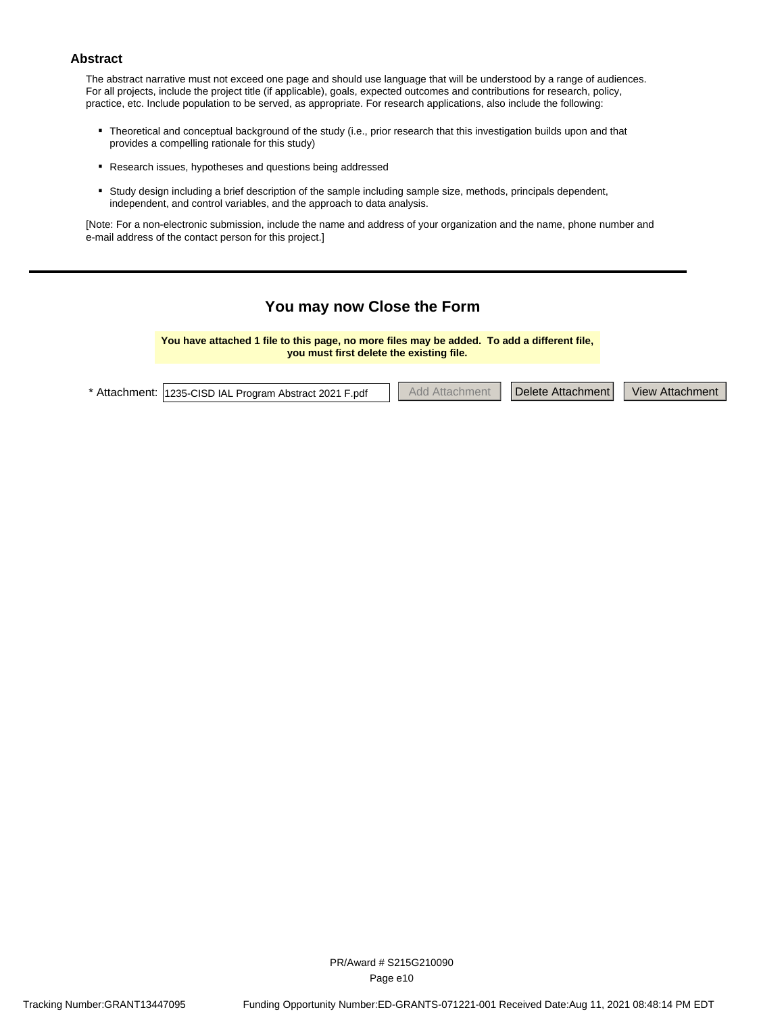#### **Abstract**

The abstract narrative must not exceed one page and should use language that will be understood by a range of audiences. For all projects, include the project title (if applicable), goals, expected outcomes and contributions for research, policy, practice, etc. Include population to be served, as appropriate. For research applications, also include the following:

- Theoretical and conceptual background of the study (i.e., prior research that this investigation builds upon and that provides a competition retired for this ctudy). provides a compelling rationale for this study)
- **·** Research issues, hypotheses and questions being addressed
- Study design including a brief description of the sample including sample size, methods, principals dependent, independent, independent, independent, and control variables, and the approach to data analysis.

[Note: For a non-electronic submission, include the name and address of your organization and the name, phone number and e-mail address of the contact person for this project.]

### **You may now Close the Form**

**You have attached 1 file to this page, no more files may be added. To add a different file, you must first delete the existing file.**

| * Attachment: 1235-CISD IAL Program Abstract 2021 F.pdf |  | hhA<br>Affachment |  | Delete Attachment |  | <b>View Attachment</b> |
|---------------------------------------------------------|--|-------------------|--|-------------------|--|------------------------|
|---------------------------------------------------------|--|-------------------|--|-------------------|--|------------------------|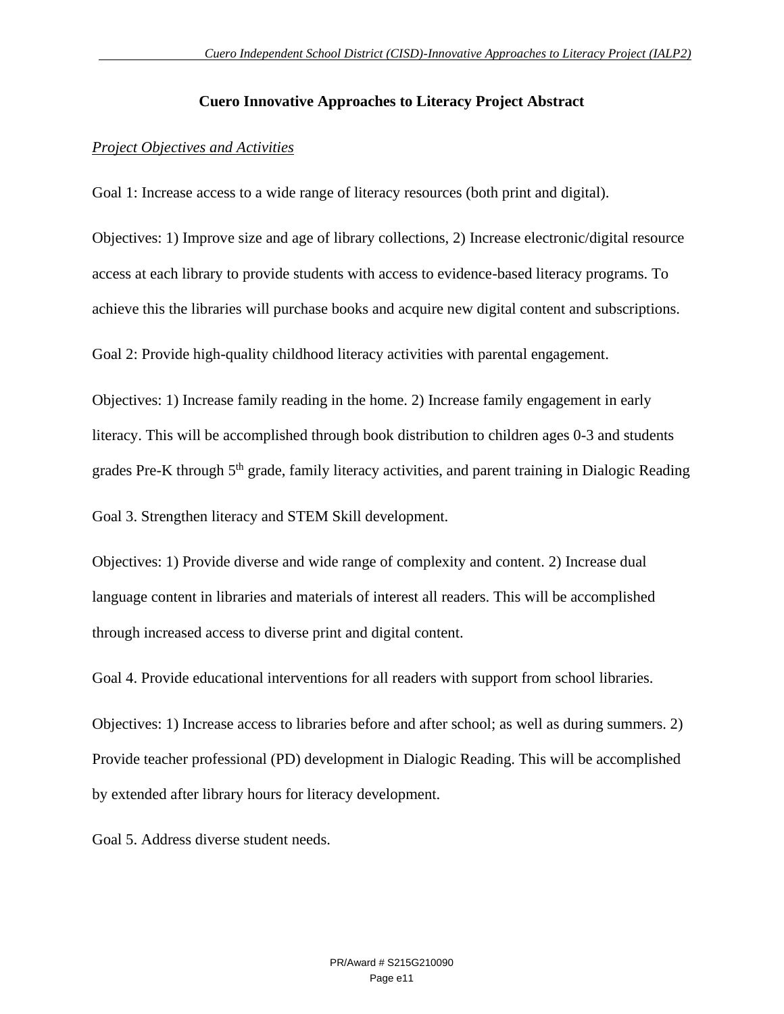### **Cuero Innovative Approaches to Literacy Project Abstract**

### *Project Objectives and Activities*

Goal 1: Increase access to a wide range of literacy resources (both print and digital).

Objectives: 1) Improve size and age of library collections, 2) Increase electronic/digital resource access at each library to provide students with access to evidence-based literacy programs. To achieve this the libraries will purchase books and acquire new digital content and subscriptions.

Goal 2: Provide high-quality childhood literacy activities with parental engagement.

Objectives: 1) Increase family reading in the home. 2) Increase family engagement in early literacy. This will be accomplished through book distribution to children ages 0-3 and students grades Pre-K through 5<sup>th</sup> grade, family literacy activities, and parent training in Dialogic Reading

Goal 3. Strengthen literacy and STEM Skill development.

Objectives: 1) Provide diverse and wide range of complexity and content. 2) Increase dual language content in libraries and materials of interest all readers. This will be accomplished through increased access to diverse print and digital content.

Goal 4. Provide educational interventions for all readers with support from school libraries.

Objectives: 1) Increase access to libraries before and after school; as well as during summers. 2) Provide teacher professional (PD) development in Dialogic Reading. This will be accomplished by extended after library hours for literacy development.

Goal 5. Address diverse student needs.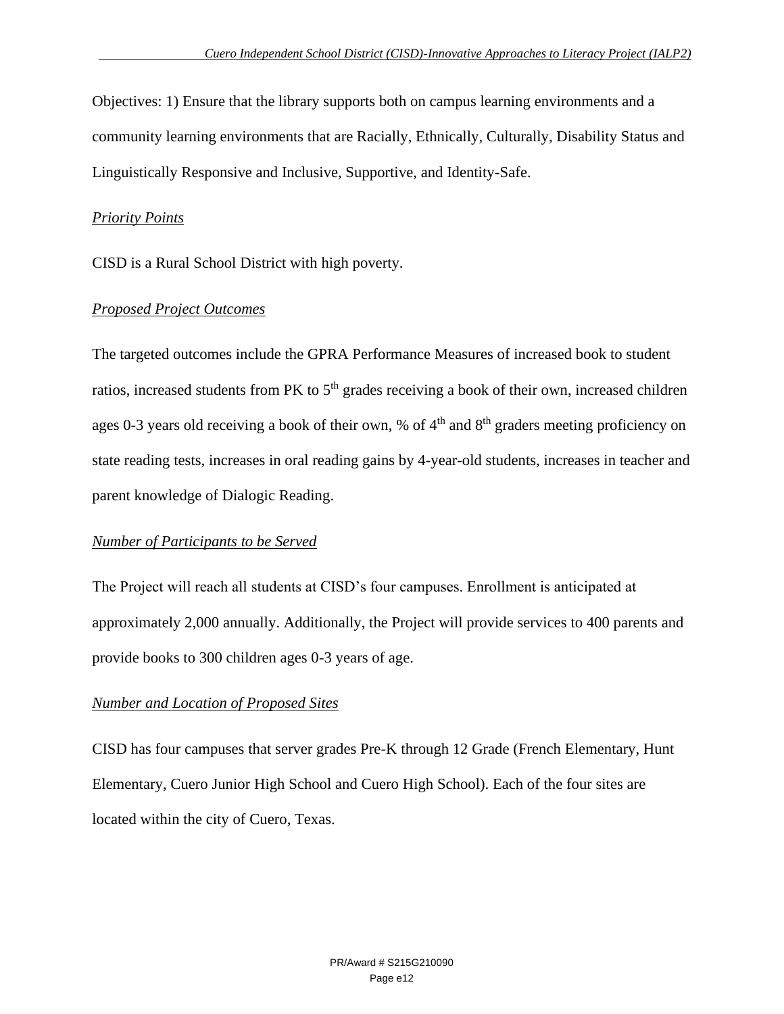Objectives: 1) Ensure that the library supports both on campus learning environments and a community learning environments that are Racially, Ethnically, Culturally, Disability Status and Linguistically Responsive and Inclusive, Supportive, and Identity-Safe.

#### *Priority Points*

CISD is a Rural School District with high poverty.

### *Proposed Project Outcomes*

The targeted outcomes include the GPRA Performance Measures of increased book to student ratios, increased students from PK to  $5<sup>th</sup>$  grades receiving a book of their own, increased children ages 0-3 years old receiving a book of their own, % of  $4<sup>th</sup>$  and  $8<sup>th</sup>$  graders meeting proficiency on state reading tests, increases in oral reading gains by 4-year-old students, increases in teacher and parent knowledge of Dialogic Reading.

### *Number of Participants to be Served*

The Project will reach all students at CISD's four campuses. Enrollment is anticipated at approximately 2,000 annually. Additionally, the Project will provide services to 400 parents and provide books to 300 children ages 0-3 years of age.

### *Number and Location of Proposed Sites*

CISD has four campuses that server grades Pre-K through 12 Grade (French Elementary, Hunt Elementary, Cuero Junior High School and Cuero High School). Each of the four sites are located within the city of Cuero, Texas.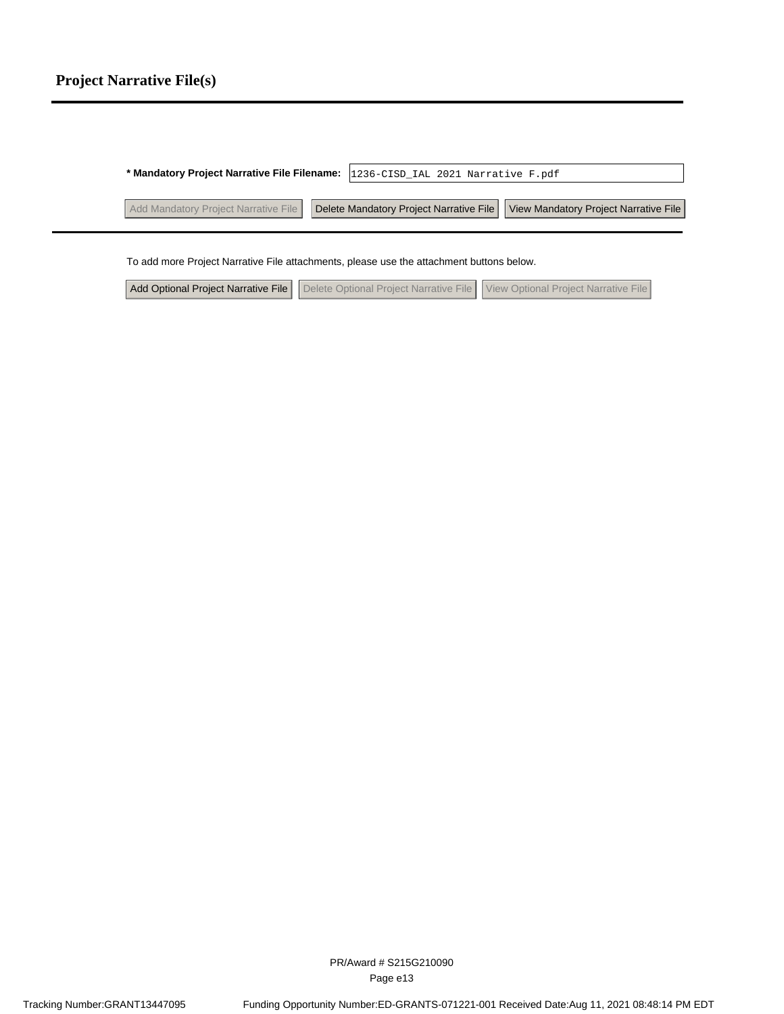| * Mandatory Project Narrative File Filename: 1236-CISD_IAL 2021 Narrative F.pdf                                        |  |
|------------------------------------------------------------------------------------------------------------------------|--|
| Add Mandatory Project Narrative File   Delete Mandatory Project Narrative File   View Mandatory Project Narrative File |  |

To add more Project Narrative File attachments, please use the attachment buttons below.

Add Optional Project Narrative File Delete Optional Project Narrative File View Optional Project Narrative File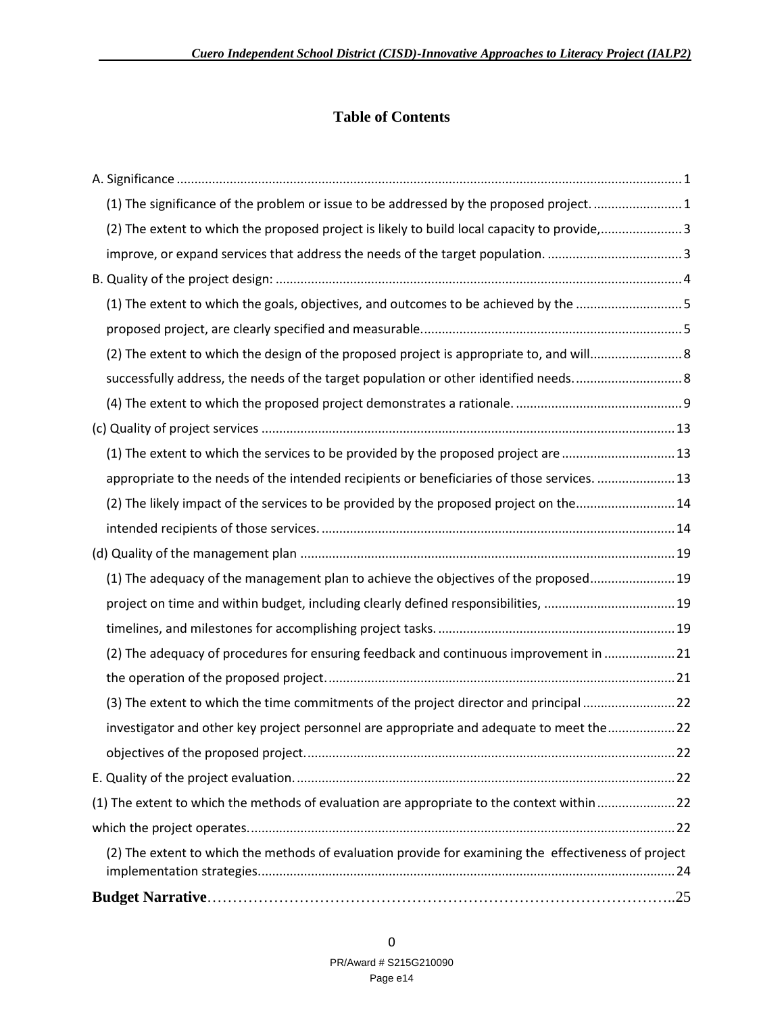### **Table of Contents**

| (2) The adequacy of procedures for ensuring feedback and continuous improvement in  21<br>(3) The extent to which the time commitments of the project director and principal 22<br>investigator and other key project personnel are appropriate and adequate to meet the22<br>(1) The extent to which the methods of evaluation are appropriate to the context within22<br>(2) The extent to which the methods of evaluation provide for examining the effectiveness of project |  |
|---------------------------------------------------------------------------------------------------------------------------------------------------------------------------------------------------------------------------------------------------------------------------------------------------------------------------------------------------------------------------------------------------------------------------------------------------------------------------------|--|
|                                                                                                                                                                                                                                                                                                                                                                                                                                                                                 |  |
|                                                                                                                                                                                                                                                                                                                                                                                                                                                                                 |  |
|                                                                                                                                                                                                                                                                                                                                                                                                                                                                                 |  |
|                                                                                                                                                                                                                                                                                                                                                                                                                                                                                 |  |
|                                                                                                                                                                                                                                                                                                                                                                                                                                                                                 |  |
|                                                                                                                                                                                                                                                                                                                                                                                                                                                                                 |  |
|                                                                                                                                                                                                                                                                                                                                                                                                                                                                                 |  |
|                                                                                                                                                                                                                                                                                                                                                                                                                                                                                 |  |
|                                                                                                                                                                                                                                                                                                                                                                                                                                                                                 |  |
|                                                                                                                                                                                                                                                                                                                                                                                                                                                                                 |  |
| project on time and within budget, including clearly defined responsibilities, 19                                                                                                                                                                                                                                                                                                                                                                                               |  |
| (1) The adequacy of the management plan to achieve the objectives of the proposed 19                                                                                                                                                                                                                                                                                                                                                                                            |  |
|                                                                                                                                                                                                                                                                                                                                                                                                                                                                                 |  |
|                                                                                                                                                                                                                                                                                                                                                                                                                                                                                 |  |
| (2) The likely impact of the services to be provided by the proposed project on the 14                                                                                                                                                                                                                                                                                                                                                                                          |  |
| appropriate to the needs of the intended recipients or beneficiaries of those services.  13                                                                                                                                                                                                                                                                                                                                                                                     |  |
| (1) The extent to which the services to be provided by the proposed project are 13                                                                                                                                                                                                                                                                                                                                                                                              |  |
|                                                                                                                                                                                                                                                                                                                                                                                                                                                                                 |  |
|                                                                                                                                                                                                                                                                                                                                                                                                                                                                                 |  |
|                                                                                                                                                                                                                                                                                                                                                                                                                                                                                 |  |
| (2) The extent to which the design of the proposed project is appropriate to, and will 8                                                                                                                                                                                                                                                                                                                                                                                        |  |
|                                                                                                                                                                                                                                                                                                                                                                                                                                                                                 |  |
| (1) The extent to which the goals, objectives, and outcomes to be achieved by the 5                                                                                                                                                                                                                                                                                                                                                                                             |  |
|                                                                                                                                                                                                                                                                                                                                                                                                                                                                                 |  |
| improve, or expand services that address the needs of the target population. 3                                                                                                                                                                                                                                                                                                                                                                                                  |  |
|                                                                                                                                                                                                                                                                                                                                                                                                                                                                                 |  |
| (2) The extent to which the proposed project is likely to build local capacity to provide,3                                                                                                                                                                                                                                                                                                                                                                                     |  |
| (1) The significance of the problem or issue to be addressed by the proposed project. 1                                                                                                                                                                                                                                                                                                                                                                                         |  |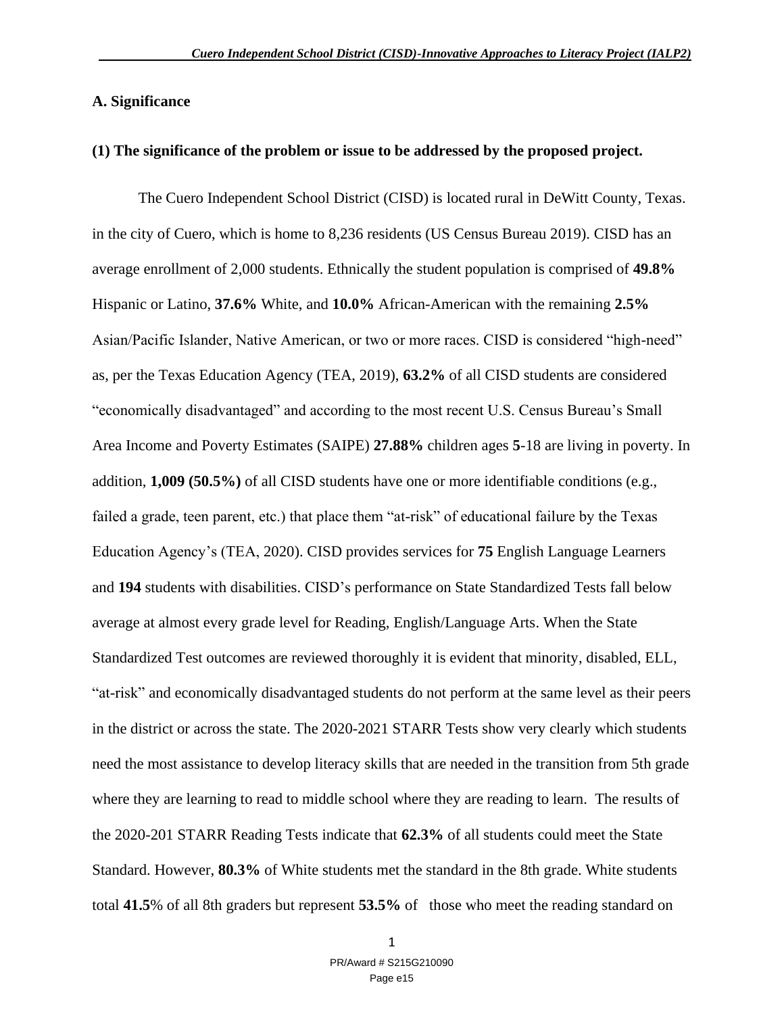#### **A. Significance**

#### **(1) The significance of the problem or issue to be addressed by the proposed project.**

The Cuero Independent School District (CISD) is located rural in DeWitt County, Texas. in the city of Cuero, which is home to 8,236 residents (US Census Bureau 2019). CISD has an average enrollment of 2,000 students. Ethnically the student population is comprised of **49.8%**  Hispanic or Latino, **37.6%** White, and **10.0%** African-American with the remaining **2.5%**  Asian/Pacific Islander, Native American, or two or more races. CISD is considered "high-need" as, per the Texas Education Agency (TEA, 2019), **63.2%** of all CISD students are considered "economically disadvantaged" and according to the most recent U.S. Census Bureau's Small Area Income and Poverty Estimates (SAIPE) **27.88%** children ages **5**-18 are living in poverty. In addition, **1,009 (50.5%)** of all CISD students have one or more identifiable conditions (e.g., failed a grade, teen parent, etc.) that place them "at-risk" of educational failure by the Texas Education Agency's (TEA, 2020). CISD provides services for **75** English Language Learners and **194** students with disabilities. CISD's performance on State Standardized Tests fall below average at almost every grade level for Reading, English/Language Arts. When the State Standardized Test outcomes are reviewed thoroughly it is evident that minority, disabled, ELL, "at-risk" and economically disadvantaged students do not perform at the same level as their peers in the district or across the state. The 2020-2021 STARR Tests show very clearly which students need the most assistance to develop literacy skills that are needed in the transition from 5th grade where they are learning to read to middle school where they are reading to learn. The results of the 2020-201 STARR Reading Tests indicate that **62.3%** of all students could meet the State Standard. However, **80.3%** of White students met the standard in the 8th grade. White students total **41.5**% of all 8th graders but represent **53.5%** of those who meet the reading standard on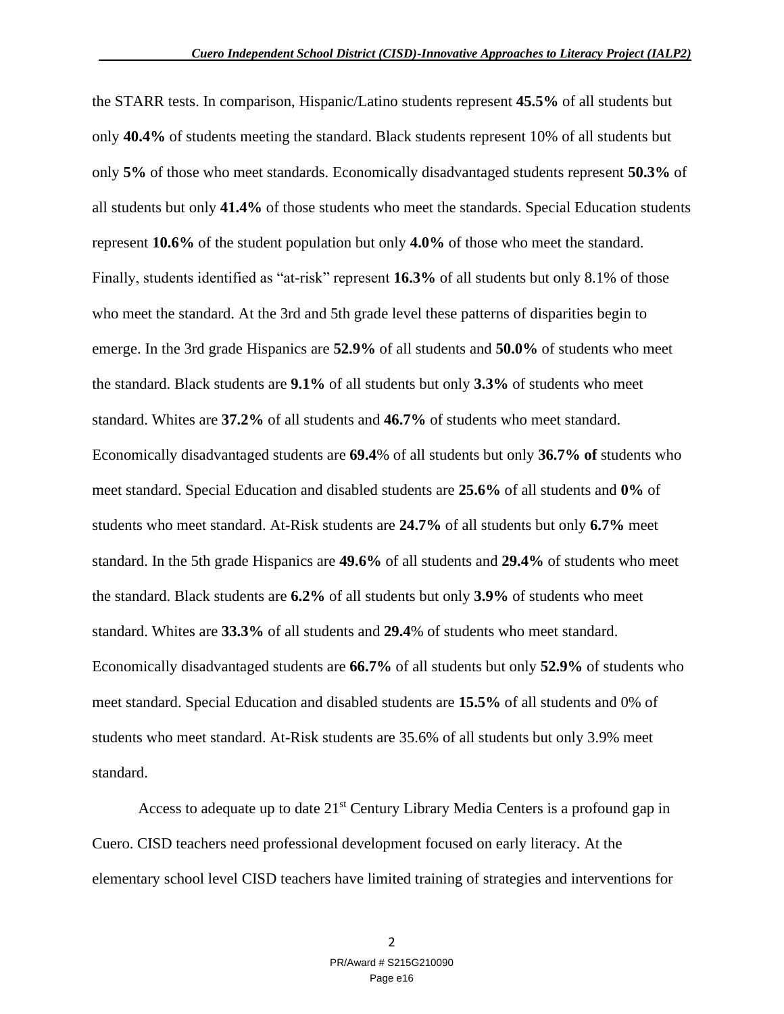the STARR tests. In comparison, Hispanic/Latino students represent **45.5%** of all students but only **40.4%** of students meeting the standard. Black students represent 10% of all students but only **5%** of those who meet standards. Economically disadvantaged students represent **50.3%** of all students but only **41.4%** of those students who meet the standards. Special Education students represent **10.6%** of the student population but only **4.0%** of those who meet the standard. Finally, students identified as "at-risk" represent **16.3%** of all students but only 8.1% of those who meet the standard. At the 3rd and 5th grade level these patterns of disparities begin to emerge. In the 3rd grade Hispanics are **52.9%** of all students and **50.0%** of students who meet the standard. Black students are **9.1%** of all students but only **3.3%** of students who meet standard. Whites are **37.2%** of all students and **46.7%** of students who meet standard. Economically disadvantaged students are **69.4**% of all students but only **36.7% of** students who meet standard. Special Education and disabled students are **25.6%** of all students and **0%** of students who meet standard. At-Risk students are **24.7%** of all students but only **6.7%** meet standard. In the 5th grade Hispanics are **49.6%** of all students and **29.4%** of students who meet the standard. Black students are **6.2%** of all students but only **3.9%** of students who meet standard. Whites are **33.3%** of all students and **29.4**% of students who meet standard. Economically disadvantaged students are **66.7%** of all students but only **52.9%** of students who meet standard. Special Education and disabled students are **15.5%** of all students and 0% of students who meet standard. At-Risk students are 35.6% of all students but only 3.9% meet standard.

Access to adequate up to date  $21<sup>st</sup>$  Century Library Media Centers is a profound gap in Cuero. CISD teachers need professional development focused on early literacy. At the elementary school level CISD teachers have limited training of strategies and interventions for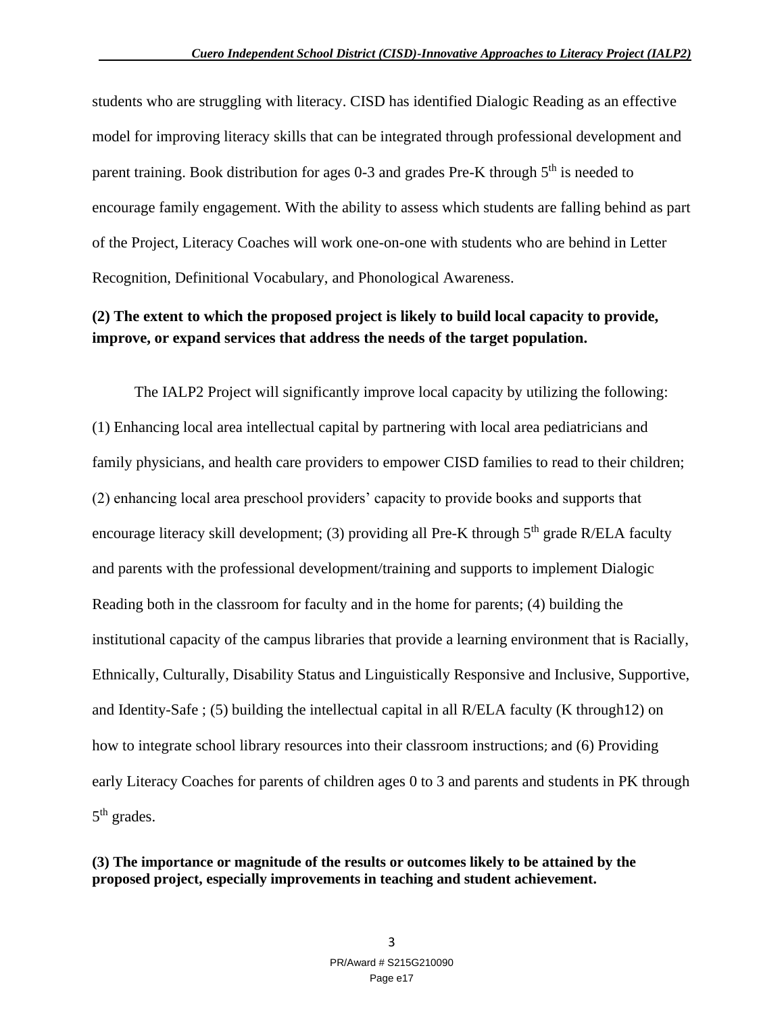students who are struggling with literacy. CISD has identified Dialogic Reading as an effective model for improving literacy skills that can be integrated through professional development and parent training. Book distribution for ages  $0-3$  and grades Pre-K through  $5<sup>th</sup>$  is needed to encourage family engagement. With the ability to assess which students are falling behind as part of the Project, Literacy Coaches will work one-on-one with students who are behind in Letter Recognition, Definitional Vocabulary, and Phonological Awareness.

### **(2) The extent to which the proposed project is likely to build local capacity to provide, improve, or expand services that address the needs of the target population.**

 The IALP2 Project will significantly improve local capacity by utilizing the following: (1) Enhancing local area intellectual capital by partnering with local area pediatricians and family physicians, and health care providers to empower CISD families to read to their children; (2) enhancing local area preschool providers' capacity to provide books and supports that encourage literacy skill development; (3) providing all Pre-K through 5<sup>th</sup> grade R/ELA faculty and parents with the professional development/training and supports to implement Dialogic Reading both in the classroom for faculty and in the home for parents; (4) building the institutional capacity of the campus libraries that provide a learning environment that is Racially, Ethnically, Culturally, Disability Status and Linguistically Responsive and Inclusive, Supportive, and Identity-Safe ; (5) building the intellectual capital in all R/ELA faculty (K through12) on how to integrate school library resources into their classroom instructions; and (6) Providing early Literacy Coaches for parents of children ages 0 to 3 and parents and students in PK through 5<sup>th</sup> grades.

**(3) The importance or magnitude of the results or outcomes likely to be attained by the proposed project, especially improvements in teaching and student achievement.**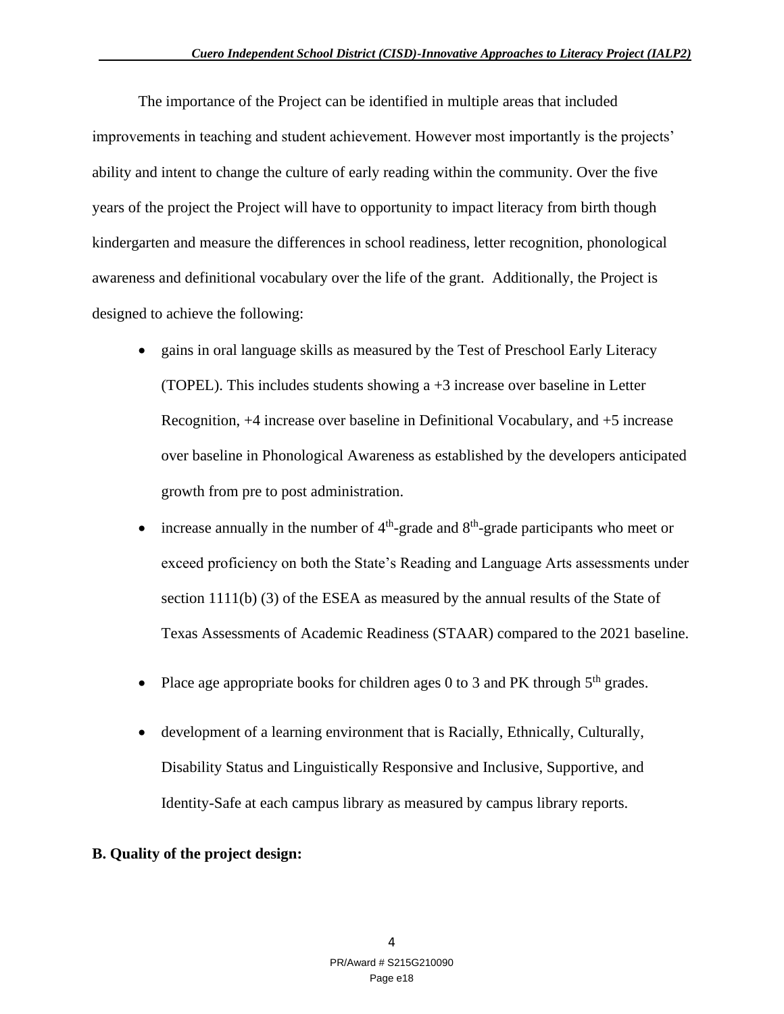The importance of the Project can be identified in multiple areas that included improvements in teaching and student achievement. However most importantly is the projects' ability and intent to change the culture of early reading within the community. Over the five years of the project the Project will have to opportunity to impact literacy from birth though kindergarten and measure the differences in school readiness, letter recognition, phonological awareness and definitional vocabulary over the life of the grant. Additionally, the Project is designed to achieve the following:

- gains in oral language skills as measured by the Test of Preschool Early Literacy (TOPEL). This includes students showing a +3 increase over baseline in Letter Recognition, +4 increase over baseline in Definitional Vocabulary, and +5 increase over baseline in Phonological Awareness as established by the developers anticipated growth from pre to post administration.
- increase annually in the number of  $4<sup>th</sup>$ -grade and  $8<sup>th</sup>$ -grade participants who meet or exceed proficiency on both the State's Reading and Language Arts assessments under section 1111(b) (3) of the ESEA as measured by the annual results of the State of Texas Assessments of Academic Readiness (STAAR) compared to the 2021 baseline.
- Place age appropriate books for children ages 0 to 3 and PK through  $5<sup>th</sup>$  grades.
- development of a learning environment that is Racially, Ethnically, Culturally, Disability Status and Linguistically Responsive and Inclusive, Supportive, and Identity-Safe at each campus library as measured by campus library reports.

#### **B. Quality of the project design:**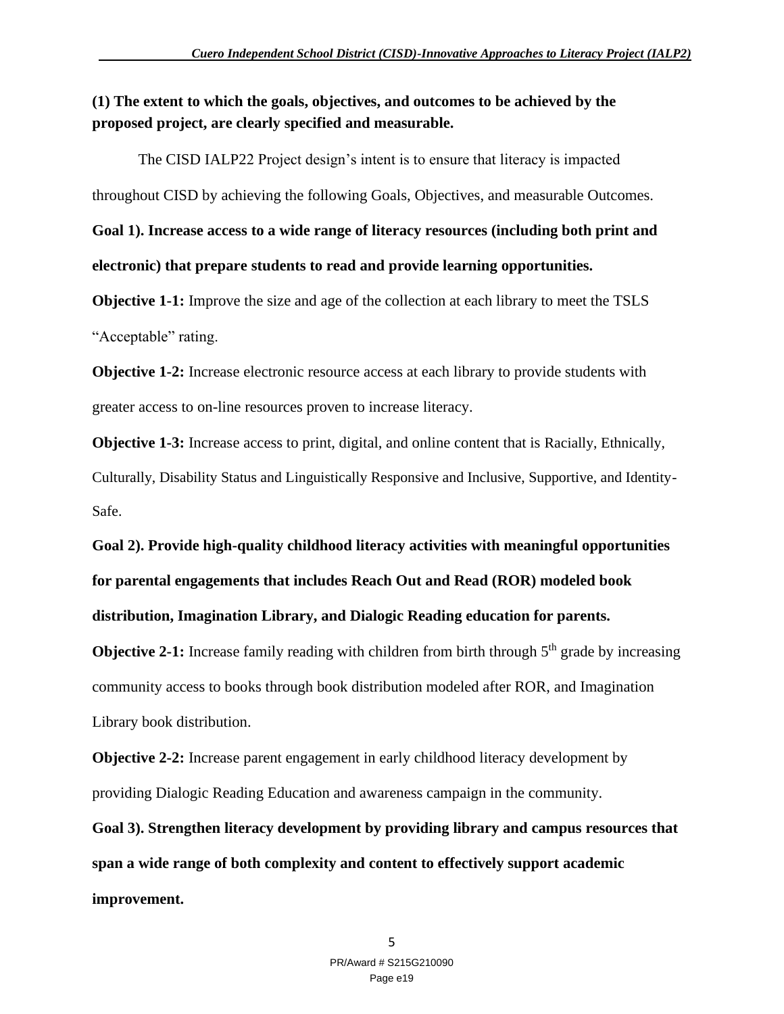### **(1) The extent to which the goals, objectives, and outcomes to be achieved by the proposed project, are clearly specified and measurable.**

 The CISD IALP22 Project design's intent is to ensure that literacy is impacted throughout CISD by achieving the following Goals, Objectives, and measurable Outcomes. **Goal 1). Increase access to a wide range of literacy resources (including both print and electronic) that prepare students to read and provide learning opportunities.**

**Objective 1-1:** Improve the size and age of the collection at each library to meet the TSLS "Acceptable" rating.

**Objective 1-2:** Increase electronic resource access at each library to provide students with greater access to on-line resources proven to increase literacy.

**Objective 1-3:** Increase access to print, digital, and online content that is Racially, Ethnically, Culturally, Disability Status and Linguistically Responsive and Inclusive, Supportive, and Identity-Safe.

**Goal 2). Provide high-quality childhood literacy activities with meaningful opportunities for parental engagements that includes Reach Out and Read (ROR) modeled book distribution, Imagination Library, and Dialogic Reading education for parents.** 

**Objective 2-1:** Increase family reading with children from birth through  $5<sup>th</sup>$  grade by increasing community access to books through book distribution modeled after ROR, and Imagination Library book distribution.

**Objective 2-2:** Increase parent engagement in early childhood literacy development by providing Dialogic Reading Education and awareness campaign in the community.

**Goal 3). Strengthen literacy development by providing library and campus resources that span a wide range of both complexity and content to effectively support academic improvement.**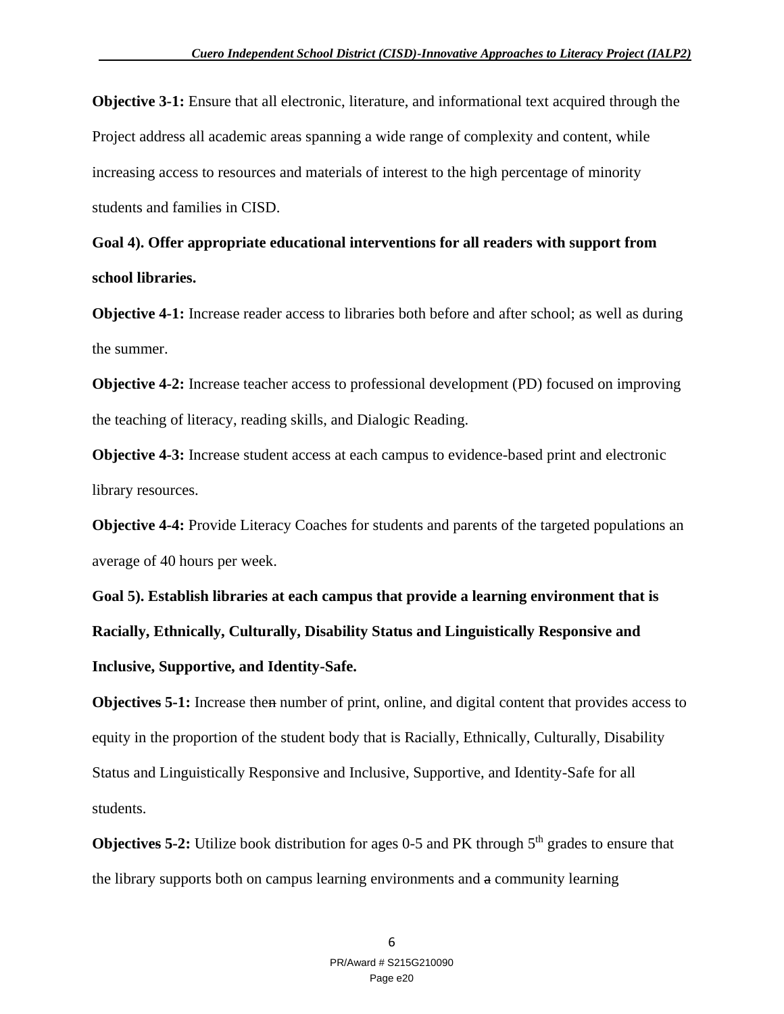**Objective 3-1:** Ensure that all electronic, literature, and informational text acquired through the Project address all academic areas spanning a wide range of complexity and content, while increasing access to resources and materials of interest to the high percentage of minority students and families in CISD.

**Goal 4). Offer appropriate educational interventions for all readers with support from school libraries.**

**Objective 4-1:** Increase reader access to libraries both before and after school; as well as during the summer.

**Objective 4-2:** Increase teacher access to professional development (PD) focused on improving the teaching of literacy, reading skills, and Dialogic Reading.

**Objective 4-3:** Increase student access at each campus to evidence-based print and electronic library resources.

**Objective 4-4:** Provide Literacy Coaches for students and parents of the targeted populations an average of 40 hours per week.

**Goal 5). Establish libraries at each campus that provide a learning environment that is Racially, Ethnically, Culturally, Disability Status and Linguistically Responsive and Inclusive, Supportive, and Identity-Safe.** 

**Objectives 5-1:** Increase then number of print, online, and digital content that provides access to equity in the proportion of the student body that is Racially, Ethnically, Culturally, Disability Status and Linguistically Responsive and Inclusive, Supportive, and Identity-Safe for all students.

**Objectives 5-2:** Utilize book distribution for ages 0-5 and PK through 5<sup>th</sup> grades to ensure that the library supports both on campus learning environments and a community learning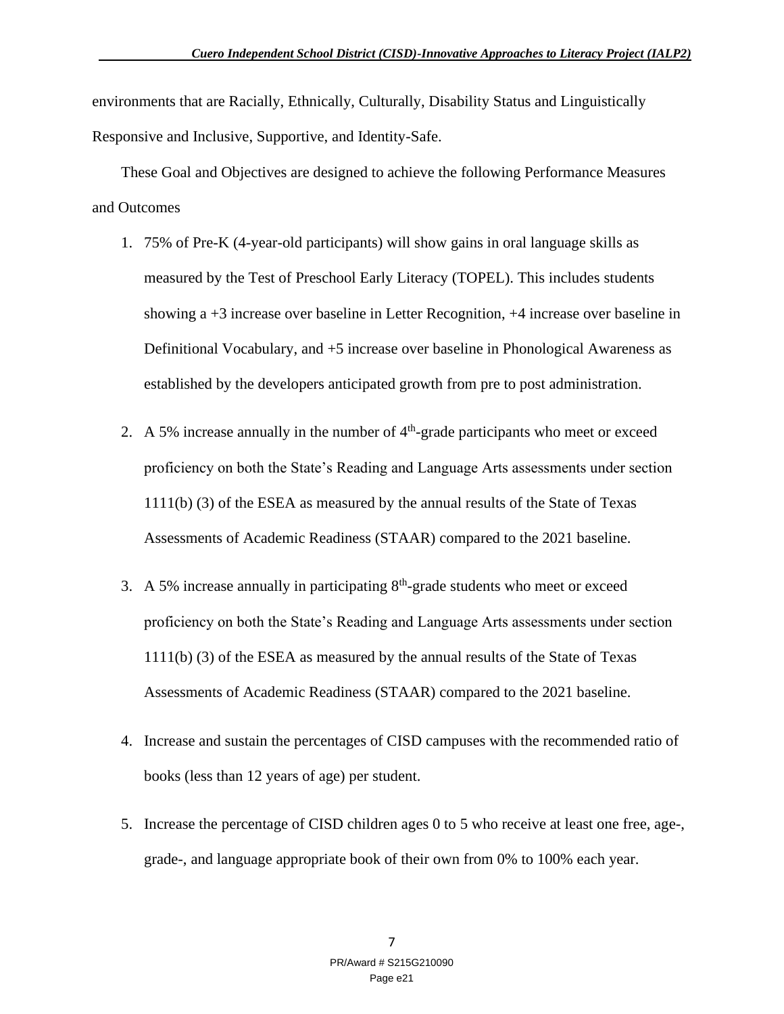environments that are Racially, Ethnically, Culturally, Disability Status and Linguistically Responsive and Inclusive, Supportive, and Identity-Safe.

These Goal and Objectives are designed to achieve the following Performance Measures and Outcomes

- 1. 75% of Pre-K (4-year-old participants) will show gains in oral language skills as measured by the Test of Preschool Early Literacy (TOPEL). This includes students showing a +3 increase over baseline in Letter Recognition, +4 increase over baseline in Definitional Vocabulary, and +5 increase over baseline in Phonological Awareness as established by the developers anticipated growth from pre to post administration.
- 2. A 5% increase annually in the number of  $4<sup>th</sup>$ -grade participants who meet or exceed proficiency on both the State's Reading and Language Arts assessments under section 1111(b) (3) of the ESEA as measured by the annual results of the State of Texas Assessments of Academic Readiness (STAAR) compared to the 2021 baseline.
- 3. A 5% increase annually in participating  $8<sup>th</sup>$ -grade students who meet or exceed proficiency on both the State's Reading and Language Arts assessments under section 1111(b) (3) of the ESEA as measured by the annual results of the State of Texas Assessments of Academic Readiness (STAAR) compared to the 2021 baseline.
- 4. Increase and sustain the percentages of CISD campuses with the recommended ratio of books (less than 12 years of age) per student.
- 5. Increase the percentage of CISD children ages 0 to 5 who receive at least one free, age-, grade-, and language appropriate book of their own from 0% to 100% each year.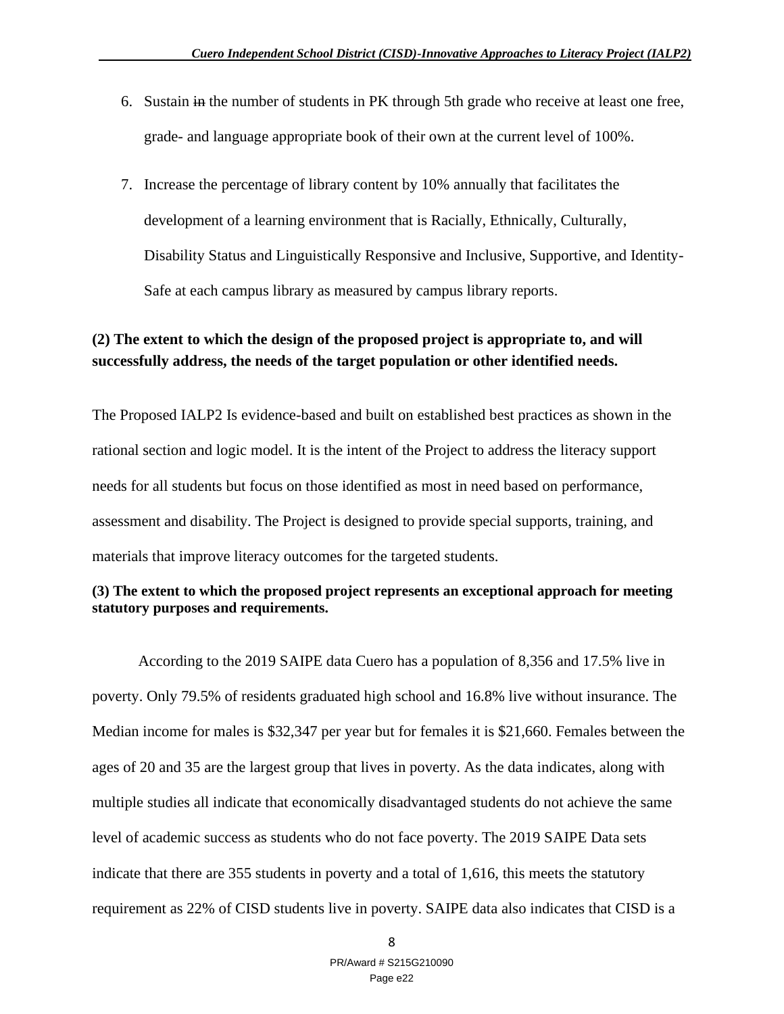- 6. Sustain in the number of students in PK through 5th grade who receive at least one free, grade- and language appropriate book of their own at the current level of 100%.
- 7. Increase the percentage of library content by 10% annually that facilitates the development of a learning environment that is Racially, Ethnically, Culturally, Disability Status and Linguistically Responsive and Inclusive, Supportive, and Identity-Safe at each campus library as measured by campus library reports.

### **(2) The extent to which the design of the proposed project is appropriate to, and will successfully address, the needs of the target population or other identified needs.**

The Proposed IALP2 Is evidence-based and built on established best practices as shown in the rational section and logic model. It is the intent of the Project to address the literacy support needs for all students but focus on those identified as most in need based on performance, assessment and disability. The Project is designed to provide special supports, training, and materials that improve literacy outcomes for the targeted students.

#### **(3) The extent to which the proposed project represents an exceptional approach for meeting statutory purposes and requirements.**

According to the 2019 SAIPE data Cuero has a population of 8,356 and 17.5% live in poverty. Only 79.5% of residents graduated high school and 16.8% live without insurance. The Median income for males is \$32,347 per year but for females it is \$21,660. Females between the ages of 20 and 35 are the largest group that lives in poverty. As the data indicates, along with multiple studies all indicate that economically disadvantaged students do not achieve the same level of academic success as students who do not face poverty. The 2019 SAIPE Data sets indicate that there are 355 students in poverty and a total of 1,616, this meets the statutory requirement as 22% of CISD students live in poverty. SAIPE data also indicates that CISD is a

8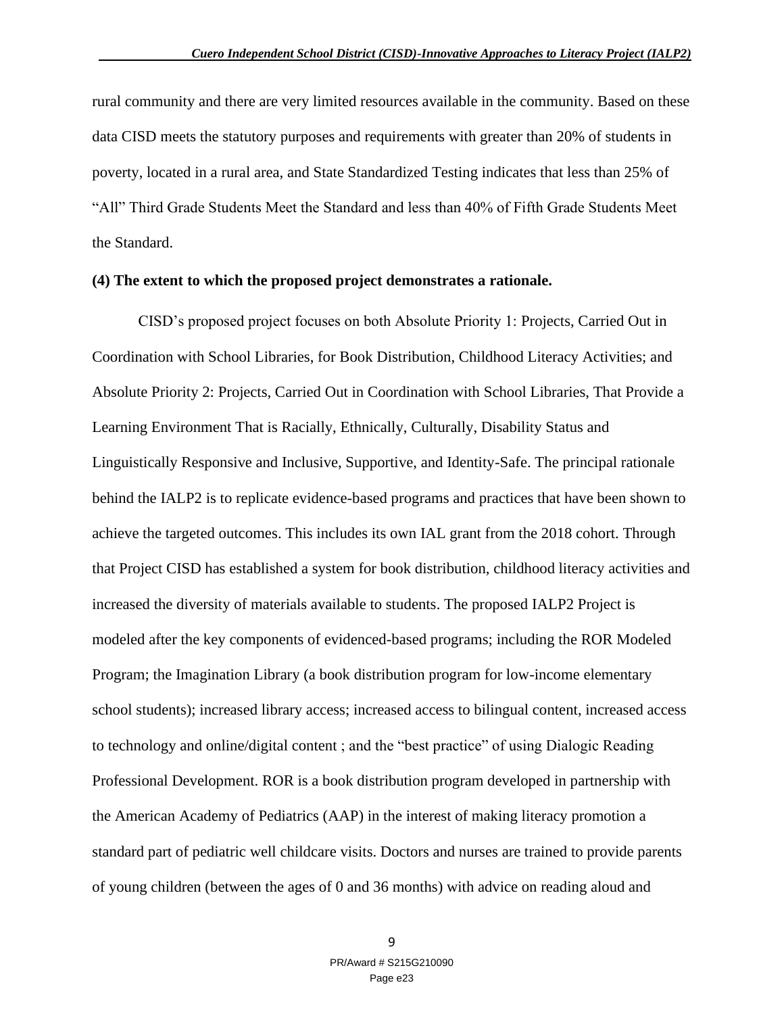rural community and there are very limited resources available in the community. Based on these data CISD meets the statutory purposes and requirements with greater than 20% of students in poverty, located in a rural area, and State Standardized Testing indicates that less than 25% of "All" Third Grade Students Meet the Standard and less than 40% of Fifth Grade Students Meet the Standard.

#### **(4) The extent to which the proposed project demonstrates a rationale.**

CISD's proposed project focuses on both Absolute Priority 1: Projects, Carried Out in Coordination with School Libraries, for Book Distribution, Childhood Literacy Activities; and Absolute Priority 2: Projects, Carried Out in Coordination with School Libraries, That Provide a Learning Environment That is Racially, Ethnically, Culturally, Disability Status and Linguistically Responsive and Inclusive, Supportive, and Identity-Safe. The principal rationale behind the IALP2 is to replicate evidence-based programs and practices that have been shown to achieve the targeted outcomes. This includes its own IAL grant from the 2018 cohort. Through that Project CISD has established a system for book distribution, childhood literacy activities and increased the diversity of materials available to students. The proposed IALP2 Project is modeled after the key components of evidenced-based programs; including the ROR Modeled Program; the Imagination Library (a book distribution program for low-income elementary school students); increased library access; increased access to bilingual content, increased access to technology and online/digital content ; and the "best practice" of using Dialogic Reading Professional Development. ROR is a book distribution program developed in partnership with the American Academy of Pediatrics (AAP) in the interest of making literacy promotion a standard part of pediatric well childcare visits. Doctors and nurses are trained to provide parents of young children (between the ages of 0 and 36 months) with advice on reading aloud and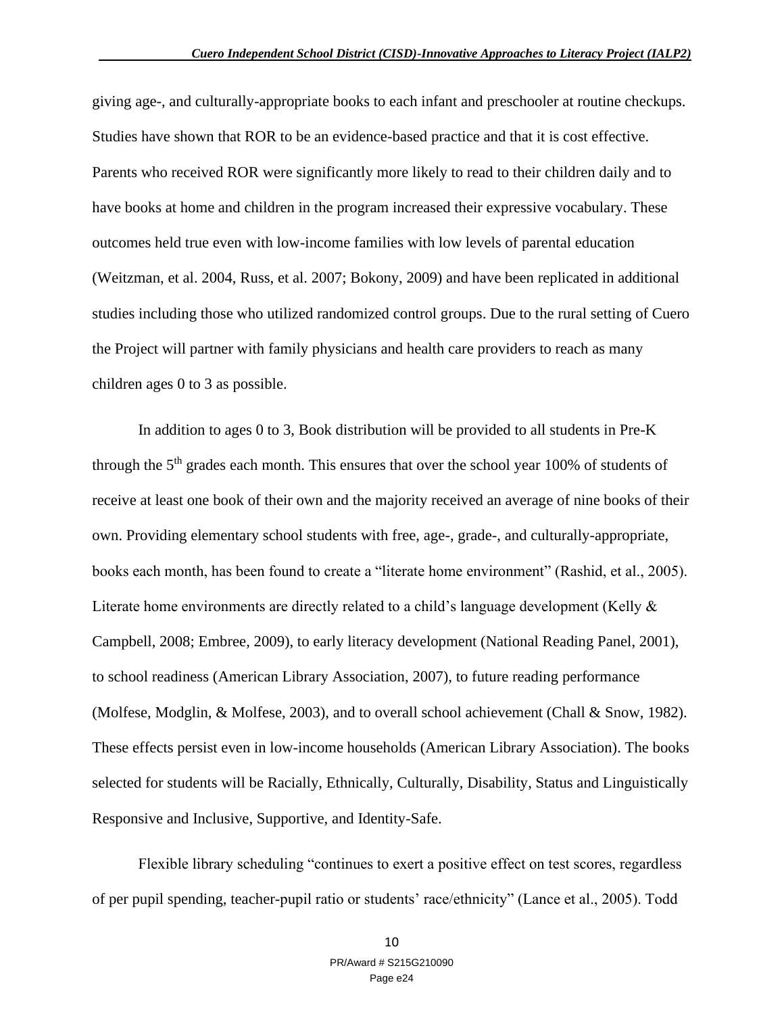giving age-, and culturally-appropriate books to each infant and preschooler at routine checkups. Studies have shown that ROR to be an evidence-based practice and that it is cost effective. Parents who received ROR were significantly more likely to read to their children daily and to have books at home and children in the program increased their expressive vocabulary. These outcomes held true even with low-income families with low levels of parental education (Weitzman, et al. 2004, Russ, et al. 2007; Bokony, 2009) and have been replicated in additional studies including those who utilized randomized control groups. Due to the rural setting of Cuero the Project will partner with family physicians and health care providers to reach as many children ages 0 to 3 as possible.

In addition to ages 0 to 3, Book distribution will be provided to all students in Pre-K through the 5<sup>th</sup> grades each month. This ensures that over the school year 100% of students of receive at least one book of their own and the majority received an average of nine books of their own. Providing elementary school students with free, age-, grade-, and culturally-appropriate, books each month, has been found to create a "literate home environment" (Rashid, et al., 2005). Literate home environments are directly related to a child's language development (Kelly & Campbell, 2008; Embree, 2009), to early literacy development (National Reading Panel, 2001), to school readiness (American Library Association, 2007), to future reading performance (Molfese, Modglin, & Molfese, 2003), and to overall school achievement (Chall & Snow, 1982). These effects persist even in low-income households (American Library Association). The books selected for students will be Racially, Ethnically, Culturally, Disability, Status and Linguistically Responsive and Inclusive, Supportive, and Identity-Safe.

Flexible library scheduling "continues to exert a positive effect on test scores, regardless of per pupil spending, teacher-pupil ratio or students' race/ethnicity" (Lance et al., 2005). Todd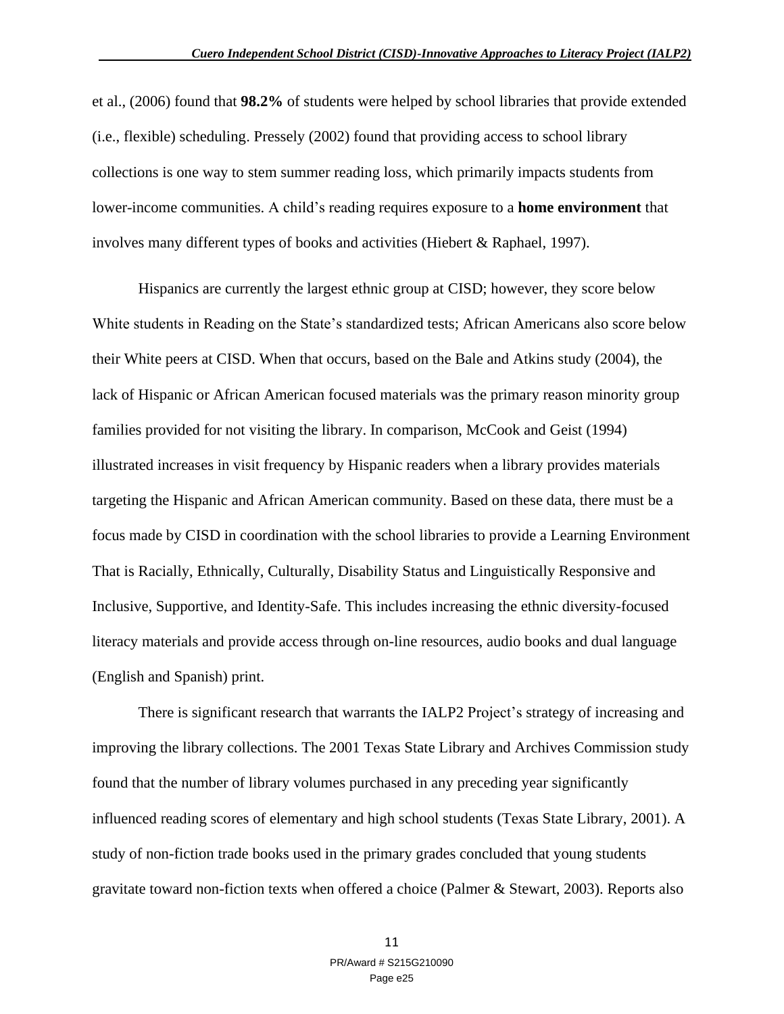et al., (2006) found that **98.2%** of students were helped by school libraries that provide extended (i.e., flexible) scheduling. Pressely (2002) found that providing access to school library collections is one way to stem summer reading loss, which primarily impacts students from lower-income communities. A child's reading requires exposure to a **home environment** that involves many different types of books and activities (Hiebert & Raphael, 1997).

Hispanics are currently the largest ethnic group at CISD; however, they score below White students in Reading on the State's standardized tests; African Americans also score below their White peers at CISD. When that occurs, based on the Bale and Atkins study (2004), the lack of Hispanic or African American focused materials was the primary reason minority group families provided for not visiting the library. In comparison, McCook and Geist (1994) illustrated increases in visit frequency by Hispanic readers when a library provides materials targeting the Hispanic and African American community. Based on these data, there must be a focus made by CISD in coordination with the school libraries to provide a Learning Environment That is Racially, Ethnically, Culturally, Disability Status and Linguistically Responsive and Inclusive, Supportive, and Identity-Safe. This includes increasing the ethnic diversity-focused literacy materials and provide access through on-line resources, audio books and dual language (English and Spanish) print.

There is significant research that warrants the IALP2 Project's strategy of increasing and improving the library collections. The 2001 Texas State Library and Archives Commission study found that the number of library volumes purchased in any preceding year significantly influenced reading scores of elementary and high school students (Texas State Library, 2001). A study of non-fiction trade books used in the primary grades concluded that young students gravitate toward non-fiction texts when offered a choice (Palmer & Stewart, 2003). Reports also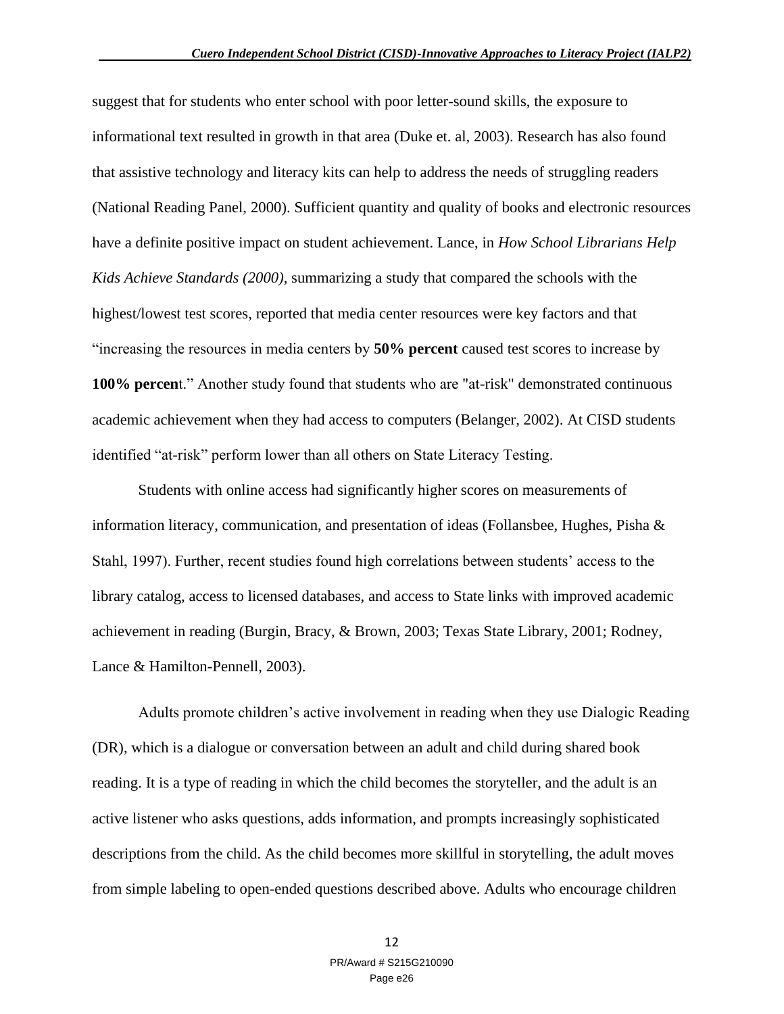suggest that for students who enter school with poor letter-sound skills, the exposure to informational text resulted in growth in that area (Duke et. al, 2003). Research has also found that assistive technology and literacy kits can help to address the needs of struggling readers (National Reading Panel, 2000). Sufficient quantity and quality of books and electronic resources have a definite positive impact on student achievement. Lance, in *How School Librarians Help Kids Achieve Standards (2000),* summarizing a study that compared the schools with the highest/lowest test scores, reported that media center resources were key factors and that "increasing the resources in media centers by **50% percent** caused test scores to increase by **100% percen**t." Another study found that students who are "at-risk" demonstrated continuous academic achievement when they had access to computers (Belanger, 2002). At CISD students identified "at-risk" perform lower than all others on State Literacy Testing.

Students with online access had significantly higher scores on measurements of information literacy, communication, and presentation of ideas (Follansbee, Hughes, Pisha & Stahl, 1997). Further, recent studies found high correlations between students' access to the library catalog, access to licensed databases, and access to State links with improved academic achievement in reading (Burgin, Bracy, & Brown, 2003; Texas State Library, 2001; Rodney, Lance & Hamilton-Pennell, 2003).

Adults promote children's active involvement in reading when they use Dialogic Reading (DR), which is a dialogue or conversation between an adult and child during shared book reading. It is a type of reading in which the child becomes the storyteller, and the adult is an active listener who asks questions, adds information, and prompts increasingly sophisticated descriptions from the child. As the child becomes more skillful in storytelling, the adult moves from simple labeling to open-ended questions described above. Adults who encourage children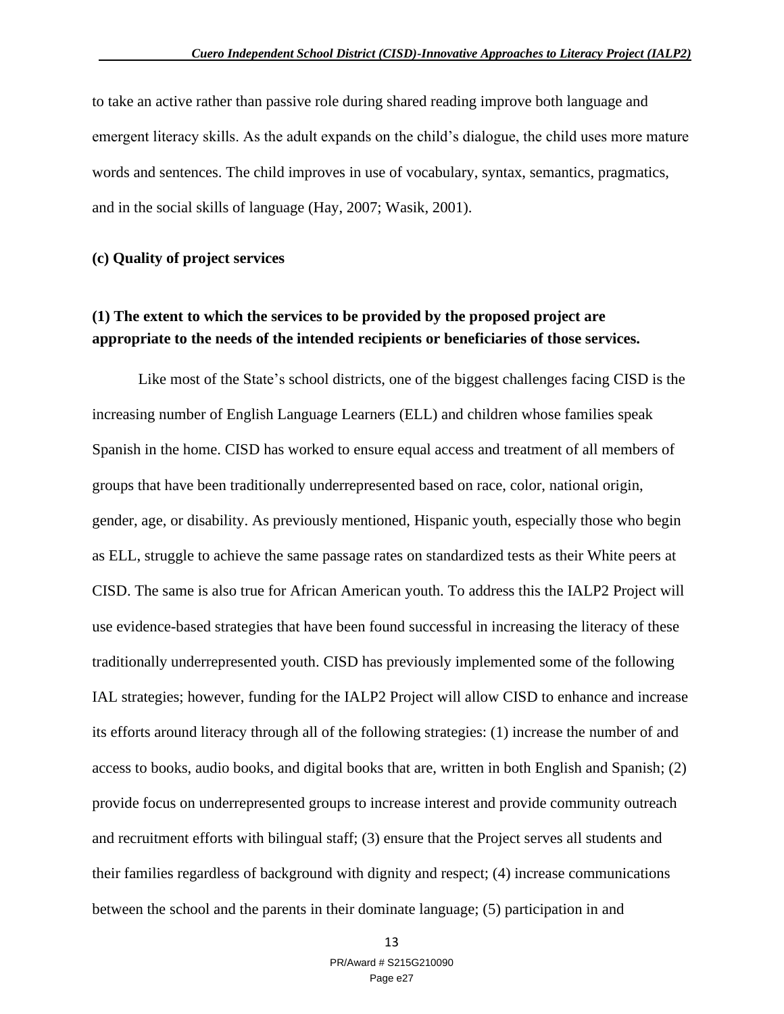to take an active rather than passive role during shared reading improve both language and emergent literacy skills. As the adult expands on the child's dialogue, the child uses more mature words and sentences. The child improves in use of vocabulary, syntax, semantics, pragmatics, and in the social skills of language (Hay, 2007; Wasik, 2001).

#### **(c) Quality of project services**

### **(1) The extent to which the services to be provided by the proposed project are appropriate to the needs of the intended recipients or beneficiaries of those services.**

Like most of the State's school districts, one of the biggest challenges facing CISD is the increasing number of English Language Learners (ELL) and children whose families speak Spanish in the home. CISD has worked to ensure equal access and treatment of all members of groups that have been traditionally underrepresented based on race, color, national origin, gender, age, or disability. As previously mentioned, Hispanic youth, especially those who begin as ELL, struggle to achieve the same passage rates on standardized tests as their White peers at CISD. The same is also true for African American youth. To address this the IALP2 Project will use evidence-based strategies that have been found successful in increasing the literacy of these traditionally underrepresented youth. CISD has previously implemented some of the following IAL strategies; however, funding for the IALP2 Project will allow CISD to enhance and increase its efforts around literacy through all of the following strategies: (1) increase the number of and access to books, audio books, and digital books that are, written in both English and Spanish; (2) provide focus on underrepresented groups to increase interest and provide community outreach and recruitment efforts with bilingual staff; (3) ensure that the Project serves all students and their families regardless of background with dignity and respect; (4) increase communications between the school and the parents in their dominate language; (5) participation in and

13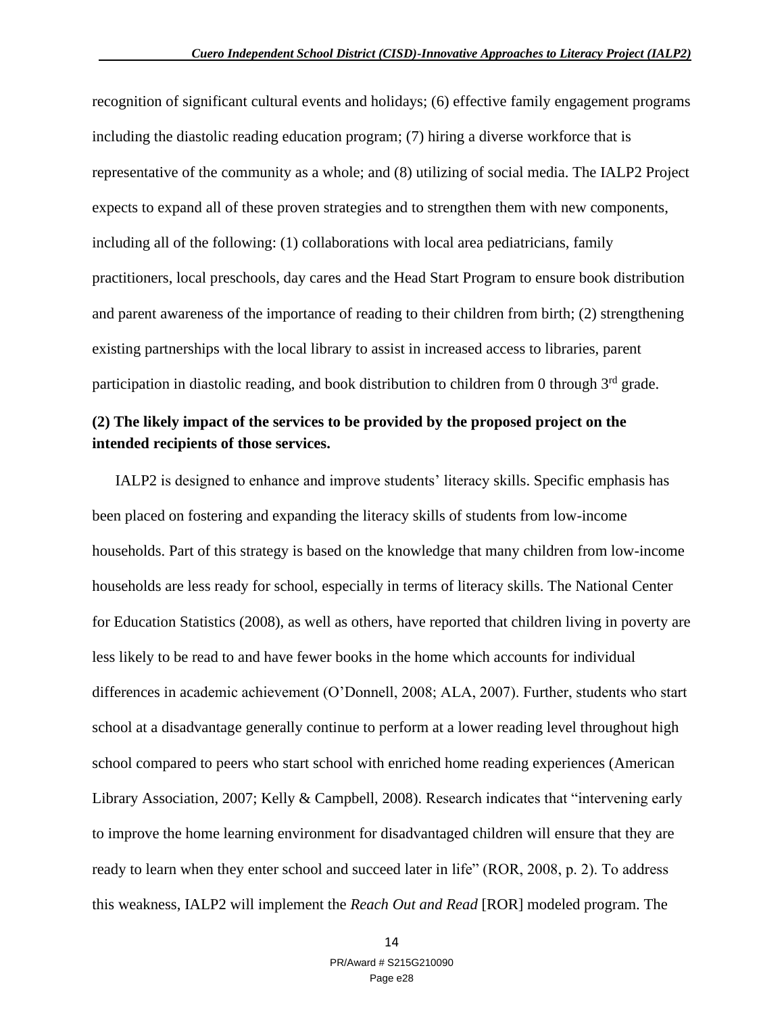recognition of significant cultural events and holidays; (6) effective family engagement programs including the diastolic reading education program; (7) hiring a diverse workforce that is representative of the community as a whole; and (8) utilizing of social media. The IALP2 Project expects to expand all of these proven strategies and to strengthen them with new components, including all of the following: (1) collaborations with local area pediatricians, family practitioners, local preschools, day cares and the Head Start Program to ensure book distribution and parent awareness of the importance of reading to their children from birth; (2) strengthening existing partnerships with the local library to assist in increased access to libraries, parent participation in diastolic reading, and book distribution to children from 0 through  $3<sup>rd</sup>$  grade.

### **(2) The likely impact of the services to be provided by the proposed project on the intended recipients of those services.**

IALP2 is designed to enhance and improve students' literacy skills. Specific emphasis has been placed on fostering and expanding the literacy skills of students from low-income households. Part of this strategy is based on the knowledge that many children from low-income households are less ready for school, especially in terms of literacy skills. The National Center for Education Statistics (2008), as well as others, have reported that children living in poverty are less likely to be read to and have fewer books in the home which accounts for individual differences in academic achievement (O'Donnell, 2008; ALA, 2007). Further, students who start school at a disadvantage generally continue to perform at a lower reading level throughout high school compared to peers who start school with enriched home reading experiences (American Library Association, 2007; Kelly & Campbell, 2008). Research indicates that "intervening early to improve the home learning environment for disadvantaged children will ensure that they are ready to learn when they enter school and succeed later in life" (ROR, 2008, p. 2). To address this weakness, IALP2 will implement the *Reach Out and Read* [ROR] modeled program. The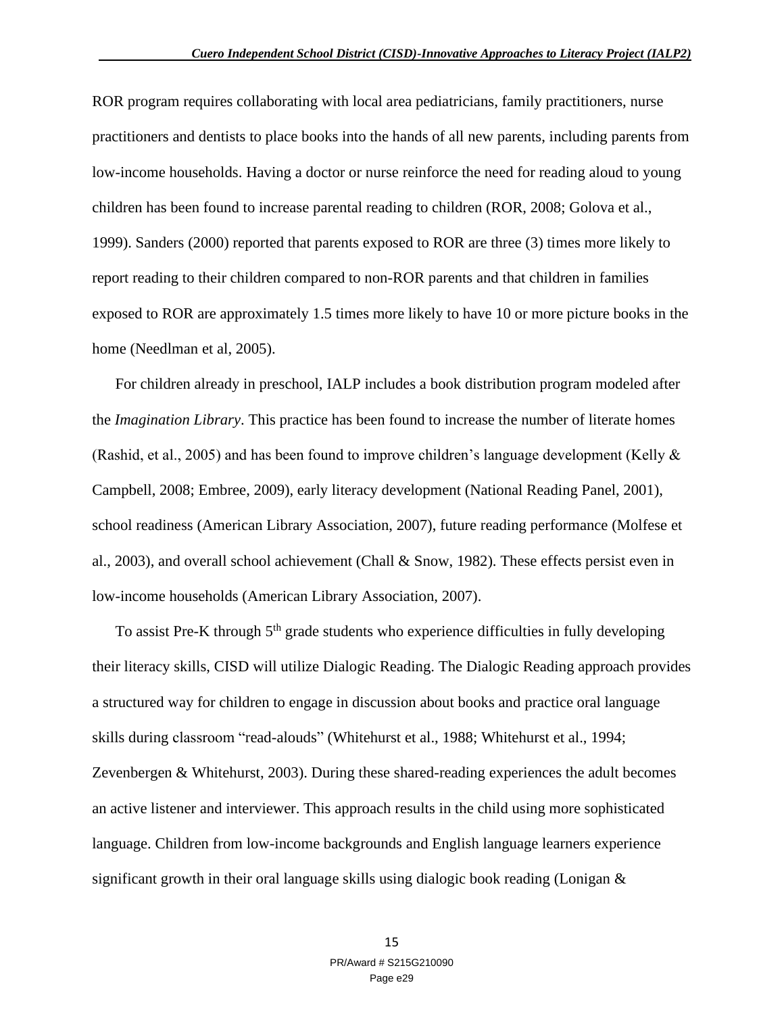ROR program requires collaborating with local area pediatricians, family practitioners, nurse practitioners and dentists to place books into the hands of all new parents, including parents from low-income households. Having a doctor or nurse reinforce the need for reading aloud to young children has been found to increase parental reading to children (ROR, 2008; Golova et al., 1999). Sanders (2000) reported that parents exposed to ROR are three (3) times more likely to report reading to their children compared to non-ROR parents and that children in families exposed to ROR are approximately 1.5 times more likely to have 10 or more picture books in the home (Needlman et al, 2005).

For children already in preschool, IALP includes a book distribution program modeled after the *Imagination Library*. This practice has been found to increase the number of literate homes (Rashid, et al., 2005) and has been found to improve children's language development (Kelly & Campbell, 2008; Embree, 2009), early literacy development (National Reading Panel, 2001), school readiness (American Library Association, 2007), future reading performance (Molfese et al., 2003), and overall school achievement (Chall & Snow, 1982). These effects persist even in low-income households (American Library Association, 2007).

To assist Pre-K through 5<sup>th</sup> grade students who experience difficulties in fully developing their literacy skills, CISD will utilize Dialogic Reading. The Dialogic Reading approach provides a structured way for children to engage in discussion about books and practice oral language skills during classroom "read-alouds" (Whitehurst et al., 1988; Whitehurst et al., 1994; Zevenbergen & Whitehurst, 2003). During these shared-reading experiences the adult becomes an active listener and interviewer. This approach results in the child using more sophisticated language. Children from low-income backgrounds and English language learners experience significant growth in their oral language skills using dialogic book reading (Lonigan &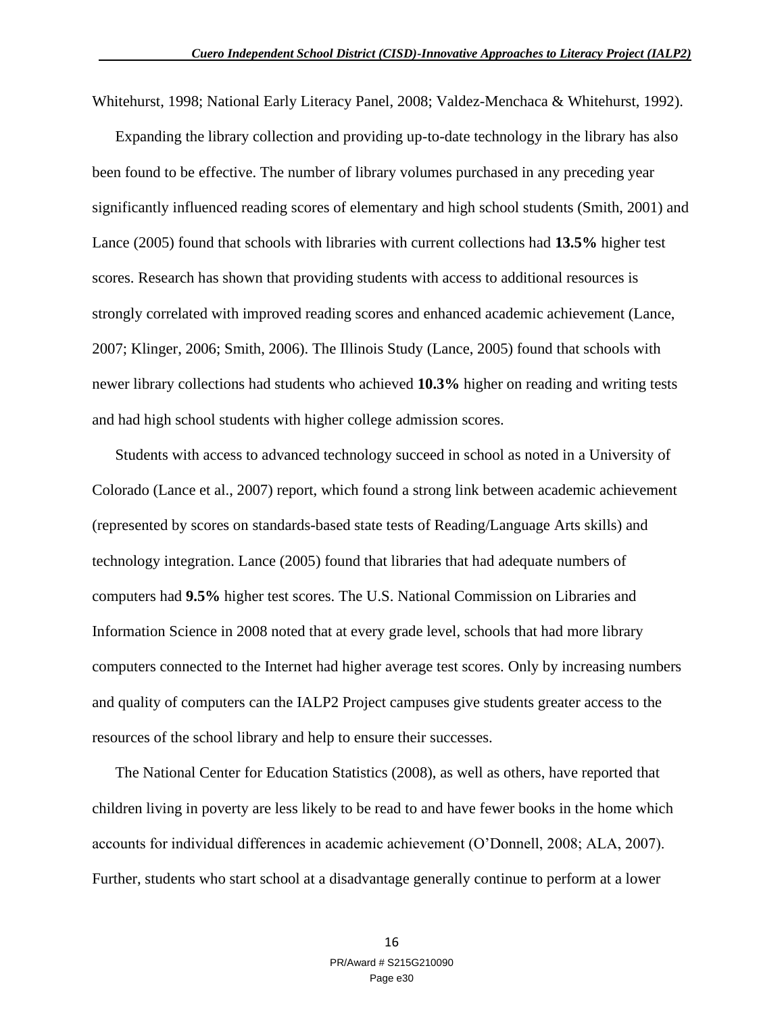Whitehurst, 1998; National Early Literacy Panel, 2008; Valdez-Menchaca & Whitehurst, 1992).

Expanding the library collection and providing up-to-date technology in the library has also been found to be effective. The number of library volumes purchased in any preceding year significantly influenced reading scores of elementary and high school students (Smith, 2001) and Lance (2005) found that schools with libraries with current collections had **13.5%** higher test scores. Research has shown that providing students with access to additional resources is strongly correlated with improved reading scores and enhanced academic achievement (Lance, 2007; Klinger, 2006; Smith, 2006). The Illinois Study (Lance, 2005) found that schools with newer library collections had students who achieved **10.3%** higher on reading and writing tests and had high school students with higher college admission scores.

Students with access to advanced technology succeed in school as noted in a University of Colorado (Lance et al., 2007) report, which found a strong link between academic achievement (represented by scores on standards-based state tests of Reading/Language Arts skills) and technology integration. Lance (2005) found that libraries that had adequate numbers of computers had **9.5%** higher test scores. The U.S. National Commission on Libraries and Information Science in 2008 noted that at every grade level, schools that had more library computers connected to the Internet had higher average test scores. Only by increasing numbers and quality of computers can the IALP2 Project campuses give students greater access to the resources of the school library and help to ensure their successes.

The National Center for Education Statistics (2008), as well as others, have reported that children living in poverty are less likely to be read to and have fewer books in the home which accounts for individual differences in academic achievement (O'Donnell, 2008; ALA, 2007). Further, students who start school at a disadvantage generally continue to perform at a lower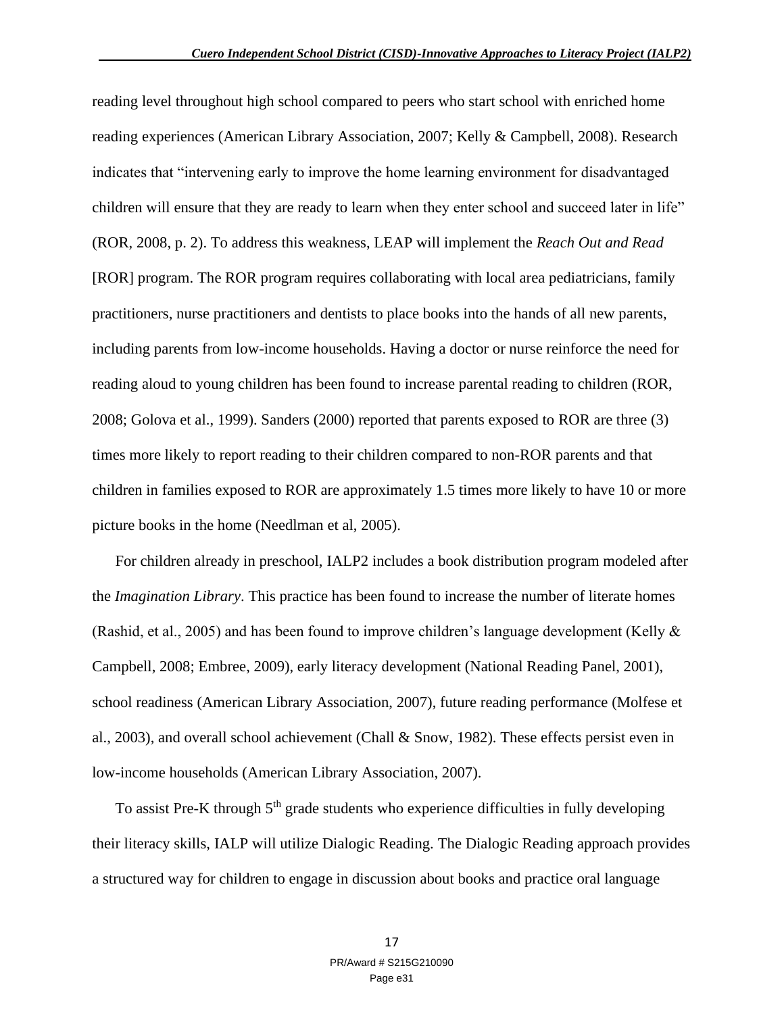reading level throughout high school compared to peers who start school with enriched home reading experiences (American Library Association, 2007; Kelly & Campbell, 2008). Research indicates that "intervening early to improve the home learning environment for disadvantaged children will ensure that they are ready to learn when they enter school and succeed later in life" (ROR, 2008, p. 2). To address this weakness, LEAP will implement the *Reach Out and Read* [ROR] program. The ROR program requires collaborating with local area pediatricians, family practitioners, nurse practitioners and dentists to place books into the hands of all new parents, including parents from low-income households. Having a doctor or nurse reinforce the need for reading aloud to young children has been found to increase parental reading to children (ROR, 2008; Golova et al., 1999). Sanders (2000) reported that parents exposed to ROR are three (3) times more likely to report reading to their children compared to non-ROR parents and that children in families exposed to ROR are approximately 1.5 times more likely to have 10 or more picture books in the home (Needlman et al, 2005).

For children already in preschool, IALP2 includes a book distribution program modeled after the *Imagination Library*. This practice has been found to increase the number of literate homes (Rashid, et al., 2005) and has been found to improve children's language development (Kelly & Campbell, 2008; Embree, 2009), early literacy development (National Reading Panel, 2001), school readiness (American Library Association, 2007), future reading performance (Molfese et al., 2003), and overall school achievement (Chall & Snow, 1982). These effects persist even in low-income households (American Library Association, 2007).

To assist Pre-K through 5<sup>th</sup> grade students who experience difficulties in fully developing their literacy skills, IALP will utilize Dialogic Reading. The Dialogic Reading approach provides a structured way for children to engage in discussion about books and practice oral language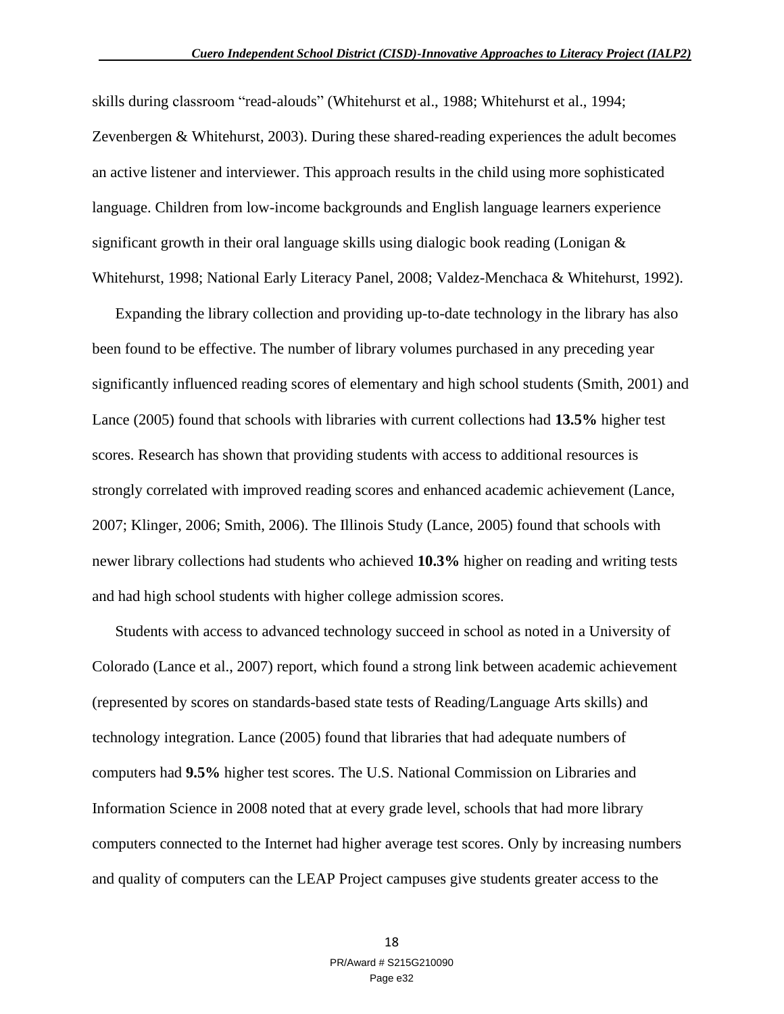skills during classroom "read-alouds" (Whitehurst et al., 1988; Whitehurst et al., 1994; Zevenbergen & Whitehurst, 2003). During these shared-reading experiences the adult becomes an active listener and interviewer. This approach results in the child using more sophisticated language. Children from low-income backgrounds and English language learners experience significant growth in their oral language skills using dialogic book reading (Lonigan & Whitehurst, 1998; National Early Literacy Panel, 2008; Valdez-Menchaca & Whitehurst, 1992).

Expanding the library collection and providing up-to-date technology in the library has also been found to be effective. The number of library volumes purchased in any preceding year significantly influenced reading scores of elementary and high school students (Smith, 2001) and Lance (2005) found that schools with libraries with current collections had **13.5%** higher test scores. Research has shown that providing students with access to additional resources is strongly correlated with improved reading scores and enhanced academic achievement (Lance, 2007; Klinger, 2006; Smith, 2006). The Illinois Study (Lance, 2005) found that schools with newer library collections had students who achieved **10.3%** higher on reading and writing tests and had high school students with higher college admission scores.

Students with access to advanced technology succeed in school as noted in a University of Colorado (Lance et al., 2007) report, which found a strong link between academic achievement (represented by scores on standards-based state tests of Reading/Language Arts skills) and technology integration. Lance (2005) found that libraries that had adequate numbers of computers had **9.5%** higher test scores. The U.S. National Commission on Libraries and Information Science in 2008 noted that at every grade level, schools that had more library computers connected to the Internet had higher average test scores. Only by increasing numbers and quality of computers can the LEAP Project campuses give students greater access to the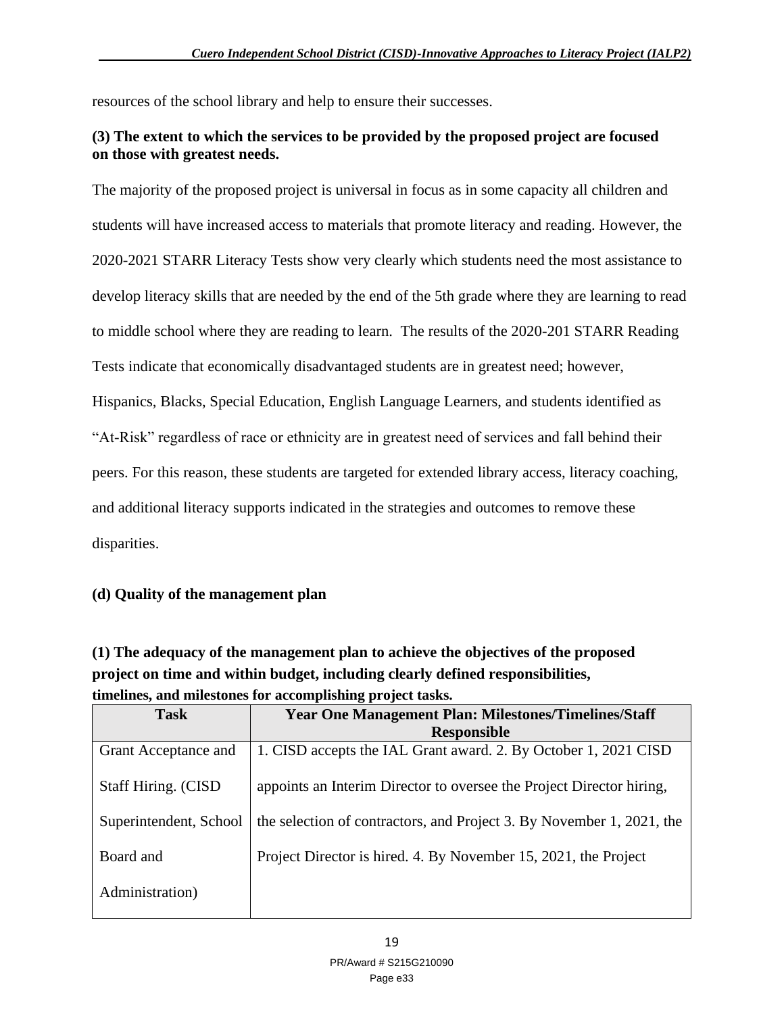resources of the school library and help to ensure their successes.

### **(3) The extent to which the services to be provided by the proposed project are focused on those with greatest needs.**

The majority of the proposed project is universal in focus as in some capacity all children and students will have increased access to materials that promote literacy and reading. However, the 2020-2021 STARR Literacy Tests show very clearly which students need the most assistance to develop literacy skills that are needed by the end of the 5th grade where they are learning to read to middle school where they are reading to learn. The results of the 2020-201 STARR Reading Tests indicate that economically disadvantaged students are in greatest need; however, Hispanics, Blacks, Special Education, English Language Learners, and students identified as "At-Risk" regardless of race or ethnicity are in greatest need of services and fall behind their peers. For this reason, these students are targeted for extended library access, literacy coaching, and additional literacy supports indicated in the strategies and outcomes to remove these disparities.

### **(d) Quality of the management plan**

**(1) The adequacy of the management plan to achieve the objectives of the proposed project on time and within budget, including clearly defined responsibilities, timelines, and milestones for accomplishing project tasks.** 

| <b>Task</b>                 | <b>Year One Management Plan: Milestones/Timelines/Staff</b><br><b>Responsible</b> |
|-----------------------------|-----------------------------------------------------------------------------------|
| Grant Acceptance and        | 1. CISD accepts the IAL Grant award. 2. By October 1, 2021 CISD                   |
| <b>Staff Hiring. (CISD)</b> | appoints an Interim Director to oversee the Project Director hiring,              |
| Superintendent, School      | the selection of contractors, and Project 3. By November 1, 2021, the             |
| Board and                   | Project Director is hired. 4. By November 15, 2021, the Project                   |
| Administration)             |                                                                                   |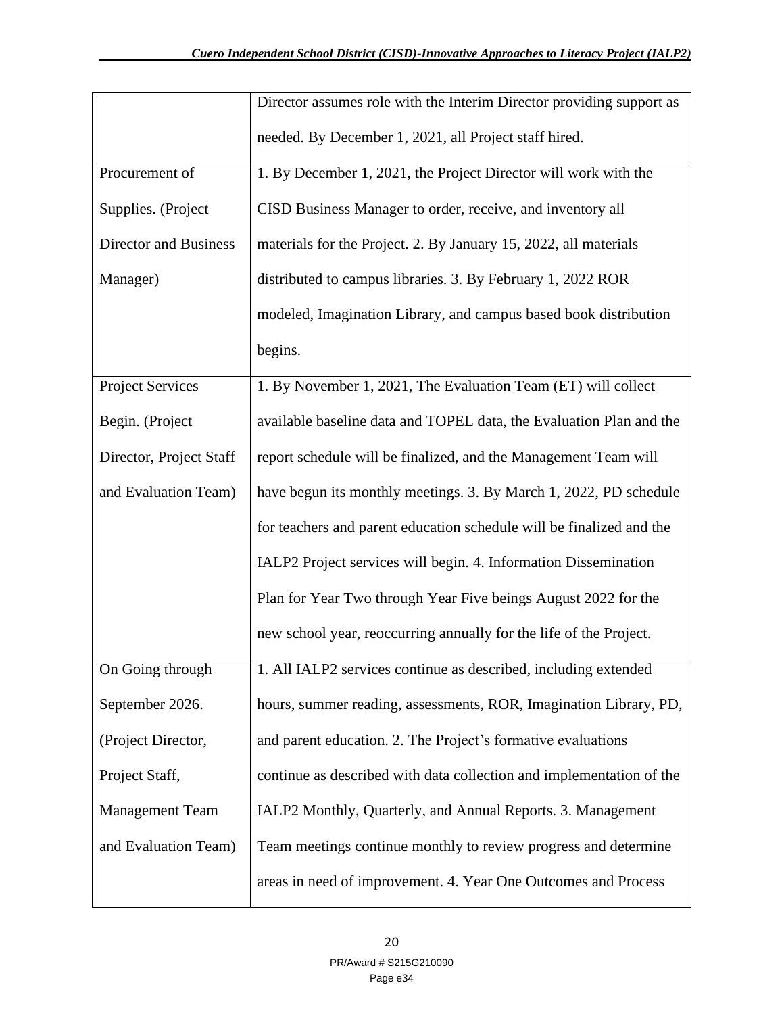|                              | Director assumes role with the Interim Director providing support as |
|------------------------------|----------------------------------------------------------------------|
|                              | needed. By December 1, 2021, all Project staff hired.                |
| Procurement of               | 1. By December 1, 2021, the Project Director will work with the      |
| Supplies. (Project           | CISD Business Manager to order, receive, and inventory all           |
| <b>Director and Business</b> | materials for the Project. 2. By January 15, 2022, all materials     |
| Manager)                     | distributed to campus libraries. 3. By February 1, 2022 ROR          |
|                              | modeled, Imagination Library, and campus based book distribution     |
|                              | begins.                                                              |
| <b>Project Services</b>      | 1. By November 1, 2021, The Evaluation Team (ET) will collect        |
| Begin. (Project              | available baseline data and TOPEL data, the Evaluation Plan and the  |
| Director, Project Staff      | report schedule will be finalized, and the Management Team will      |
| and Evaluation Team)         | have begun its monthly meetings. 3. By March 1, 2022, PD schedule    |
|                              | for teachers and parent education schedule will be finalized and the |
|                              | IALP2 Project services will begin. 4. Information Dissemination      |
|                              | Plan for Year Two through Year Five beings August 2022 for the       |
|                              | new school year, reoccurring annually for the life of the Project.   |
| On Going through             | 1. All IALP2 services continue as described, including extended      |
| September 2026.              | hours, summer reading, assessments, ROR, Imagination Library, PD,    |
| (Project Director,           | and parent education. 2. The Project's formative evaluations         |
| Project Staff,               | continue as described with data collection and implementation of the |
| <b>Management Team</b>       | IALP2 Monthly, Quarterly, and Annual Reports. 3. Management          |
| and Evaluation Team)         | Team meetings continue monthly to review progress and determine      |
|                              | areas in need of improvement. 4. Year One Outcomes and Process       |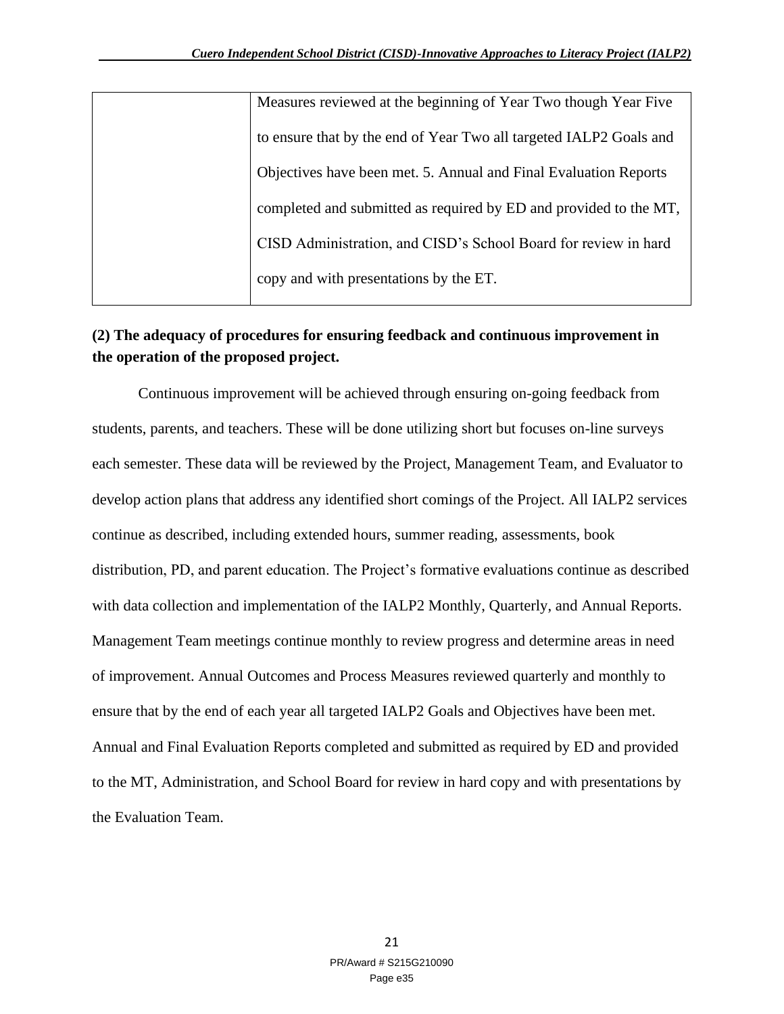| Measures reviewed at the beginning of Year Two though Year Five    |
|--------------------------------------------------------------------|
| to ensure that by the end of Year Two all targeted IALP2 Goals and |
| Objectives have been met. 5. Annual and Final Evaluation Reports   |
| completed and submitted as required by ED and provided to the MT,  |
| CISD Administration, and CISD's School Board for review in hard    |
| copy and with presentations by the ET.                             |

### **(2) The adequacy of procedures for ensuring feedback and continuous improvement in the operation of the proposed project.**

Continuous improvement will be achieved through ensuring on-going feedback from students, parents, and teachers. These will be done utilizing short but focuses on-line surveys each semester. These data will be reviewed by the Project, Management Team, and Evaluator to develop action plans that address any identified short comings of the Project. All IALP2 services continue as described, including extended hours, summer reading, assessments, book distribution, PD, and parent education. The Project's formative evaluations continue as described with data collection and implementation of the IALP2 Monthly, Quarterly, and Annual Reports. Management Team meetings continue monthly to review progress and determine areas in need of improvement. Annual Outcomes and Process Measures reviewed quarterly and monthly to ensure that by the end of each year all targeted IALP2 Goals and Objectives have been met. Annual and Final Evaluation Reports completed and submitted as required by ED and provided to the MT, Administration, and School Board for review in hard copy and with presentations by the Evaluation Team.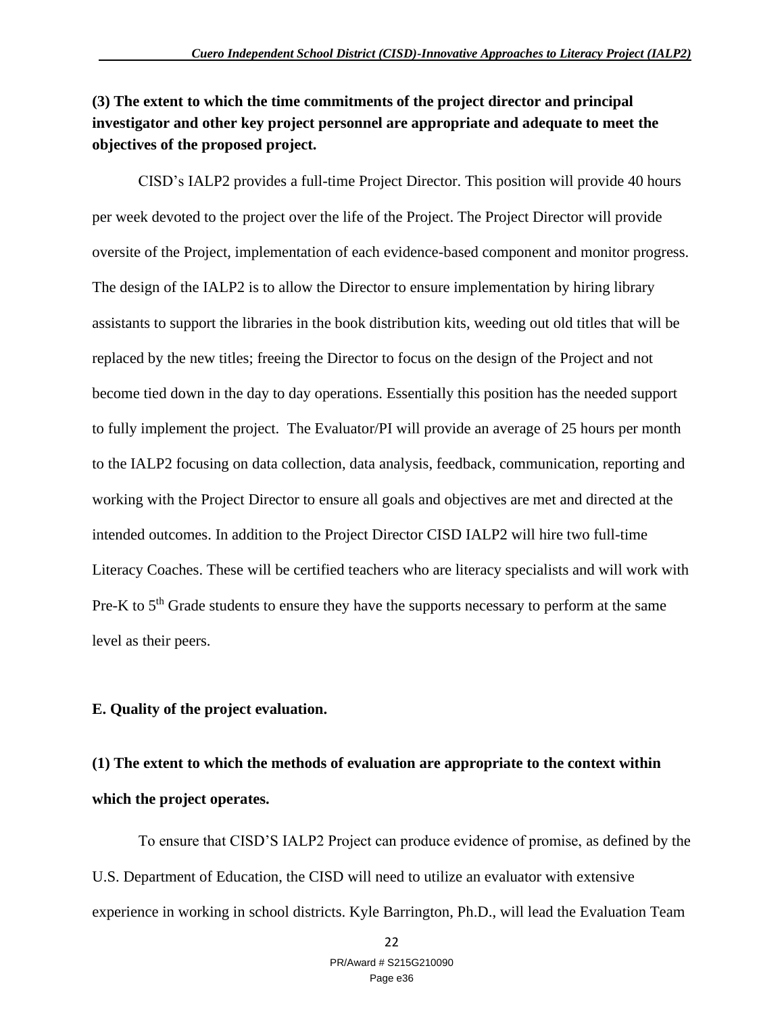### **(3) The extent to which the time commitments of the project director and principal investigator and other key project personnel are appropriate and adequate to meet the objectives of the proposed project.**

CISD's IALP2 provides a full-time Project Director. This position will provide 40 hours per week devoted to the project over the life of the Project. The Project Director will provide oversite of the Project, implementation of each evidence-based component and monitor progress. The design of the IALP2 is to allow the Director to ensure implementation by hiring library assistants to support the libraries in the book distribution kits, weeding out old titles that will be replaced by the new titles; freeing the Director to focus on the design of the Project and not become tied down in the day to day operations. Essentially this position has the needed support to fully implement the project. The Evaluator/PI will provide an average of 25 hours per month to the IALP2 focusing on data collection, data analysis, feedback, communication, reporting and working with the Project Director to ensure all goals and objectives are met and directed at the intended outcomes. In addition to the Project Director CISD IALP2 will hire two full-time Literacy Coaches. These will be certified teachers who are literacy specialists and will work with Pre-K to 5<sup>th</sup> Grade students to ensure they have the supports necessary to perform at the same level as their peers.

#### **E. Quality of the project evaluation.**

## **(1) The extent to which the methods of evaluation are appropriate to the context within which the project operates.**

To ensure that CISD'S IALP2 Project can produce evidence of promise, as defined by the U.S. Department of Education, the CISD will need to utilize an evaluator with extensive experience in working in school districts. Kyle Barrington, Ph.D., will lead the Evaluation Team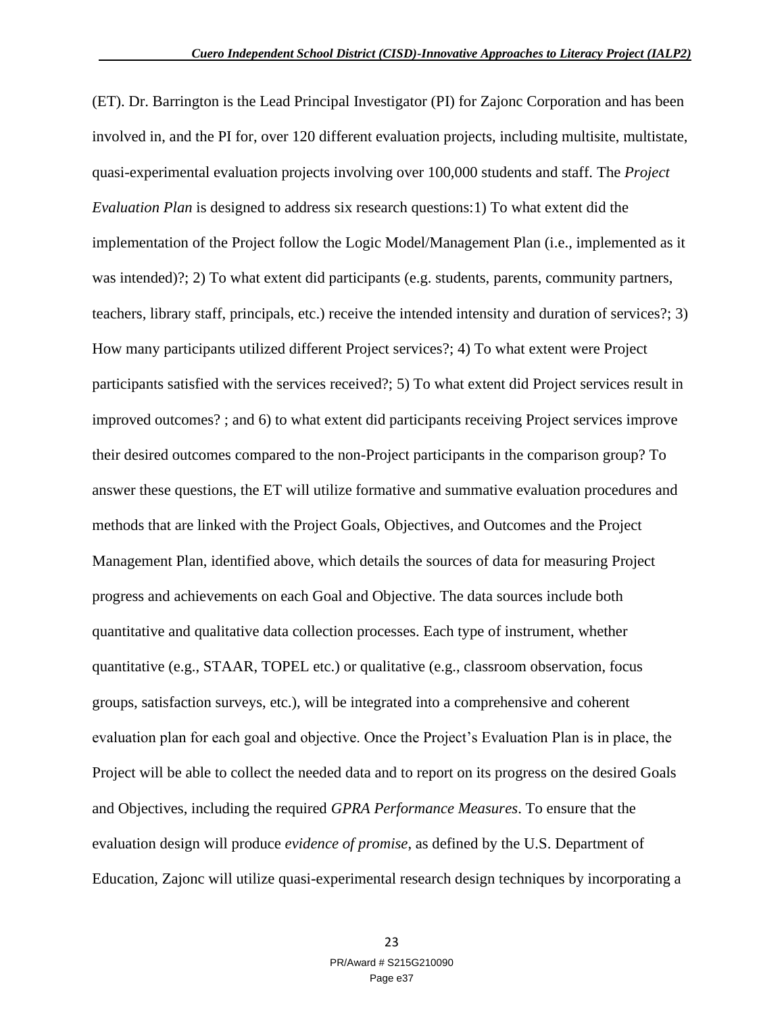(ET). Dr. Barrington is the Lead Principal Investigator (PI) for Zajonc Corporation and has been involved in, and the PI for, over 120 different evaluation projects, including multisite, multistate, quasi-experimental evaluation projects involving over 100,000 students and staff. The *Project Evaluation Plan* is designed to address six research questions:1) To what extent did the implementation of the Project follow the Logic Model/Management Plan (i.e., implemented as it was intended)?; 2) To what extent did participants (e.g. students, parents, community partners, teachers, library staff, principals, etc.) receive the intended intensity and duration of services?; 3) How many participants utilized different Project services?; 4) To what extent were Project participants satisfied with the services received?; 5) To what extent did Project services result in improved outcomes? ; and 6) to what extent did participants receiving Project services improve their desired outcomes compared to the non-Project participants in the comparison group? To answer these questions, the ET will utilize formative and summative evaluation procedures and methods that are linked with the Project Goals, Objectives, and Outcomes and the Project Management Plan, identified above, which details the sources of data for measuring Project progress and achievements on each Goal and Objective. The data sources include both quantitative and qualitative data collection processes. Each type of instrument, whether quantitative (e.g., STAAR, TOPEL etc.) or qualitative (e.g., classroom observation, focus groups, satisfaction surveys, etc.), will be integrated into a comprehensive and coherent evaluation plan for each goal and objective. Once the Project's Evaluation Plan is in place, the Project will be able to collect the needed data and to report on its progress on the desired Goals and Objectives, including the required *GPRA Performance Measures*. To ensure that the evaluation design will produce *evidence of promise*, as defined by the U.S. Department of Education, Zajonc will utilize quasi-experimental research design techniques by incorporating a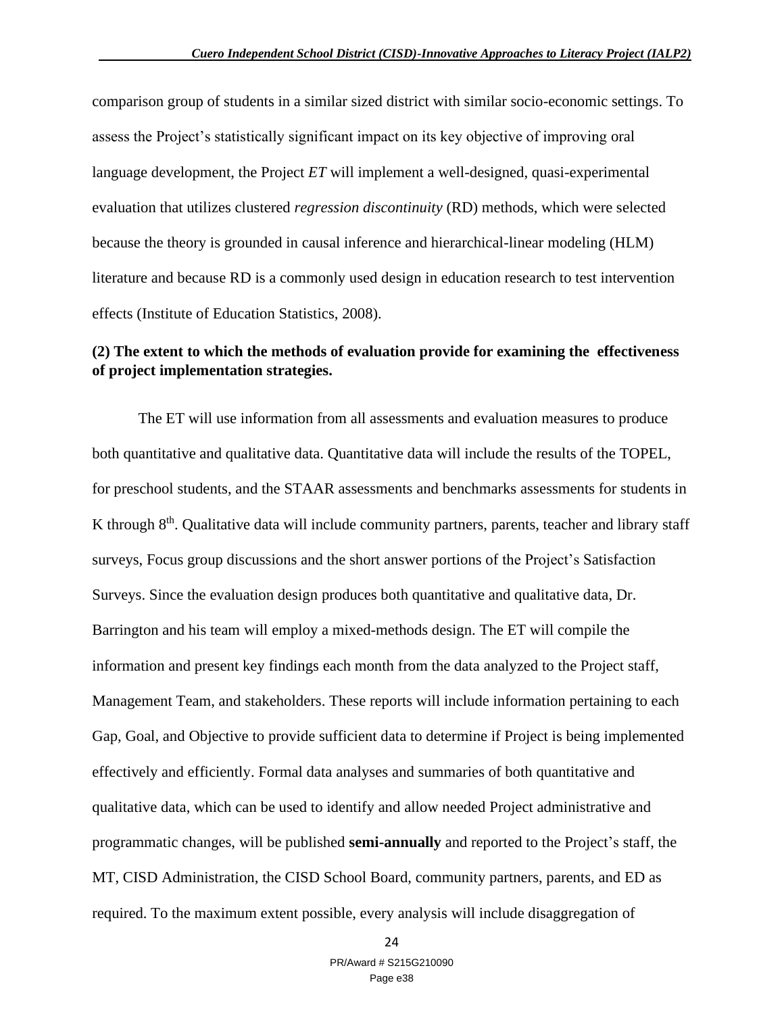comparison group of students in a similar sized district with similar socio-economic settings. To assess the Project's statistically significant impact on its key objective of improving oral language development, the Project *ET* will implement a well-designed, quasi-experimental evaluation that utilizes clustered *regression discontinuity* (RD) methods, which were selected because the theory is grounded in causal inference and hierarchical-linear modeling (HLM) literature and because RD is a commonly used design in education research to test intervention effects (Institute of Education Statistics, 2008).

# **(2) The extent to which the methods of evaluation provide for examining the effectiveness of project implementation strategies.**

The ET will use information from all assessments and evaluation measures to produce both quantitative and qualitative data. Quantitative data will include the results of the TOPEL, for preschool students, and the STAAR assessments and benchmarks assessments for students in K through 8<sup>th</sup>. Qualitative data will include community partners, parents, teacher and library staff surveys, Focus group discussions and the short answer portions of the Project's Satisfaction Surveys. Since the evaluation design produces both quantitative and qualitative data, Dr. Barrington and his team will employ a mixed-methods design. The ET will compile the information and present key findings each month from the data analyzed to the Project staff, Management Team, and stakeholders. These reports will include information pertaining to each Gap, Goal, and Objective to provide sufficient data to determine if Project is being implemented effectively and efficiently. Formal data analyses and summaries of both quantitative and qualitative data, which can be used to identify and allow needed Project administrative and programmatic changes, will be published **semi-annually** and reported to the Project's staff, the MT, CISD Administration, the CISD School Board, community partners, parents, and ED as required. To the maximum extent possible, every analysis will include disaggregation of

24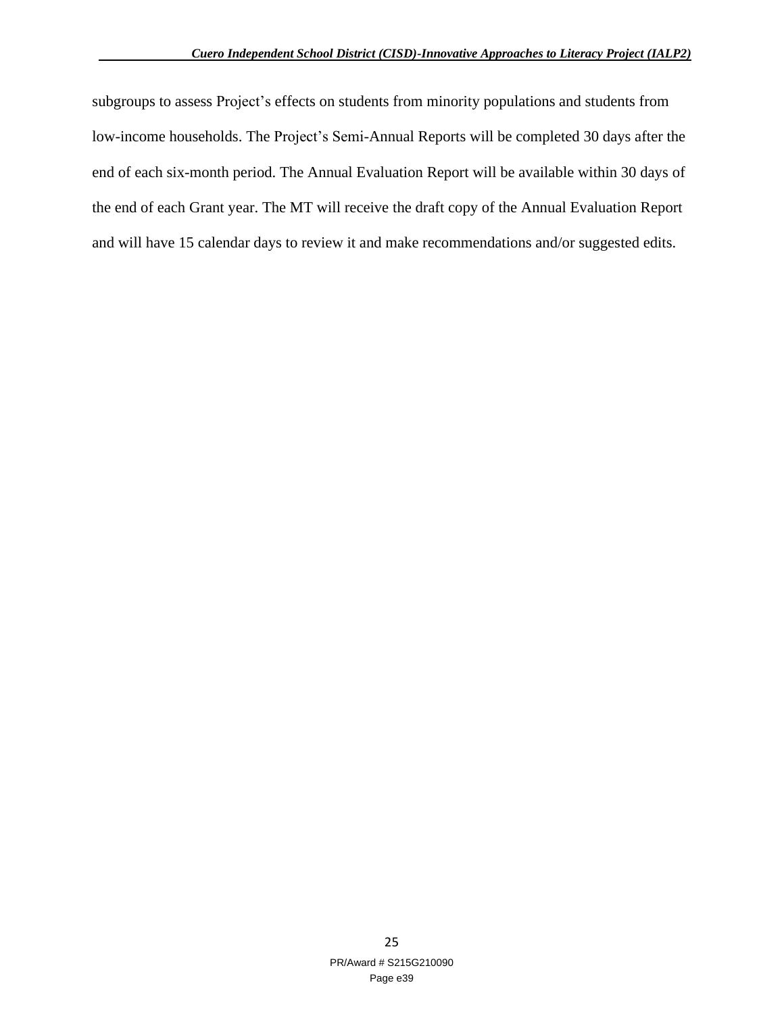subgroups to assess Project's effects on students from minority populations and students from low-income households. The Project's Semi-Annual Reports will be completed 30 days after the end of each six-month period. The Annual Evaluation Report will be available within 30 days of the end of each Grant year. The MT will receive the draft copy of the Annual Evaluation Report and will have 15 calendar days to review it and make recommendations and/or suggested edits.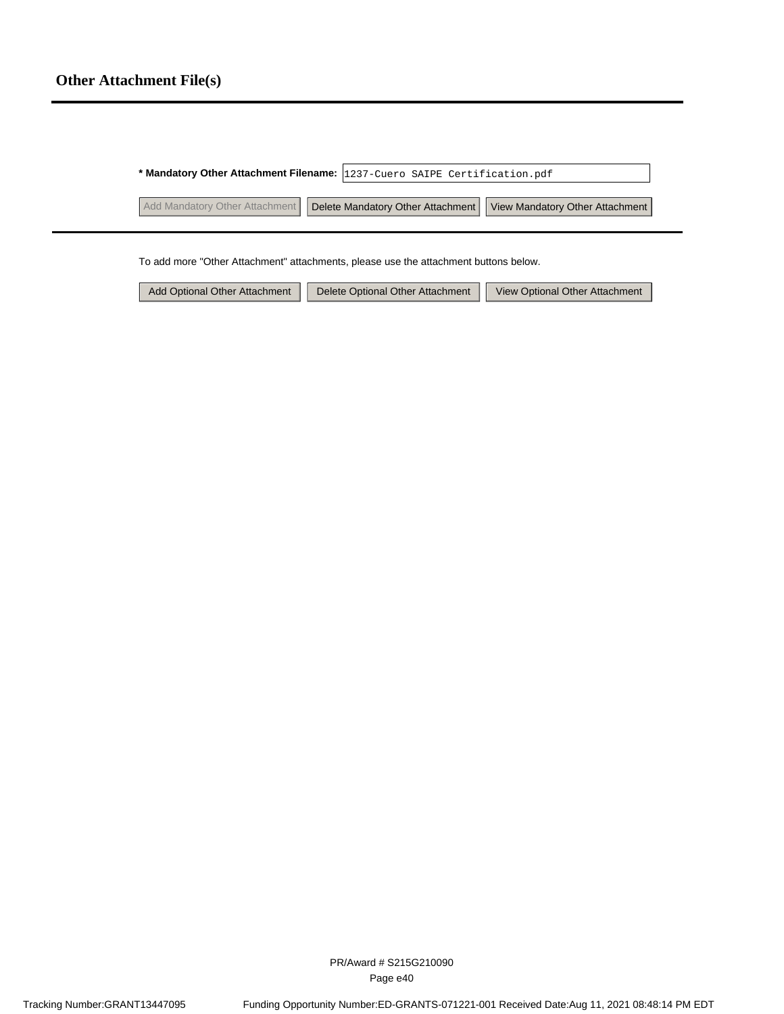|                                | * Mandatory Other Attachment Filename: 1237-Cuero SAIPE Certification.pdf |                                                                     |  |  |
|--------------------------------|---------------------------------------------------------------------------|---------------------------------------------------------------------|--|--|
| Add Mandatory Other Attachment |                                                                           | Delete Mandatory Other Attachment   View Mandatory Other Attachment |  |  |

To add more "Other Attachment" attachments, please use the attachment buttons below.

Add Optional Other Attachment | Delete Optional Other Attachment | View Optional Other Attachment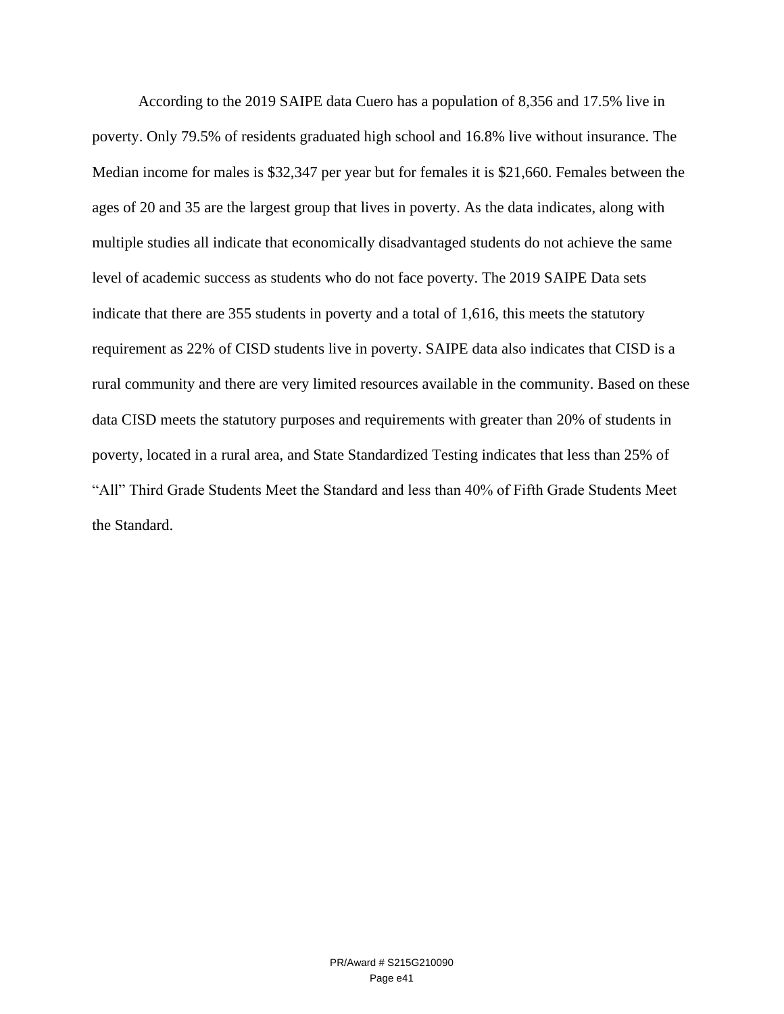According to the 2019 SAIPE data Cuero has a population of 8,356 and 17.5% live in poverty. Only 79.5% of residents graduated high school and 16.8% live without insurance. The Median income for males is \$32,347 per year but for females it is \$21,660. Females between the ages of 20 and 35 are the largest group that lives in poverty. As the data indicates, along with multiple studies all indicate that economically disadvantaged students do not achieve the same level of academic success as students who do not face poverty. The 2019 SAIPE Data sets indicate that there are 355 students in poverty and a total of 1,616, this meets the statutory requirement as 22% of CISD students live in poverty. SAIPE data also indicates that CISD is a rural community and there are very limited resources available in the community. Based on these data CISD meets the statutory purposes and requirements with greater than 20% of students in poverty, located in a rural area, and State Standardized Testing indicates that less than 25% of "All" Third Grade Students Meet the Standard and less than 40% of Fifth Grade Students Meet the Standard.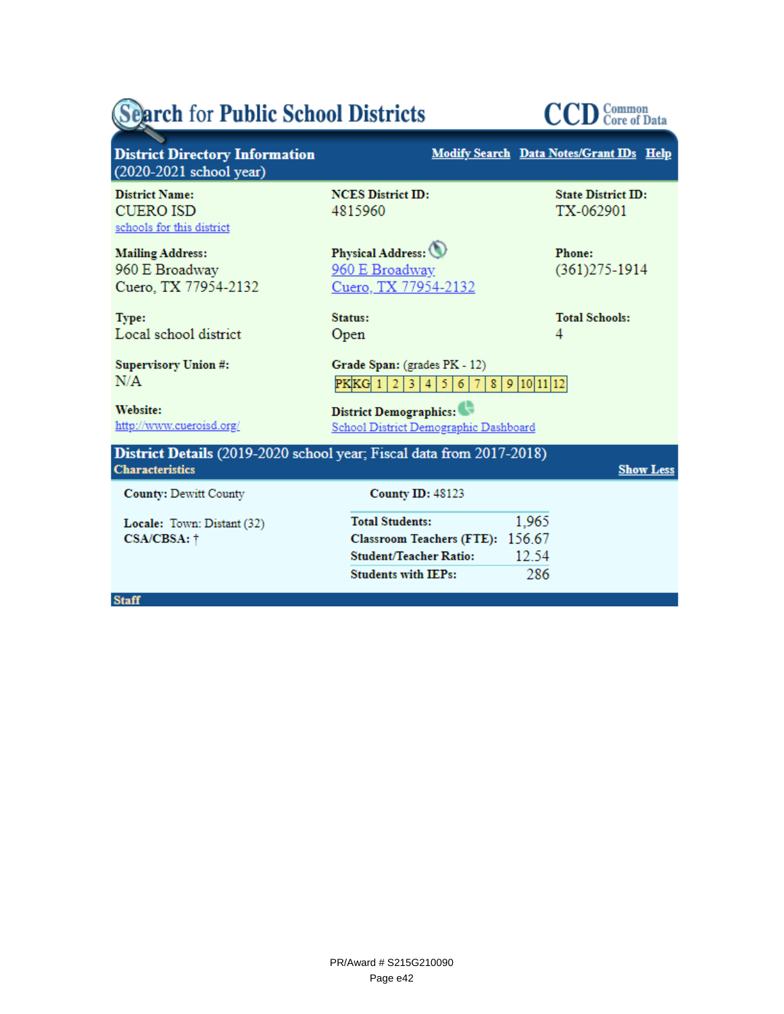# Search for Public School Districts



| <b>District Directory Information</b><br>$(2020-2021$ school year)                             |                                                                                                                           | Modify Search Data Notes/Grant IDs Help |
|------------------------------------------------------------------------------------------------|---------------------------------------------------------------------------------------------------------------------------|-----------------------------------------|
| <b>District Name:</b><br><b>CUERO ISD</b><br>schools for this district                         | <b>NCES</b> District ID:<br>4815960                                                                                       | <b>State District ID:</b><br>TX-062901  |
| <b>Mailing Address:</b><br>960 E Broadway<br>Cuero, TX 77954-2132                              | Physical Address:<br>960 E Broadway<br>Cuero, TX 77954-2132                                                               | Phone:<br>$(361)275 - 1914$             |
| Type:<br>Local school district                                                                 | Status:<br>Open                                                                                                           | <b>Total Schools:</b><br>4              |
| Supervisory Union #:<br>N/A                                                                    | Grade Span: (grades PK - 12)<br>$PKKG$ 1 2 3<br>$\overline{4}$<br>5.<br>6 <sup>1</sup><br>-7<br>8                         | 9 10 11 12                              |
| <b>Website:</b><br>http://www.cueroisd.org/                                                    | District Demographics:<br>School District Demographic Dashboard                                                           |                                         |
| District Details (2019-2020 school year; Fiscal data from 2017-2018)<br><b>Characteristics</b> |                                                                                                                           | <b>Show Less</b>                        |
| <b>County: Dewitt County</b>                                                                   | <b>County ID: 48123</b>                                                                                                   |                                         |
| Locale: Town: Distant (32)<br>CSA/CBSA: †                                                      | <b>Total Students:</b><br>Classroom Teachers (FTE): 156.67<br><b>Student/Teacher Ratio:</b><br><b>Students with IEPs:</b> | 1,965<br>12.54<br>286                   |
| <b>Staff</b>                                                                                   |                                                                                                                           |                                         |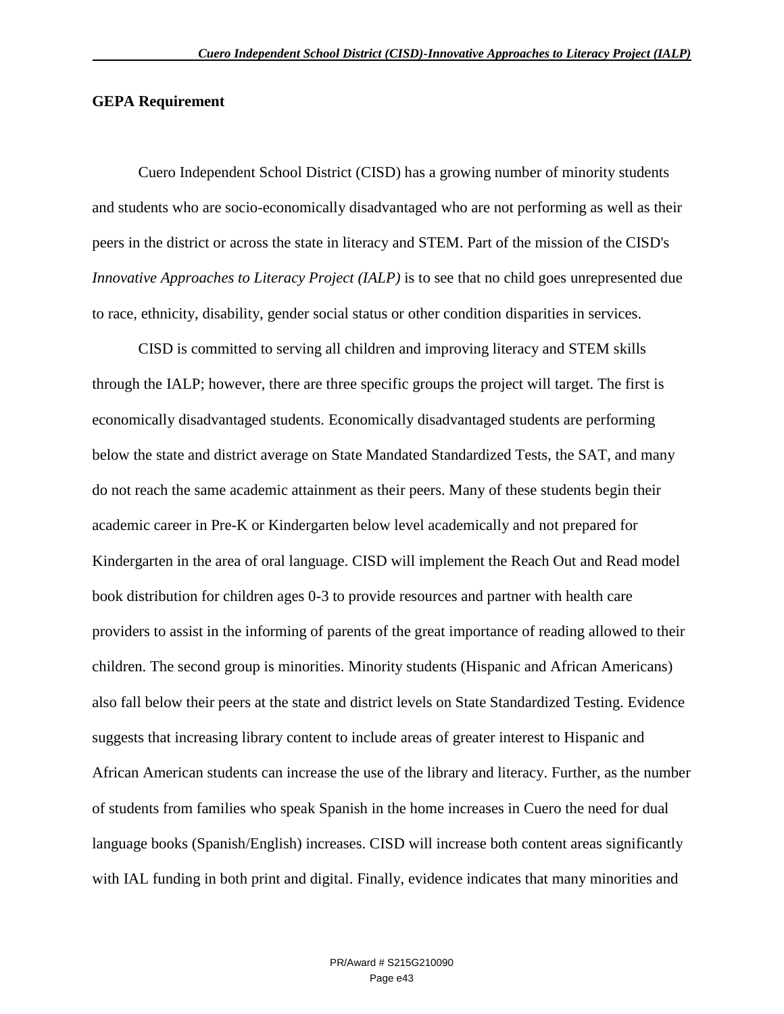#### **GEPA Requirement**

Cuero Independent School District (CISD) has a growing number of minority students and students who are socio-economically disadvantaged who are not performing as well as their peers in the district or across the state in literacy and STEM. Part of the mission of the CISD's *Innovative Approaches to Literacy Project (IALP)* is to see that no child goes unrepresented due to race, ethnicity, disability, gender social status or other condition disparities in services.

CISD is committed to serving all children and improving literacy and STEM skills through the IALP; however, there are three specific groups the project will target. The first is economically disadvantaged students. Economically disadvantaged students are performing below the state and district average on State Mandated Standardized Tests, the SAT, and many do not reach the same academic attainment as their peers. Many of these students begin their academic career in Pre-K or Kindergarten below level academically and not prepared for Kindergarten in the area of oral language. CISD will implement the Reach Out and Read model book distribution for children ages 0-3 to provide resources and partner with health care providers to assist in the informing of parents of the great importance of reading allowed to their children. The second group is minorities. Minority students (Hispanic and African Americans) also fall below their peers at the state and district levels on State Standardized Testing. Evidence suggests that increasing library content to include areas of greater interest to Hispanic and African American students can increase the use of the library and literacy. Further, as the number of students from families who speak Spanish in the home increases in Cuero the need for dual language books (Spanish/English) increases. CISD will increase both content areas significantly with IAL funding in both print and digital. Finally, evidence indicates that many minorities and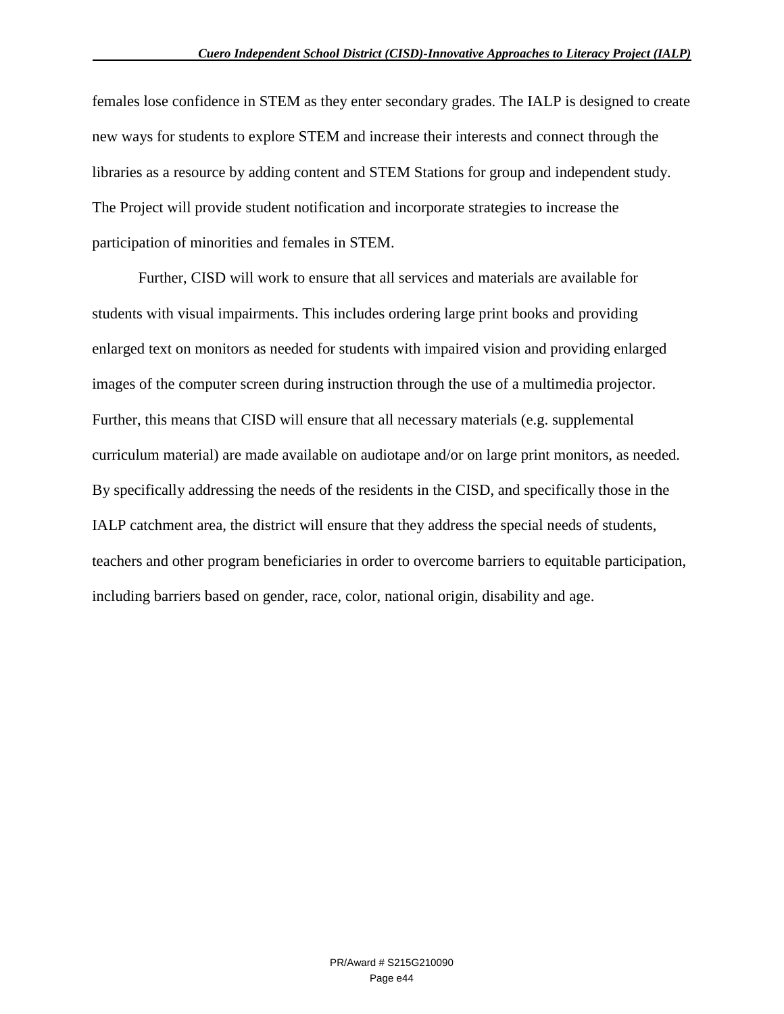females lose confidence in STEM as they enter secondary grades. The IALP is designed to create new ways for students to explore STEM and increase their interests and connect through the libraries as a resource by adding content and STEM Stations for group and independent study. The Project will provide student notification and incorporate strategies to increase the participation of minorities and females in STEM.

Further, CISD will work to ensure that all services and materials are available for students with visual impairments. This includes ordering large print books and providing enlarged text on monitors as needed for students with impaired vision and providing enlarged images of the computer screen during instruction through the use of a multimedia projector. Further, this means that CISD will ensure that all necessary materials (e.g. supplemental curriculum material) are made available on audiotape and/or on large print monitors, as needed. By specifically addressing the needs of the residents in the CISD, and specifically those in the IALP catchment area, the district will ensure that they address the special needs of students, teachers and other program beneficiaries in order to overcome barriers to equitable participation, including barriers based on gender, race, color, national origin, disability and age.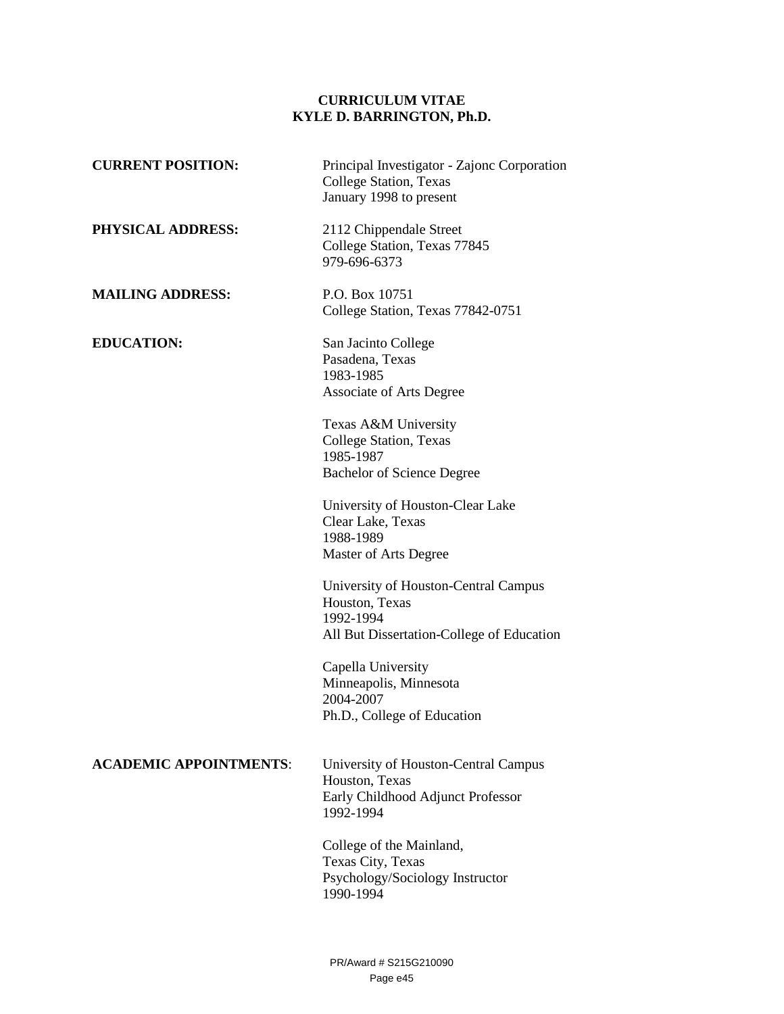#### **CURRICULUM VITAE KYLE D. BARRINGTON, Ph.D.**

| <b>CURRENT POSITION:</b>      | Principal Investigator - Zajonc Corporation<br>College Station, Texas<br>January 1998 to present                 |
|-------------------------------|------------------------------------------------------------------------------------------------------------------|
| PHYSICAL ADDRESS:             | 2112 Chippendale Street<br>College Station, Texas 77845<br>979-696-6373                                          |
| <b>MAILING ADDRESS:</b>       | P.O. Box 10751<br>College Station, Texas 77842-0751                                                              |
| <b>EDUCATION:</b>             | San Jacinto College<br>Pasadena, Texas<br>1983-1985<br><b>Associate of Arts Degree</b>                           |
|                               | Texas A&M University<br>College Station, Texas<br>1985-1987<br><b>Bachelor of Science Degree</b>                 |
|                               | University of Houston-Clear Lake<br>Clear Lake, Texas<br>1988-1989<br>Master of Arts Degree                      |
|                               | University of Houston-Central Campus<br>Houston, Texas<br>1992-1994<br>All But Dissertation-College of Education |
|                               | Capella University<br>Minneapolis, Minnesota<br>2004-2007<br>Ph.D., College of Education                         |
| <b>ACADEMIC APPOINTMENTS:</b> | University of Houston-Central Campus<br>Houston, Texas<br>Early Childhood Adjunct Professor<br>1992-1994         |
|                               | College of the Mainland,<br>Texas City, Texas<br>Psychology/Sociology Instructor<br>1990-1994                    |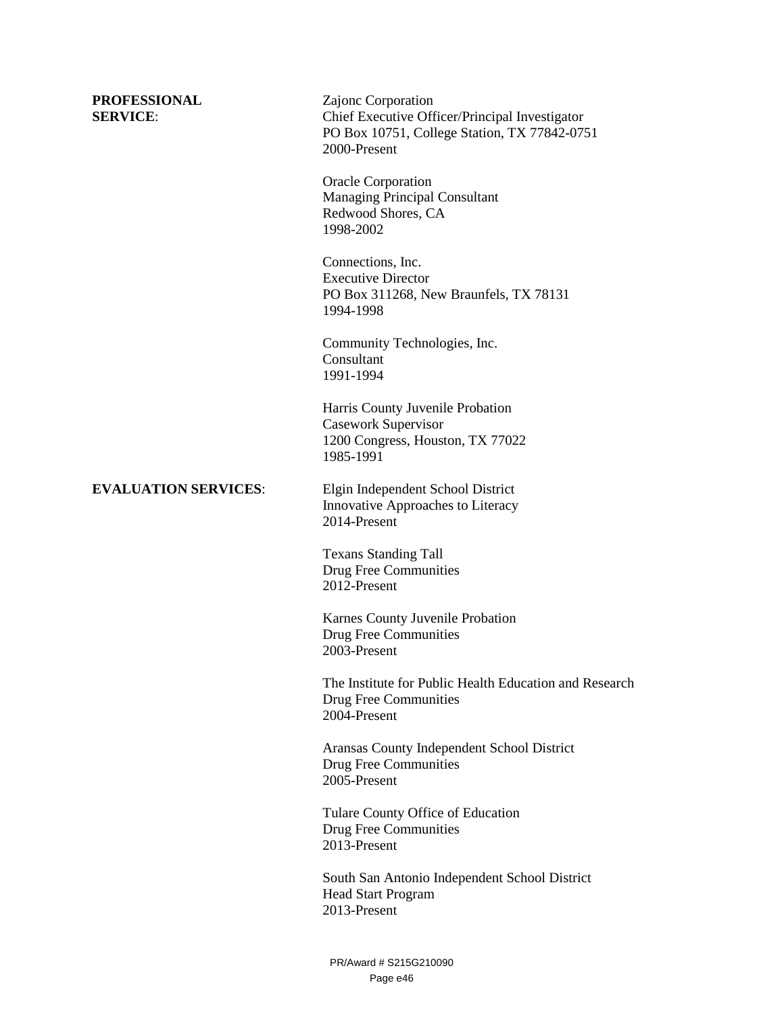**PROFESSIONAL** Zajonc Corporation **SERVICE:** Chief Executive Officer/Principal Investigator PO Box 10751, College Station, TX 77842-0751 2000-Present

> Oracle Corporation Managing Principal Consultant Redwood Shores, CA 1998-2002

 Connections, Inc. Executive Director PO Box 311268, New Braunfels, TX 78131 1994-1998

 Community Technologies, Inc. Consultant 1991-1994

 Harris County Juvenile Probation Casework Supervisor 1200 Congress, Houston, TX 77022 1985-1991

**EVALUATION SERVICES**: Elgin Independent School District Innovative Approaches to Literacy 2014-Present

> Texans Standing Tall Drug Free Communities 2012-Present

 Karnes County Juvenile Probation Drug Free Communities 2003-Present

 The Institute for Public Health Education and Research Drug Free Communities 2004-Present

 Aransas County Independent School District Drug Free Communities 2005-Present

 Tulare County Office of Education Drug Free Communities 2013-Present

South San Antonio Independent School District Head Start Program 2013-Present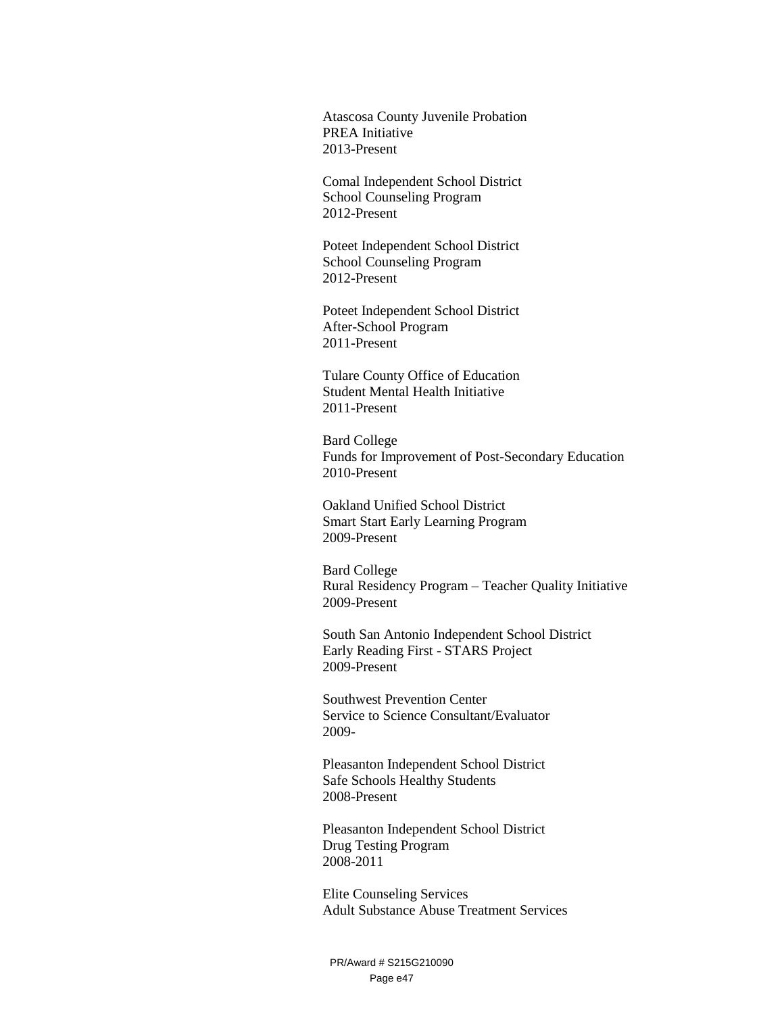Atascosa County Juvenile Probation PREA Initiative 2013-Present

 Comal Independent School District School Counseling Program 2012-Present

Poteet Independent School District School Counseling Program 2012-Present

Poteet Independent School District After-School Program 2011-Present

 Tulare County Office of Education Student Mental Health Initiative 2011-Present

Bard College Funds for Improvement of Post-Secondary Education 2010-Present

Oakland Unified School District Smart Start Early Learning Program 2009-Present

 Bard College Rural Residency Program – Teacher Quality Initiative 2009-Present

South San Antonio Independent School District Early Reading First - STARS Project 2009-Present

Southwest Prevention Center Service to Science Consultant/Evaluator 2009-

Pleasanton Independent School District Safe Schools Healthy Students 2008-Present

Pleasanton Independent School District Drug Testing Program 2008-2011

Elite Counseling Services Adult Substance Abuse Treatment Services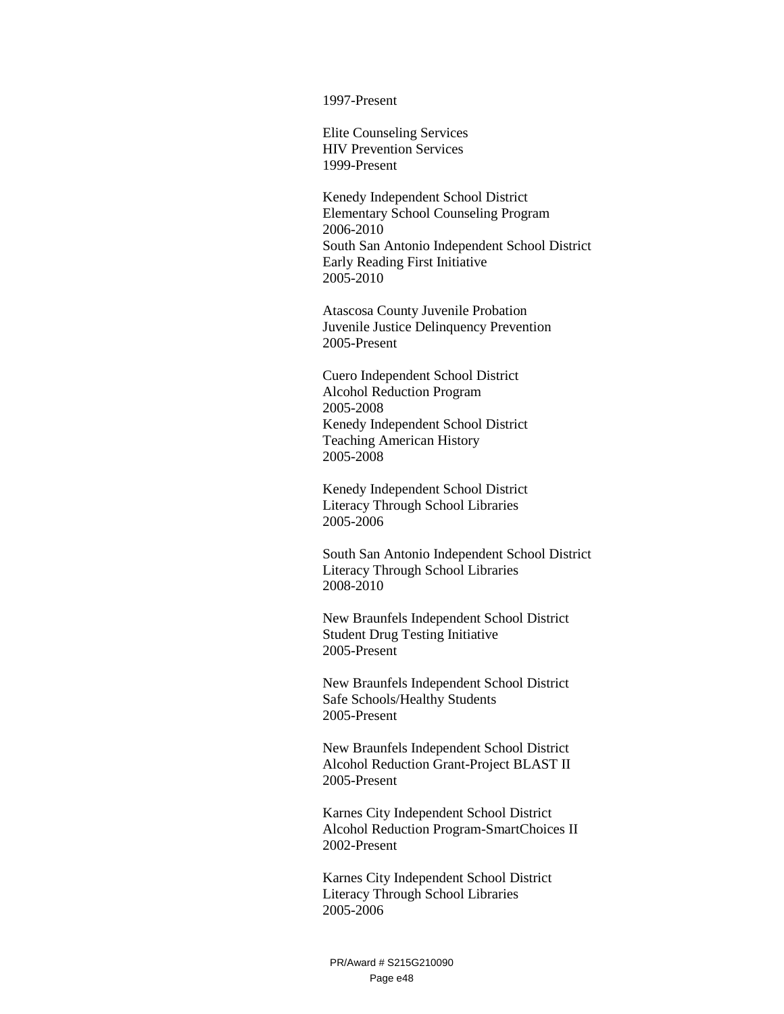1997-Present

 Elite Counseling Services HIV Prevention Services 1999-Present

Kenedy Independent School District Elementary School Counseling Program 2006-2010 South San Antonio Independent School District Early Reading First Initiative 2005-2010

Atascosa County Juvenile Probation Juvenile Justice Delinquency Prevention 2005-Present

Cuero Independent School District Alcohol Reduction Program 2005-2008 Kenedy Independent School District Teaching American History 2005-2008

 Kenedy Independent School District Literacy Through School Libraries 2005-2006

South San Antonio Independent School District Literacy Through School Libraries 2008-2010

 New Braunfels Independent School District Student Drug Testing Initiative 2005-Present

 New Braunfels Independent School District Safe Schools/Healthy Students 2005-Present

 New Braunfels Independent School District Alcohol Reduction Grant-Project BLAST II 2005-Present

Karnes City Independent School District Alcohol Reduction Program-SmartChoices II 2002-Present

Karnes City Independent School District Literacy Through School Libraries 2005-2006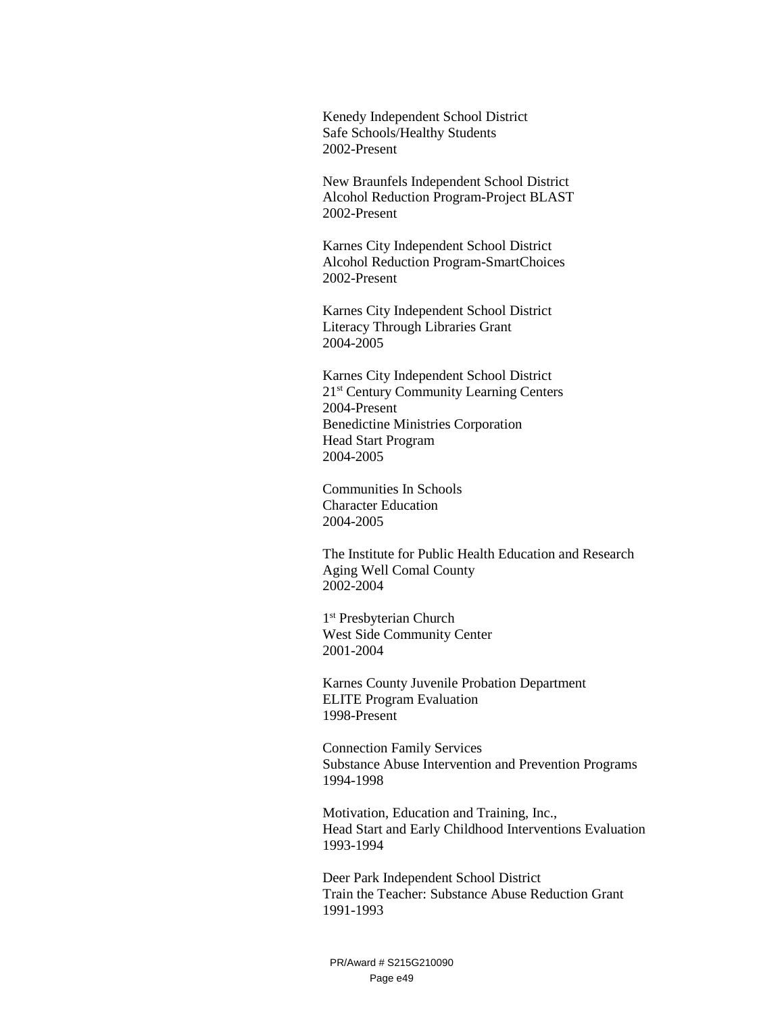Kenedy Independent School District Safe Schools/Healthy Students 2002-Present

 New Braunfels Independent School District Alcohol Reduction Program-Project BLAST 2002-Present

Karnes City Independent School District Alcohol Reduction Program-SmartChoices 2002-Present

Karnes City Independent School District Literacy Through Libraries Grant 2004-2005

Karnes City Independent School District 21st Century Community Learning Centers 2004-Present Benedictine Ministries Corporation Head Start Program 2004-2005

Communities In Schools Character Education 2004-2005

The Institute for Public Health Education and Research Aging Well Comal County 2002-2004

1 st Presbyterian Church West Side Community Center 2001-2004

Karnes County Juvenile Probation Department ELITE Program Evaluation 1998-Present

Connection Family Services Substance Abuse Intervention and Prevention Programs 1994-1998

Motivation, Education and Training, Inc., Head Start and Early Childhood Interventions Evaluation 1993-1994

Deer Park Independent School District Train the Teacher: Substance Abuse Reduction Grant 1991-1993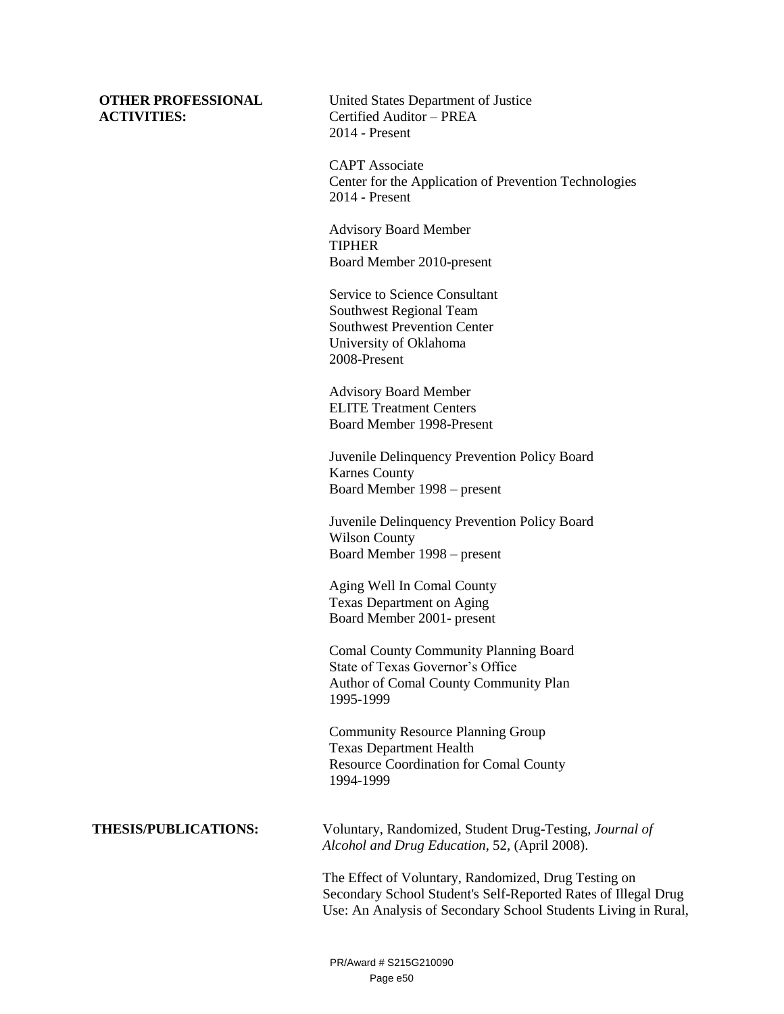#### **OTHER PROFESSIONAL ACTIVITIES:**

United States Department of Justice Certified Auditor – PREA 2014 - Present

CAPT Associate Center for the Application of Prevention Technologies 2014 - Present

Advisory Board Member TIPHER Board Member 2010-present

Service to Science Consultant Southwest Regional Team Southwest Prevention Center University of Oklahoma 2008-Present

Advisory Board Member ELITE Treatment Centers Board Member 1998-Present

Juvenile Delinquency Prevention Policy Board Karnes County Board Member 1998 – present

Juvenile Delinquency Prevention Policy Board Wilson County Board Member 1998 – present

Aging Well In Comal County Texas Department on Aging Board Member 2001- present

Comal County Community Planning Board State of Texas Governor's Office Author of Comal County Community Plan 1995-1999

Community Resource Planning Group Texas Department Health Resource Coordination for Comal County 1994-1999

**THESIS/PUBLICATIONS:** Voluntary, Randomized, Student Drug-Testing, *Journal of Alcohol and Drug Education*, 52, (April 2008).

> The Effect of Voluntary, Randomized, Drug Testing on Secondary School Student's Self-Reported Rates of Illegal Drug Use: An Analysis of Secondary School Students Living in Rural,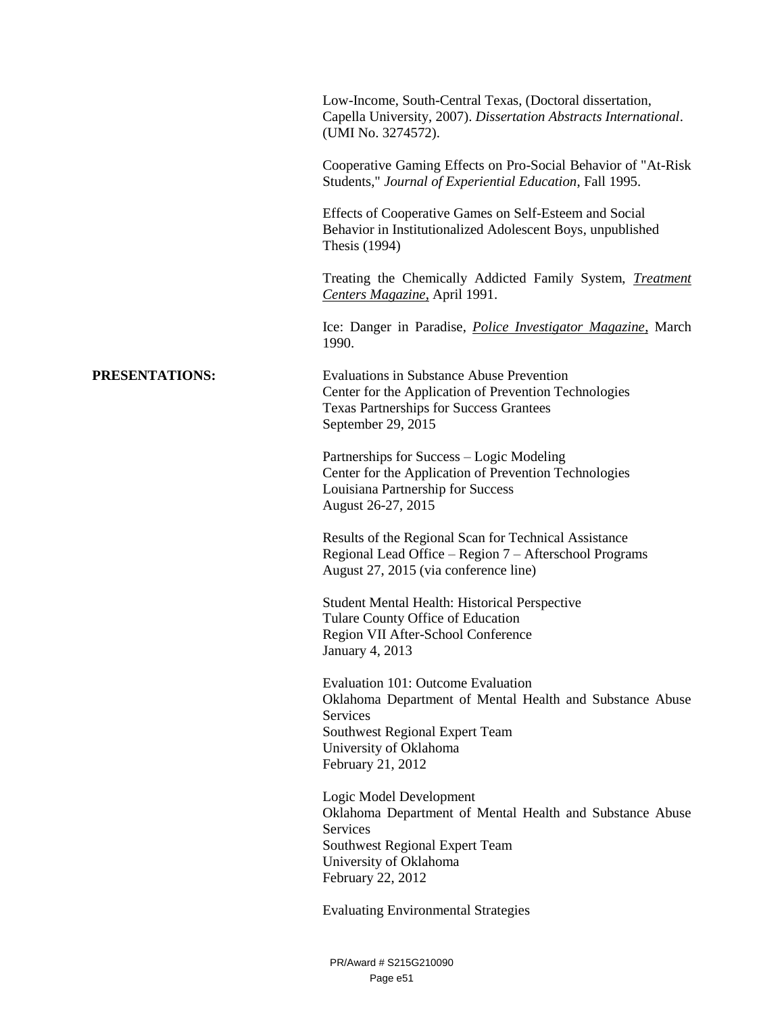|                | Low-Income, South-Central Texas, (Doctoral dissertation,<br>Capella University, 2007). Dissertation Abstracts International.<br>(UMI No. 3274572).<br>Cooperative Gaming Effects on Pro-Social Behavior of "At-Risk"<br>Students," Journal of Experiential Education, Fall 1995. |
|----------------|----------------------------------------------------------------------------------------------------------------------------------------------------------------------------------------------------------------------------------------------------------------------------------|
|                | Effects of Cooperative Games on Self-Esteem and Social<br>Behavior in Institutionalized Adolescent Boys, unpublished<br>Thesis (1994)                                                                                                                                            |
|                | Treating the Chemically Addicted Family System, <i>Treatment</i><br>Centers Magazine, April 1991.                                                                                                                                                                                |
|                | Ice: Danger in Paradise, <i>Police Investigator Magazine</i> , March<br>1990.                                                                                                                                                                                                    |
| PRESENTATIONS: | <b>Evaluations in Substance Abuse Prevention</b><br>Center for the Application of Prevention Technologies<br><b>Texas Partnerships for Success Grantees</b><br>September 29, 2015                                                                                                |
|                | Partnerships for Success – Logic Modeling<br>Center for the Application of Prevention Technologies<br>Louisiana Partnership for Success<br>August 26-27, 2015                                                                                                                    |
|                | Results of the Regional Scan for Technical Assistance<br>Regional Lead Office – Region 7 – Afterschool Programs<br>August 27, 2015 (via conference line)                                                                                                                         |
|                | Student Mental Health: Historical Perspective<br>Tulare County Office of Education<br>Region VII After-School Conference<br><b>January 4, 2013</b>                                                                                                                               |
|                | Evaluation 101: Outcome Evaluation<br>Oklahoma Department of Mental Health and Substance Abuse<br>Services<br>Southwest Regional Expert Team<br>University of Oklahoma<br>February 21, 2012                                                                                      |
|                | Logic Model Development<br>Oklahoma Department of Mental Health and Substance Abuse<br>Services<br>Southwest Regional Expert Team<br>University of Oklahoma<br>February 22, 2012                                                                                                 |
|                | <b>Evaluating Environmental Strategies</b>                                                                                                                                                                                                                                       |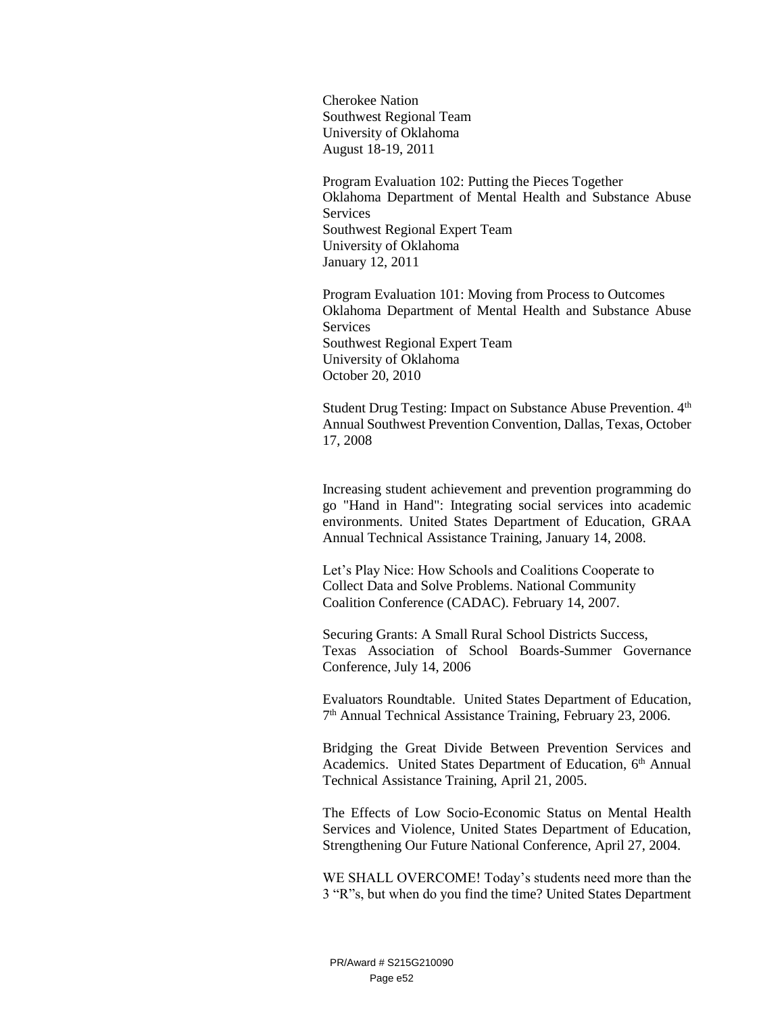Cherokee Nation Southwest Regional Team University of Oklahoma August 18-19, 2011

Program Evaluation 102: Putting the Pieces Together Oklahoma Department of Mental Health and Substance Abuse **Services** Southwest Regional Expert Team University of Oklahoma January 12, 2011

Program Evaluation 101: Moving from Process to Outcomes Oklahoma Department of Mental Health and Substance Abuse **Services** Southwest Regional Expert Team University of Oklahoma October 20, 2010

Student Drug Testing: Impact on Substance Abuse Prevention. 4<sup>th</sup> Annual Southwest Prevention Convention, Dallas, Texas, October 17, 2008

Increasing student achievement and prevention programming do go "Hand in Hand": Integrating social services into academic environments. United States Department of Education, GRAA Annual Technical Assistance Training, January 14, 2008.

Let's Play Nice: How Schools and Coalitions Cooperate to Collect Data and Solve Problems. National Community Coalition Conference (CADAC). February 14, 2007.

Securing Grants: A Small Rural School Districts Success, Texas Association of School Boards-Summer Governance Conference, July 14, 2006

Evaluators Roundtable. United States Department of Education, 7 th Annual Technical Assistance Training, February 23, 2006.

Bridging the Great Divide Between Prevention Services and Academics. United States Department of Education, 6<sup>th</sup> Annual Technical Assistance Training, April 21, 2005.

The Effects of Low Socio-Economic Status on Mental Health Services and Violence, United States Department of Education, Strengthening Our Future National Conference, April 27, 2004.

WE SHALL OVERCOME! Today's students need more than the 3 "R"s, but when do you find the time? United States Department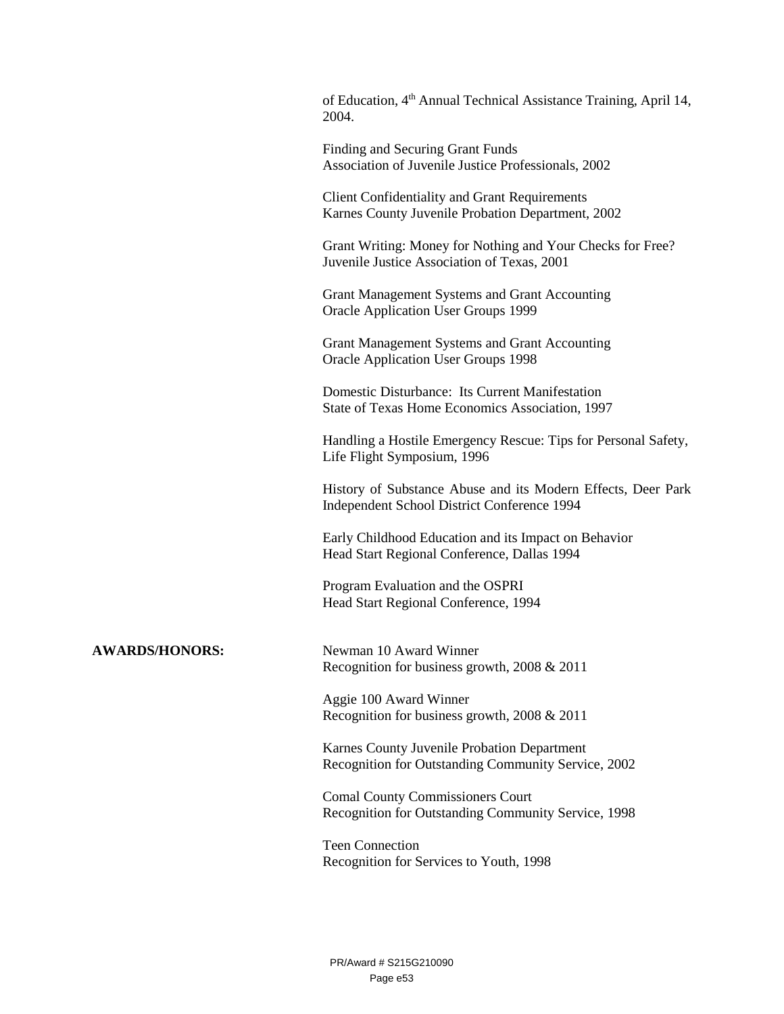| of Education, 4 <sup>th</sup> Annual Technical Assistance Training, April 14,<br>2004.                      |
|-------------------------------------------------------------------------------------------------------------|
| Finding and Securing Grant Funds<br>Association of Juvenile Justice Professionals, 2002                     |
| <b>Client Confidentiality and Grant Requirements</b><br>Karnes County Juvenile Probation Department, 2002   |
| Grant Writing: Money for Nothing and Your Checks for Free?<br>Juvenile Justice Association of Texas, 2001   |
| Grant Management Systems and Grant Accounting<br><b>Oracle Application User Groups 1999</b>                 |
| Grant Management Systems and Grant Accounting<br><b>Oracle Application User Groups 1998</b>                 |
| Domestic Disturbance: Its Current Manifestation<br>State of Texas Home Economics Association, 1997          |
| Handling a Hostile Emergency Rescue: Tips for Personal Safety,<br>Life Flight Symposium, 1996               |
| History of Substance Abuse and its Modern Effects, Deer Park<br>Independent School District Conference 1994 |
| Early Childhood Education and its Impact on Behavior<br>Head Start Regional Conference, Dallas 1994         |
| Program Evaluation and the OSPRI<br>Head Start Regional Conference, 1994                                    |
| Newman 10 Award Winner<br>Recognition for business growth, $2008 \& 2011$                                   |
| Aggie 100 Award Winner<br>Recognition for business growth, 2008 & 2011                                      |
| Karnes County Juvenile Probation Department<br>Recognition for Outstanding Community Service, 2002          |
| <b>Comal County Commissioners Court</b><br>Recognition for Outstanding Community Service, 1998              |
| <b>Teen Connection</b>                                                                                      |

Recognition for Services to Youth, 1998

**AWARDS/HONORS:**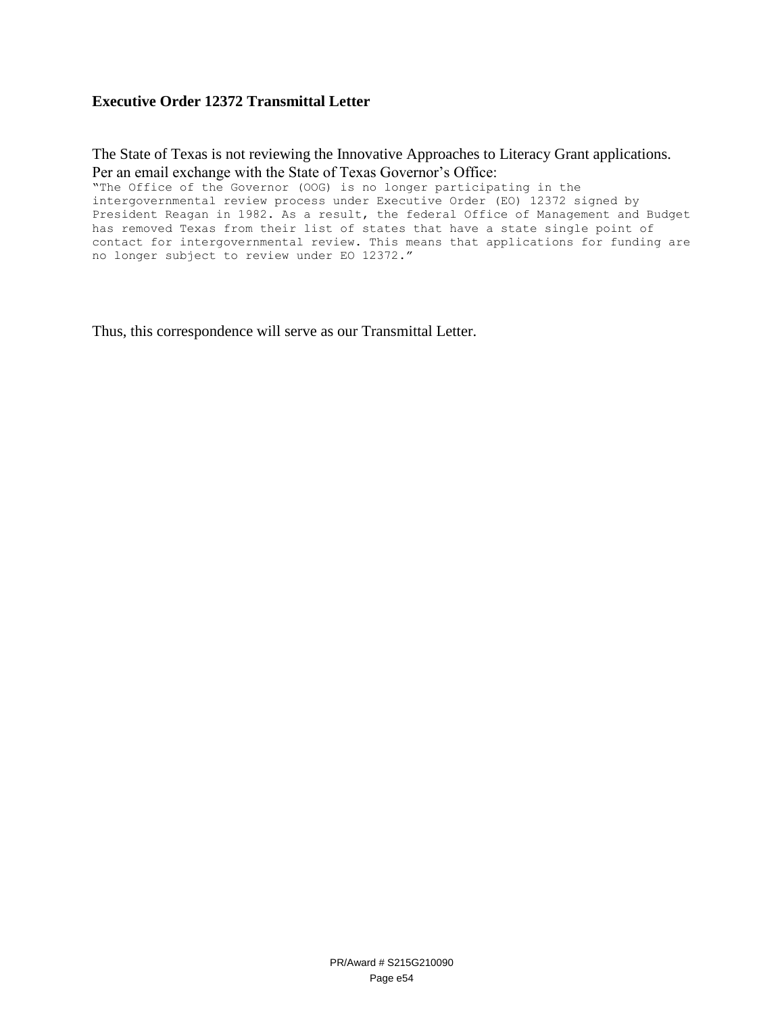#### **Executive Order 12372 Transmittal Letter**

The State of Texas is not reviewing the Innovative Approaches to Literacy Grant applications. Per an email exchange with the State of Texas Governor's Office:

"The Office of the Governor (OOG) is no longer participating in the intergovernmental review process under Executive Order (EO) 12372 signed by President Reagan in 1982. As a result, the federal Office of Management and Budget has removed Texas from their list of states that have a state single point of contact for intergovernmental review. This means that applications for funding are no longer subject to review under EO 12372."

Thus, this correspondence will serve as our Transmittal Letter.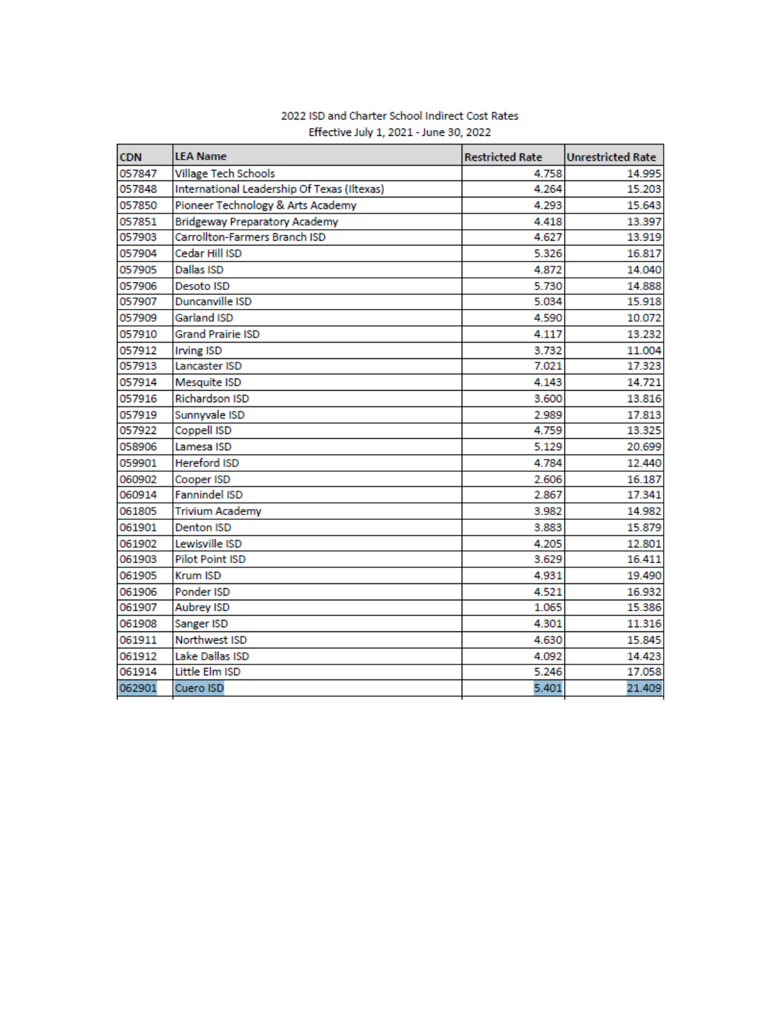| <b>CDN</b> | <b>LEA Name</b>                             | <b>Restricted Rate</b> | <b>Unrestricted Rate</b> |
|------------|---------------------------------------------|------------------------|--------------------------|
| 057847     | <b>Village Tech Schools</b>                 | 4.758                  | 14.995                   |
| 057848     | International Leadership Of Texas (Iltexas) | 4.264                  | 15.203                   |
| 057850     | Pioneer Technology & Arts Academy           | 4.293                  | 15.643                   |
| 057851     | <b>Bridgeway Preparatory Academy</b>        | 4.418                  | 13.397                   |
| 057903     | Carrollton-Farmers Branch ISD               | 4.627                  | 13.919                   |
| 057904     | Cedar Hill ISD                              | 5.326                  | 16.817                   |
| 057905     | <b>Dallas ISD</b>                           | 4.872                  | 14.040                   |
| 057906     | Desoto ISD                                  | 5.730                  | 14.888                   |
| 057907     | Duncanville ISD                             | 5.034                  | 15.918                   |
| 057909     | <b>Garland ISD</b>                          | 4.590                  | 10.072                   |
| 057910     | <b>Grand Prairie ISD</b>                    | 4.117                  | 13.232                   |
| 057912     | <b>Irving ISD</b>                           | 3.732                  | 11.004                   |
| 057913     | Lancaster ISD                               | 7.021                  | 17.323                   |
| 057914     | Mesquite ISD                                | 4.143                  | 14.721                   |
| 057916     | <b>Richardson ISD</b>                       | 3.600                  | 13.816                   |
| 057919     | Sunnyvale ISD                               | 2.989                  | 17.813                   |
| 057922     | Coppell ISD                                 | 4.759                  | 13.325                   |
| 058906     | Lamesa ISD                                  | 5.129                  | 20.699                   |
| 059901     | <b>Hereford ISD</b>                         | 4.784                  | 12.440                   |
| 060902     | Cooper ISD                                  | 2.606                  | 16.187                   |
| 060914     | <b>Fannindel ISD</b>                        | 2.867                  | 17.341                   |
| 061805     | <b>Trivium Academy</b>                      | 3.982                  | 14.982                   |
| 061901     | <b>Denton ISD</b>                           | 3.883                  | 15.879                   |
| 061902     | Lewisville ISD                              | 4.205                  | 12.801                   |
| 061903     | <b>Pilot Point ISD</b>                      | 3.629                  | 16.411                   |
| 061905     | Krum ISD                                    | 4.931                  | 19.490                   |
| 061906     | Ponder ISD                                  | 4.521                  | 16.932                   |
| 061907     | Aubrey ISD                                  | 1.065                  | 15.386                   |
| 061908     | Sanger ISD                                  | 4.301                  | 11.316                   |
| 061911     | Northwest ISD                               | 4.630                  | 15.845                   |
| 061912     | Lake Dallas ISD                             | 4.092                  | 14.423                   |
| 061914     | Little Elm ISD                              | 5.246                  | 17.058                   |
| 062901     | Cuero ISD                                   | 5.401                  | 21.409                   |

#### 2022 ISD and Charter School Indirect Cost Rates Effective July 1, 2021 - June 30, 2022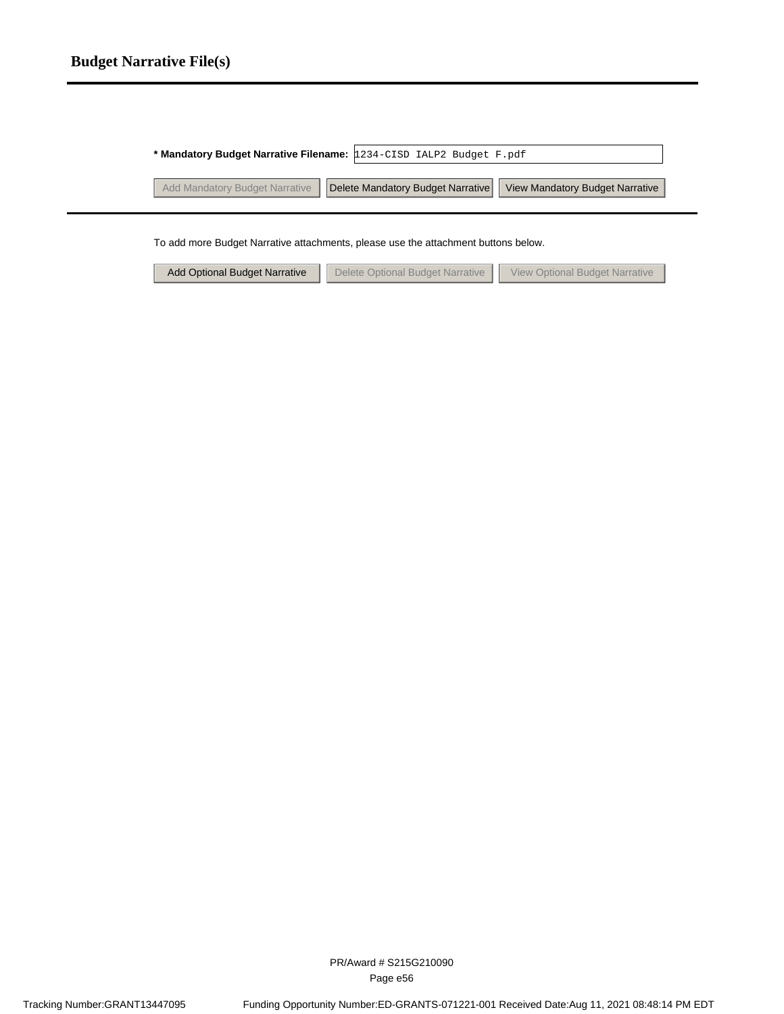# **Budget Narrative File(s)**

| * Mandatory Budget Narrative Filename: 1234-CISD IALP2 Budget F.pdf |                                 |
|---------------------------------------------------------------------|---------------------------------|
| Add Mandatory Budget Narrative   Delete Mandatory Budget Narrative  | View Mandatory Budget Narrative |
|                                                                     |                                 |

To add more Budget Narrative attachments, please use the attachment buttons below.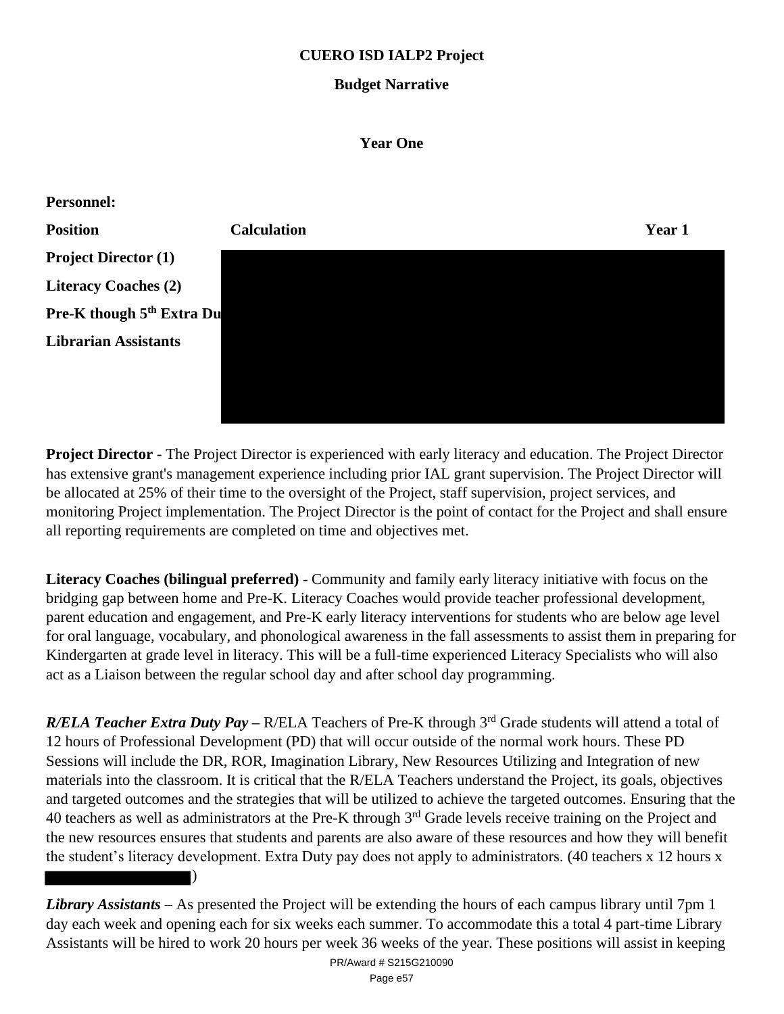# **CUERO ISD IALP2 Project**

#### **Budget Narrative**

#### **Year One**



**Project Director -** The Project Director is experienced with early literacy and education. The Project Director has extensive grant's management experience including prior IAL grant supervision. The Project Director will be allocated at 25% of their time to the oversight of the Project, staff supervision, project services, and monitoring Project implementation. The Project Director is the point of contact for the Project and shall ensure all reporting requirements are completed on time and objectives met.

**Literacy Coaches (bilingual preferred)** - Community and family early literacy initiative with focus on the bridging gap between home and Pre-K. Literacy Coaches would provide teacher professional development, parent education and engagement, and Pre-K early literacy interventions for students who are below age level for oral language, vocabulary, and phonological awareness in the fall assessments to assist them in preparing for Kindergarten at grade level in literacy. This will be a full-time experienced Literacy Specialists who will also act as a Liaison between the regular school day and after school day programming.

*R/ELA Teacher Extra Duty Pay* – R/ELA Teachers of Pre-K through 3<sup>rd</sup> Grade students will attend a total of 12 hours of Professional Development (PD) that will occur outside of the normal work hours. These PD Sessions will include the DR, ROR, Imagination Library, New Resources Utilizing and Integration of new materials into the classroom. It is critical that the R/ELA Teachers understand the Project, its goals, objectives and targeted outcomes and the strategies that will be utilized to achieve the targeted outcomes. Ensuring that the 40 teachers as well as administrators at the Pre-K through 3<sup>rd</sup> Grade levels receive training on the Project and the new resources ensures that students and parents are also aware of these resources and how they will benefit the student's literacy development. Extra Duty pay does not apply to administrators. (40 teachers x 12 hours x

*Library Assistants* – As presented the Project will be extending the hours of each campus library until 7pm 1 day each week and opening each for six weeks each summer. To accommodate this a total 4 part-time Library Assistants will be hired to work 20 hours per week 36 weeks of the year. These positions will assist in keeping

)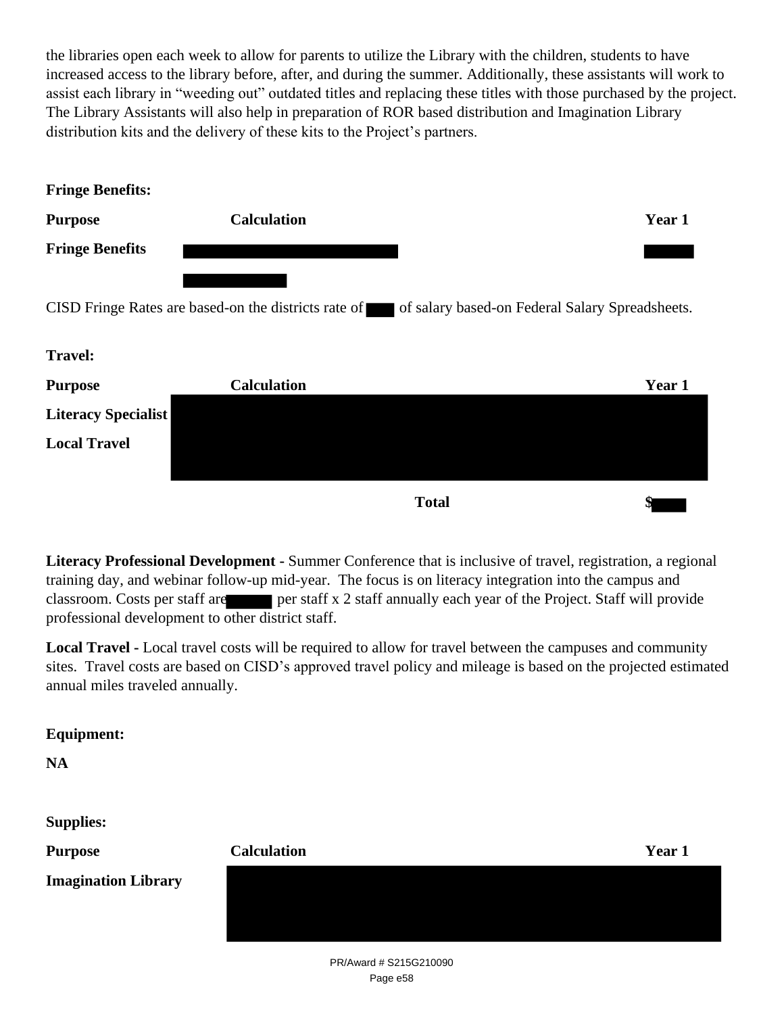the libraries open each week to allow for parents to utilize the Library with the children, students to have increased access to the library before, after, and during the summer. Additionally, these assistants will work to assist each library in "weeding out" outdated titles and replacing these titles with those purchased by the project. The Library Assistants will also help in preparation of ROR based distribution and Imagination Library distribution kits and the delivery of these kits to the Project's partners.

| <b>Fringe Benefits:</b>    |                    |                                                                                                      |        |
|----------------------------|--------------------|------------------------------------------------------------------------------------------------------|--------|
| <b>Purpose</b>             | <b>Calculation</b> |                                                                                                      | Year 1 |
| <b>Fringe Benefits</b>     |                    |                                                                                                      |        |
|                            |                    |                                                                                                      |        |
|                            |                    | CISD Fringe Rates are based-on the districts rate of of salary based-on Federal Salary Spreadsheets. |        |
|                            |                    |                                                                                                      |        |
| <b>Travel:</b>             |                    |                                                                                                      |        |
| <b>Purpose</b>             | <b>Calculation</b> |                                                                                                      | Year 1 |
| <b>Literacy Specialist</b> |                    |                                                                                                      |        |
| <b>Local Travel</b>        |                    |                                                                                                      |        |
|                            |                    |                                                                                                      |        |
|                            |                    | <b>Total</b>                                                                                         | \$     |

**Literacy Professional Development -** Summer Conference that is inclusive of travel, registration, a regional training day, and webinar follow-up mid-year. The focus is on literacy integration into the campus and classroom. Costs per staff are per staff x 2 staff annually each year of the Project. Staff will provide professional development to other district staff.

**Local Travel -** Local travel costs will be required to allow for travel between the campuses and community sites. Travel costs are based on CISD's approved travel policy and mileage is based on the projected estimated annual miles traveled annually.

# **Equipment:**

**NA**

**Supplies:**

| <b>Purpose</b>             | <b>Calculation</b> | Year 1 |
|----------------------------|--------------------|--------|
| <b>Imagination Library</b> |                    |        |
|                            |                    |        |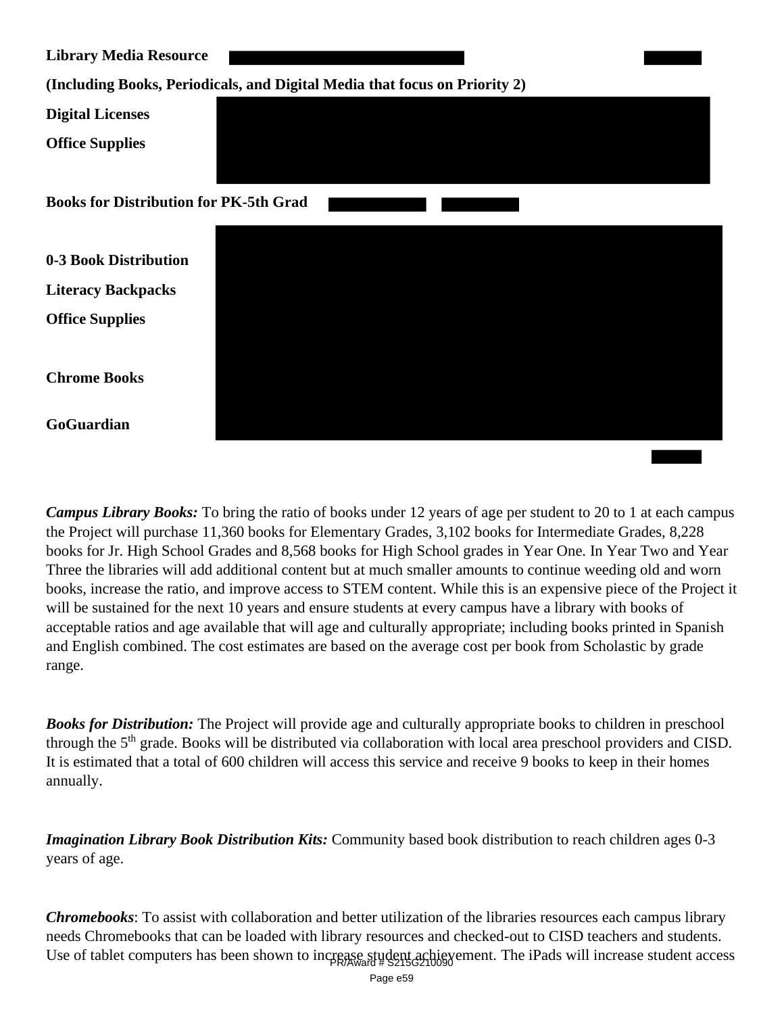| <b>Library Media Resource</b>                                              |  |  |  |
|----------------------------------------------------------------------------|--|--|--|
| (Including Books, Periodicals, and Digital Media that focus on Priority 2) |  |  |  |
| <b>Digital Licenses</b>                                                    |  |  |  |
| <b>Office Supplies</b>                                                     |  |  |  |
| <b>Books for Distribution for PK-5th Grad</b>                              |  |  |  |
| 0-3 Book Distribution                                                      |  |  |  |
| <b>Literacy Backpacks</b>                                                  |  |  |  |
| <b>Office Supplies</b>                                                     |  |  |  |
| <b>Chrome Books</b>                                                        |  |  |  |
| GoGuardian                                                                 |  |  |  |

*Campus Library Books:* To bring the ratio of books under 12 years of age per student to 20 to 1 at each campus the Project will purchase 11,360 books for Elementary Grades, 3,102 books for Intermediate Grades, 8,228 books for Jr. High School Grades and 8,568 books for High School grades in Year One. In Year Two and Year Three the libraries will add additional content but at much smaller amounts to continue weeding old and worn books, increase the ratio, and improve access to STEM content. While this is an expensive piece of the Project it will be sustained for the next 10 years and ensure students at every campus have a library with books of acceptable ratios and age available that will age and culturally appropriate; including books printed in Spanish and English combined. The cost estimates are based on the average cost per book from Scholastic by grade range.

*Books for Distribution:* The Project will provide age and culturally appropriate books to children in preschool through the 5<sup>th</sup> grade. Books will be distributed via collaboration with local area preschool providers and CISD. It is estimated that a total of 600 children will access this service and receive 9 books to keep in their homes annually.

*Imagination Library Book Distribution Kits:* Community based book distribution to reach children ages 0-3 years of age.

*Chromebooks*: To assist with collaboration and better utilization of the libraries resources each campus library needs Chromebooks that can be loaded with library resources and checked-out to CISD teachers and students. Use of tablet computers has been shown to increase student achievement. The iPads will increase student access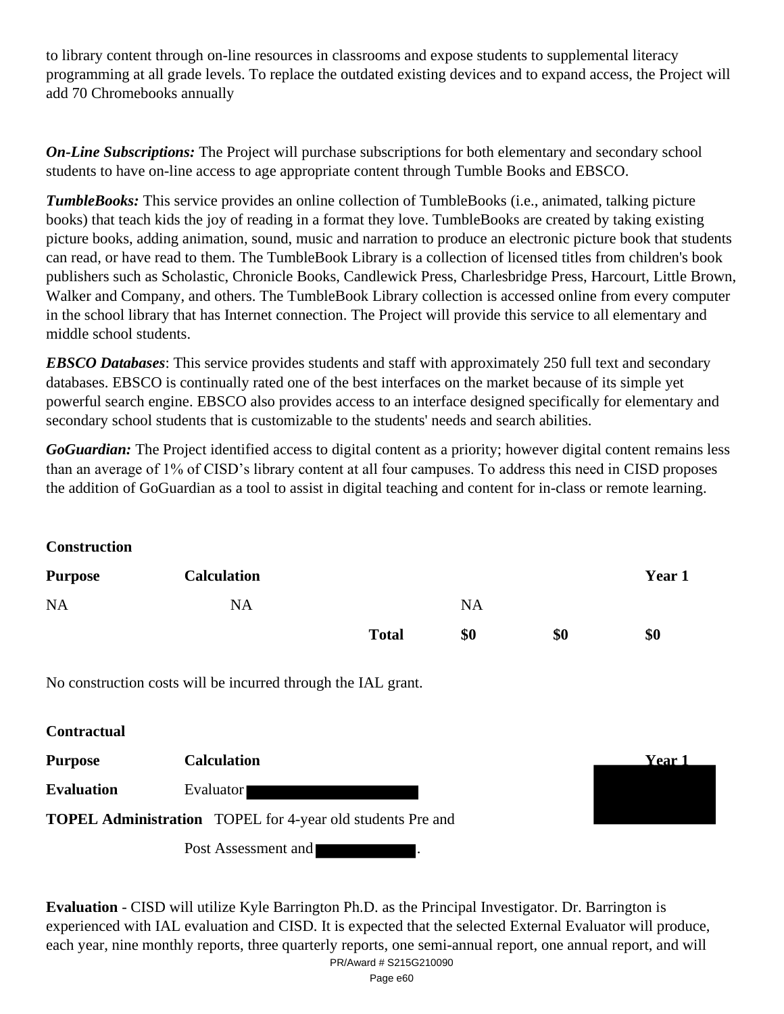to library content through on-line resources in classrooms and expose students to supplemental literacy programming at all grade levels. To replace the outdated existing devices and to expand access, the Project will add 70 Chromebooks annually

*On-Line Subscriptions:* The Project will purchase subscriptions for both elementary and secondary school students to have on-line access to age appropriate content through Tumble Books and EBSCO.

*TumbleBooks:* This service provides an online collection of TumbleBooks (i.e., animated, talking picture books) that teach kids the joy of reading in a format they love. TumbleBooks are created by taking existing picture books, adding animation, sound, music and narration to produce an electronic picture book that students can read, or have read to them. The TumbleBook Library is a collection of licensed titles from children's book publishers such as Scholastic, Chronicle Books, Candlewick Press, Charlesbridge Press, Harcourt, Little Brown, Walker and Company, and others. The TumbleBook Library collection is accessed online from every computer in the school library that has Internet connection. The Project will provide this service to all elementary and middle school students.

*EBSCO Databases*: This service provides students and staff with approximately 250 full text and secondary databases. EBSCO is continually rated one of the best interfaces on the market because of its simple yet powerful search engine. EBSCO also provides access to an interface designed specifically for elementary and secondary school students that is customizable to the students' needs and search abilities.

*GoGuardian:* The Project identified access to digital content as a priority; however digital content remains less than an average of 1% of CISD's library content at all four campuses. To address this need in CISD proposes the addition of GoGuardian as a tool to assist in digital teaching and content for in-class or remote learning.

**Construction**

| <b>Purpose</b> | <b>Calculation</b> |              |           |     | Year 1 |
|----------------|--------------------|--------------|-----------|-----|--------|
| <b>NA</b>      | <b>NA</b>          |              | <b>NA</b> |     |        |
|                |                    | <b>Total</b> | \$0       | \$0 | \$0    |

No construction costs will be incurred through the IAL grant.

| <b>Contractual</b> |                                                                   |        |
|--------------------|-------------------------------------------------------------------|--------|
| <b>Purpose</b>     | <b>Calculation</b>                                                | Year 1 |
| <b>Evaluation</b>  | Evaluator                                                         |        |
|                    | <b>TOPEL Administration</b> TOPEL for 4-year old students Pre and |        |
|                    | Post Assessment and                                               |        |

**Evaluation** - CISD will utilize Kyle Barrington Ph.D. as the Principal Investigator. Dr. Barrington is experienced with IAL evaluation and CISD. It is expected that the selected External Evaluator will produce, each year, nine monthly reports, three quarterly reports, one semi-annual report, one annual report, and will PR/Award # S215G210090

Page e60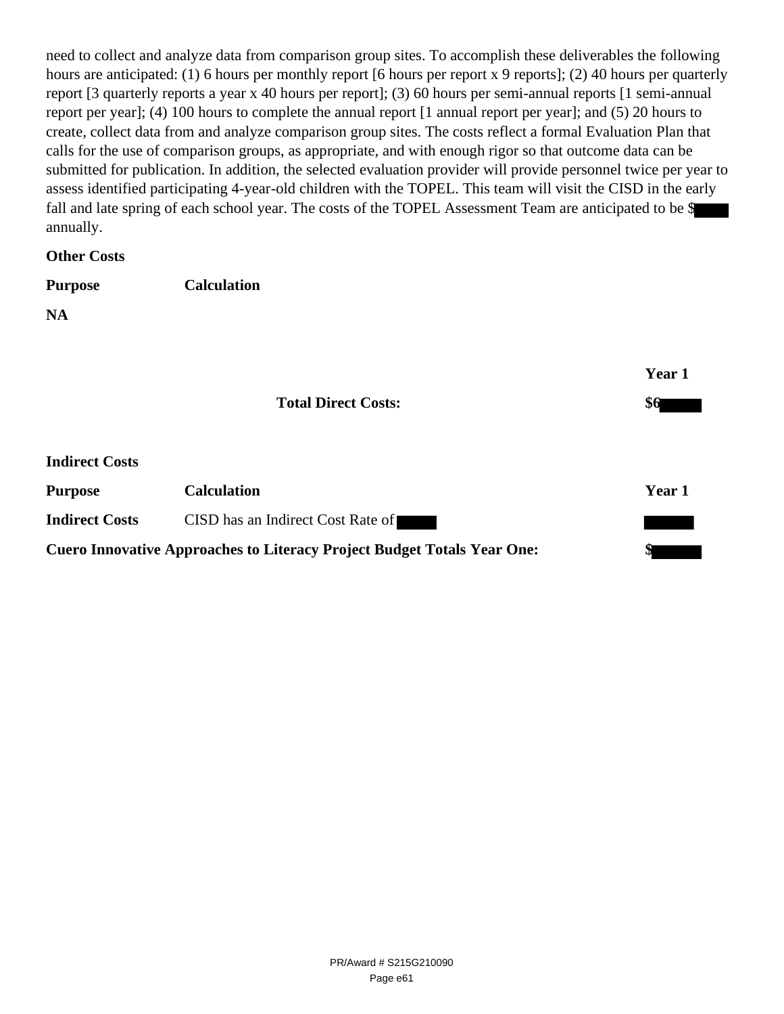need to collect and analyze data from comparison group sites. To accomplish these deliverables the following hours are anticipated: (1) 6 hours per monthly report [6 hours per report x 9 reports]; (2) 40 hours per quarterly report [3 quarterly reports a year x 40 hours per report]; (3) 60 hours per semi-annual reports [1 semi-annual report per year]; (4) 100 hours to complete the annual report [1 annual report per year]; and (5) 20 hours to create, collect data from and analyze comparison group sites. The costs reflect a formal Evaluation Plan that calls for the use of comparison groups, as appropriate, and with enough rigor so that outcome data can be submitted for publication. In addition, the selected evaluation provider will provide personnel twice per year to assess identified participating 4-year-old children with the TOPEL. This team will visit the CISD in the early fall and late spring of each school year. The costs of the TOPEL Assessment Team are anticipated to be \$ annually.

**Other Costs**

| <b>Purpose</b> | <b>Calculation</b> |
|----------------|--------------------|
|                |                    |

**NA**

|                       |                                                                                | Year 1 |  |
|-----------------------|--------------------------------------------------------------------------------|--------|--|
|                       | <b>Total Direct Costs:</b>                                                     | \$6    |  |
| <b>Indirect Costs</b> |                                                                                |        |  |
| <b>Purpose</b>        | <b>Calculation</b>                                                             | Year 1 |  |
| <b>Indirect Costs</b> | CISD has an Indirect Cost Rate of                                              |        |  |
|                       | <b>Cuero Innovative Approaches to Literacy Project Budget Totals Year One:</b> |        |  |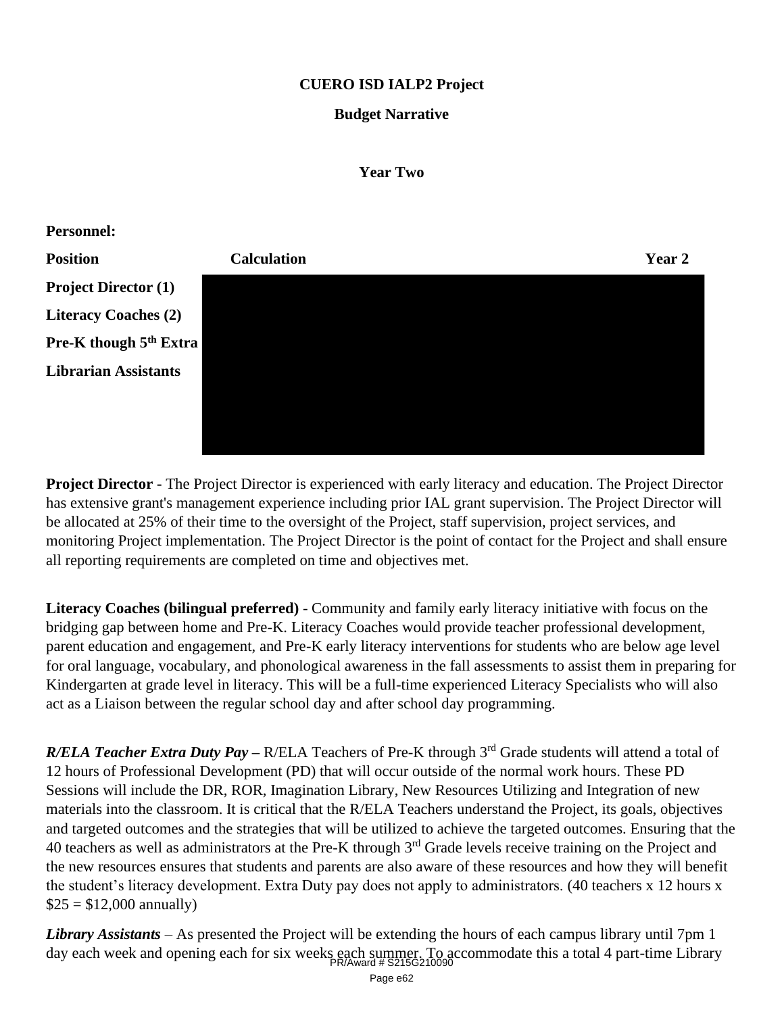# **CUERO ISD IALP2 Project**

### **Budget Narrative**

#### **Year Two**



**Project Director -** The Project Director is experienced with early literacy and education. The Project Director has extensive grant's management experience including prior IAL grant supervision. The Project Director will be allocated at 25% of their time to the oversight of the Project, staff supervision, project services, and monitoring Project implementation. The Project Director is the point of contact for the Project and shall ensure all reporting requirements are completed on time and objectives met.

**Literacy Coaches (bilingual preferred)** - Community and family early literacy initiative with focus on the bridging gap between home and Pre-K. Literacy Coaches would provide teacher professional development, parent education and engagement, and Pre-K early literacy interventions for students who are below age level for oral language, vocabulary, and phonological awareness in the fall assessments to assist them in preparing for Kindergarten at grade level in literacy. This will be a full-time experienced Literacy Specialists who will also act as a Liaison between the regular school day and after school day programming.

*R/ELA Teacher Extra Duty Pay* – R/ELA Teachers of Pre-K through 3<sup>rd</sup> Grade students will attend a total of 12 hours of Professional Development (PD) that will occur outside of the normal work hours. These PD Sessions will include the DR, ROR, Imagination Library, New Resources Utilizing and Integration of new materials into the classroom. It is critical that the R/ELA Teachers understand the Project, its goals, objectives and targeted outcomes and the strategies that will be utilized to achieve the targeted outcomes. Ensuring that the 40 teachers as well as administrators at the Pre-K through 3<sup>rd</sup> Grade levels receive training on the Project and the new resources ensures that students and parents are also aware of these resources and how they will benefit the student's literacy development. Extra Duty pay does not apply to administrators. (40 teachers x 12 hours x  $$25 = $12,000$  annually)

*Library Assistants* – As presented the Project will be extending the hours of each campus library until 7pm 1 day each week and opening each for six weeks each summer. To accommodate this a total 4 part-time Library PR/Award # S215G210090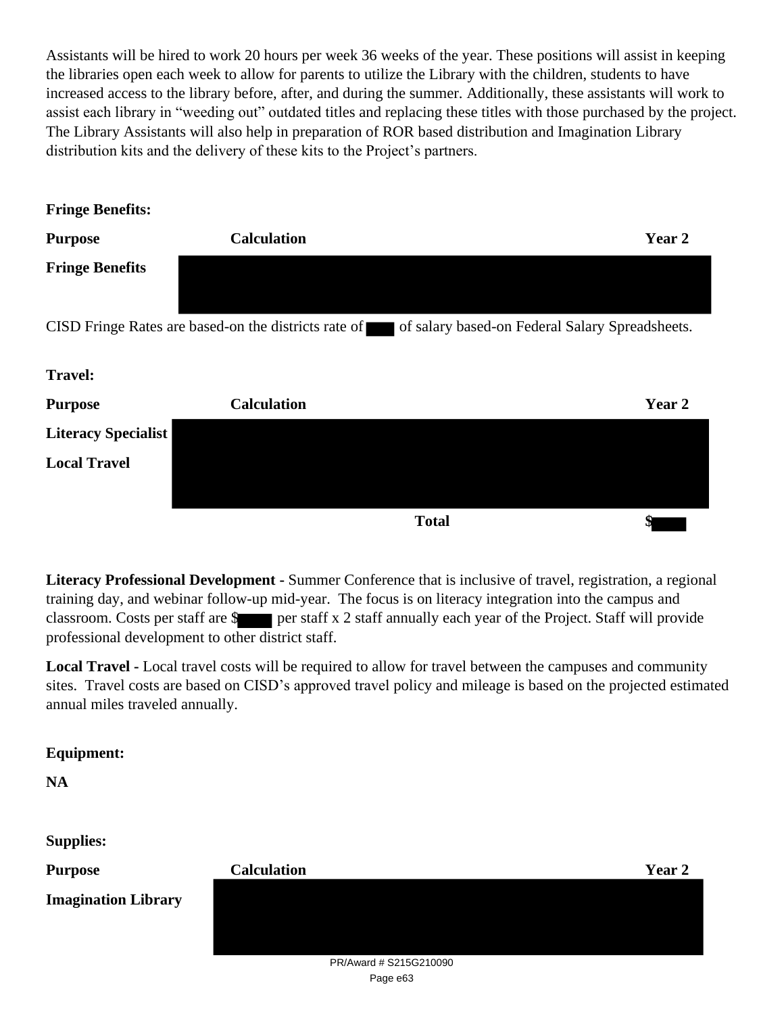Assistants will be hired to work 20 hours per week 36 weeks of the year. These positions will assist in keeping the libraries open each week to allow for parents to utilize the Library with the children, students to have increased access to the library before, after, and during the summer. Additionally, these assistants will work to assist each library in "weeding out" outdated titles and replacing these titles with those purchased by the project. The Library Assistants will also help in preparation of ROR based distribution and Imagination Library distribution kits and the delivery of these kits to the Project's partners.

| <b>Fringe Benefits:</b>    |                                                      |                                                 |        |
|----------------------------|------------------------------------------------------|-------------------------------------------------|--------|
| <b>Purpose</b>             | <b>Calculation</b>                                   |                                                 | Year 2 |
| <b>Fringe Benefits</b>     |                                                      |                                                 |        |
|                            | CISD Fringe Rates are based-on the districts rate of | of salary based-on Federal Salary Spreadsheets. |        |
| <b>Travel:</b>             |                                                      |                                                 |        |
| <b>Purpose</b>             | <b>Calculation</b>                                   |                                                 | Year 2 |
| <b>Literacy Specialist</b> |                                                      |                                                 |        |
| <b>Local Travel</b>        |                                                      |                                                 |        |
|                            |                                                      | <b>Total</b>                                    | Φ      |

**Literacy Professional Development -** Summer Conference that is inclusive of travel, registration, a regional training day, and webinar follow-up mid-year. The focus is on literacy integration into the campus and classroom. Costs per staff are  $\frac{1}{2}$  per staff x 2 staff annually each year of the Project. Staff will provide professional development to other district staff.

**Local Travel -** Local travel costs will be required to allow for travel between the campuses and community sites. Travel costs are based on CISD's approved travel policy and mileage is based on the projected estimated annual miles traveled annually.

# **Equipment:**

**NA**

**Supplies:**

| ~~rr-----                  |                                         |        |
|----------------------------|-----------------------------------------|--------|
| <b>Purpose</b>             | <b>Calculation</b>                      | Year 2 |
| <b>Imagination Library</b> |                                         |        |
|                            |                                         |        |
|                            |                                         |        |
|                            | $D1$ $\mu$ $\alpha$ rd $\#$ CO15CO10000 |        |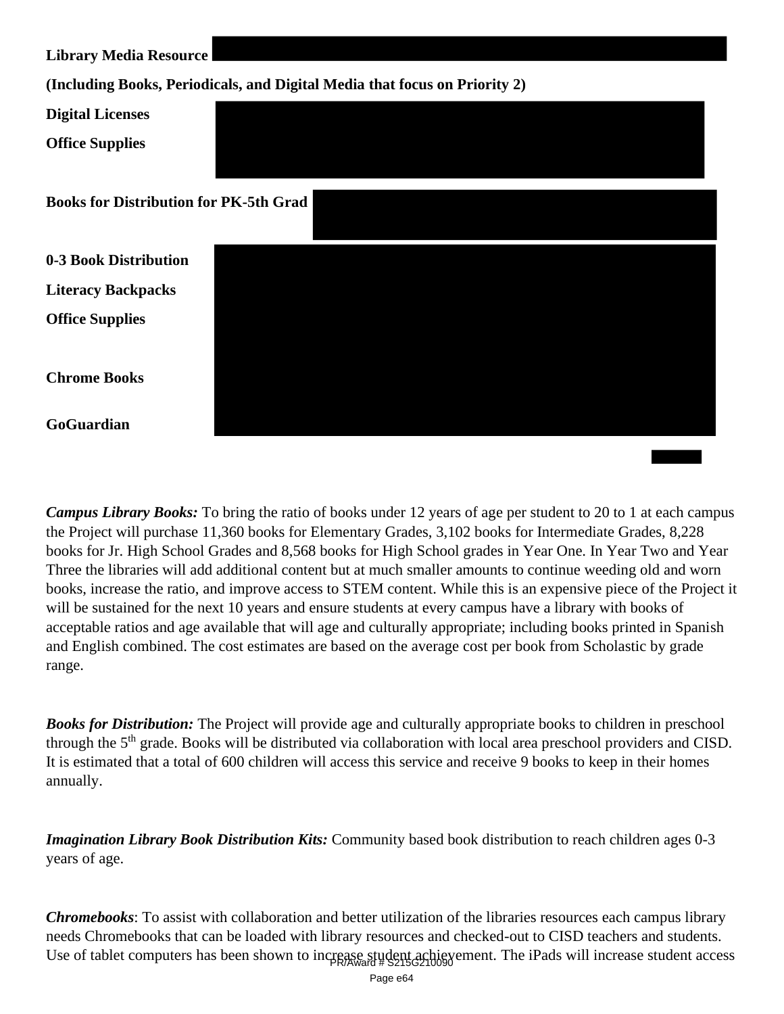| <b>Library Media Resource</b>                 |                                                                            |
|-----------------------------------------------|----------------------------------------------------------------------------|
|                                               | (Including Books, Periodicals, and Digital Media that focus on Priority 2) |
| <b>Digital Licenses</b>                       |                                                                            |
| <b>Office Supplies</b>                        |                                                                            |
| <b>Books for Distribution for PK-5th Grad</b> |                                                                            |
| 0-3 Book Distribution                         |                                                                            |
| <b>Literacy Backpacks</b>                     |                                                                            |
| <b>Office Supplies</b>                        |                                                                            |
| <b>Chrome Books</b>                           |                                                                            |
| GoGuardian                                    |                                                                            |

*Campus Library Books:* To bring the ratio of books under 12 years of age per student to 20 to 1 at each campus the Project will purchase 11,360 books for Elementary Grades, 3,102 books for Intermediate Grades, 8,228 books for Jr. High School Grades and 8,568 books for High School grades in Year One. In Year Two and Year Three the libraries will add additional content but at much smaller amounts to continue weeding old and worn books, increase the ratio, and improve access to STEM content. While this is an expensive piece of the Project it will be sustained for the next 10 years and ensure students at every campus have a library with books of acceptable ratios and age available that will age and culturally appropriate; including books printed in Spanish and English combined. The cost estimates are based on the average cost per book from Scholastic by grade range.

*Books for Distribution:* The Project will provide age and culturally appropriate books to children in preschool through the 5<sup>th</sup> grade. Books will be distributed via collaboration with local area preschool providers and CISD. It is estimated that a total of 600 children will access this service and receive 9 books to keep in their homes annually.

*Imagination Library Book Distribution Kits:* Community based book distribution to reach children ages 0-3 years of age.

*Chromebooks*: To assist with collaboration and better utilization of the libraries resources each campus library needs Chromebooks that can be loaded with library resources and checked-out to CISD teachers and students. Use of tablet computers has been shown to increase student achievement. The iPads will increase student access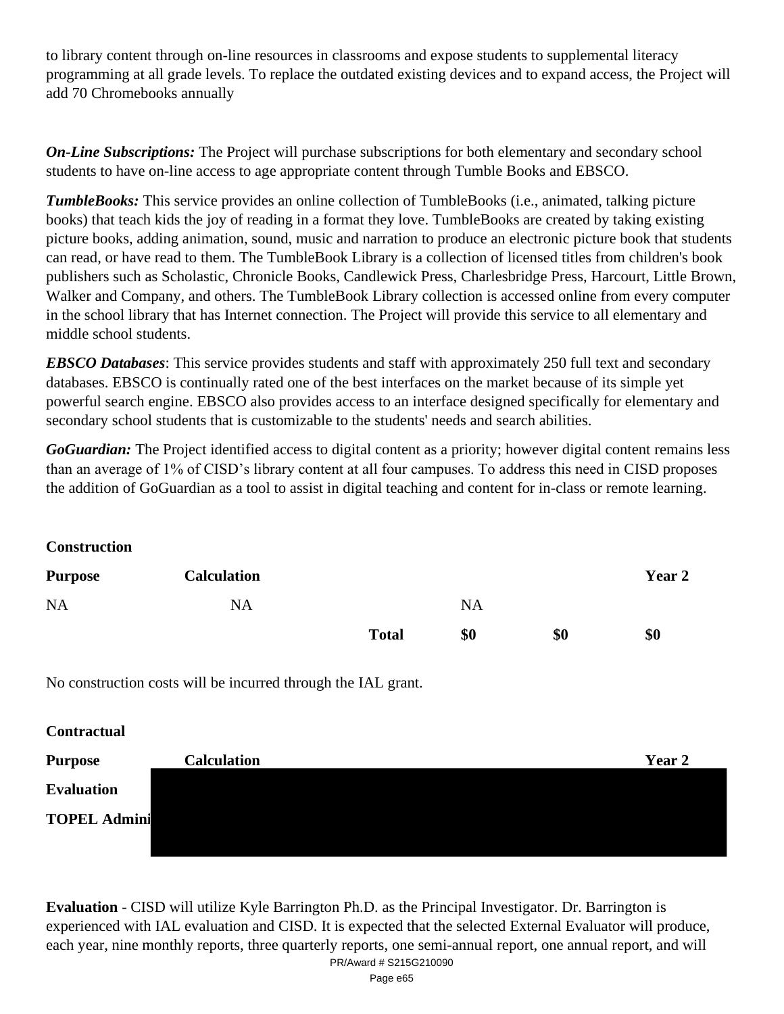to library content through on-line resources in classrooms and expose students to supplemental literacy programming at all grade levels. To replace the outdated existing devices and to expand access, the Project will add 70 Chromebooks annually

*On-Line Subscriptions:* The Project will purchase subscriptions for both elementary and secondary school students to have on-line access to age appropriate content through Tumble Books and EBSCO.

*TumbleBooks:* This service provides an online collection of TumbleBooks (i.e., animated, talking picture books) that teach kids the joy of reading in a format they love. TumbleBooks are created by taking existing picture books, adding animation, sound, music and narration to produce an electronic picture book that students can read, or have read to them. The TumbleBook Library is a collection of licensed titles from children's book publishers such as Scholastic, Chronicle Books, Candlewick Press, Charlesbridge Press, Harcourt, Little Brown, Walker and Company, and others. The TumbleBook Library collection is accessed online from every computer in the school library that has Internet connection. The Project will provide this service to all elementary and middle school students.

*EBSCO Databases*: This service provides students and staff with approximately 250 full text and secondary databases. EBSCO is continually rated one of the best interfaces on the market because of its simple yet powerful search engine. EBSCO also provides access to an interface designed specifically for elementary and secondary school students that is customizable to the students' needs and search abilities.

*GoGuardian:* The Project identified access to digital content as a priority; however digital content remains less than an average of 1% of CISD's library content at all four campuses. To address this need in CISD proposes the addition of GoGuardian as a tool to assist in digital teaching and content for in-class or remote learning.

**Construction**

| <b>Purpose</b> | <b>Calculation</b> |              |           |     | Year 2 |
|----------------|--------------------|--------------|-----------|-----|--------|
| <b>NA</b>      | <b>NA</b>          |              | <b>NA</b> |     |        |
|                |                    | <b>Total</b> | \$0       | \$0 | \$0    |

No construction costs will be incurred through the IAL grant.

**Contractual**

| <b>Purpose</b>      | <b>Calculation</b> | Year 2 |
|---------------------|--------------------|--------|
| <b>Evaluation</b>   |                    |        |
| <b>TOPEL Admini</b> |                    |        |
|                     |                    |        |

**Evaluation** - CISD will utilize Kyle Barrington Ph.D. as the Principal Investigator. Dr. Barrington is experienced with IAL evaluation and CISD. It is expected that the selected External Evaluator will produce, each year, nine monthly reports, three quarterly reports, one semi-annual report, one annual report, and will PR/Award # S215G210090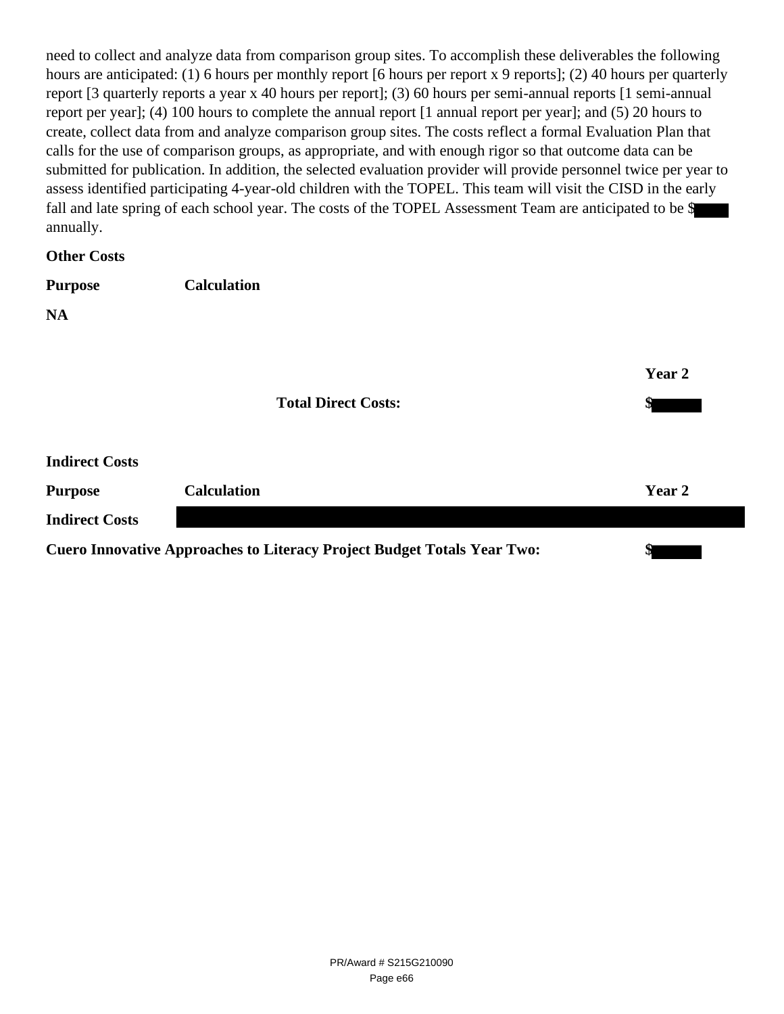need to collect and analyze data from comparison group sites. To accomplish these deliverables the following hours are anticipated: (1) 6 hours per monthly report [6 hours per report x 9 reports]; (2) 40 hours per quarterly report [3 quarterly reports a year x 40 hours per report]; (3) 60 hours per semi-annual reports [1 semi-annual report per year]; (4) 100 hours to complete the annual report [1 annual report per year]; and (5) 20 hours to create, collect data from and analyze comparison group sites. The costs reflect a formal Evaluation Plan that calls for the use of comparison groups, as appropriate, and with enough rigor so that outcome data can be submitted for publication. In addition, the selected evaluation provider will provide personnel twice per year to assess identified participating 4-year-old children with the TOPEL. This team will visit the CISD in the early fall and late spring of each school year. The costs of the TOPEL Assessment Team are anticipated to be \$ annually.

**Other Costs**

| <b>Purpose</b>        | <b>Calculation</b> |                            |        |
|-----------------------|--------------------|----------------------------|--------|
| <b>NA</b>             |                    |                            |        |
|                       |                    |                            |        |
|                       |                    |                            | Year 2 |
|                       |                    | <b>Total Direct Costs:</b> | \$     |
|                       |                    |                            |        |
| <b>Indirect Costs</b> |                    |                            |        |
| <b>Purpose</b>        | <b>Calculation</b> |                            | Year 2 |

**Indirect Costs**

**Cuero Innovative Approaches to Literacy Project Budget Totals Year Two: \$**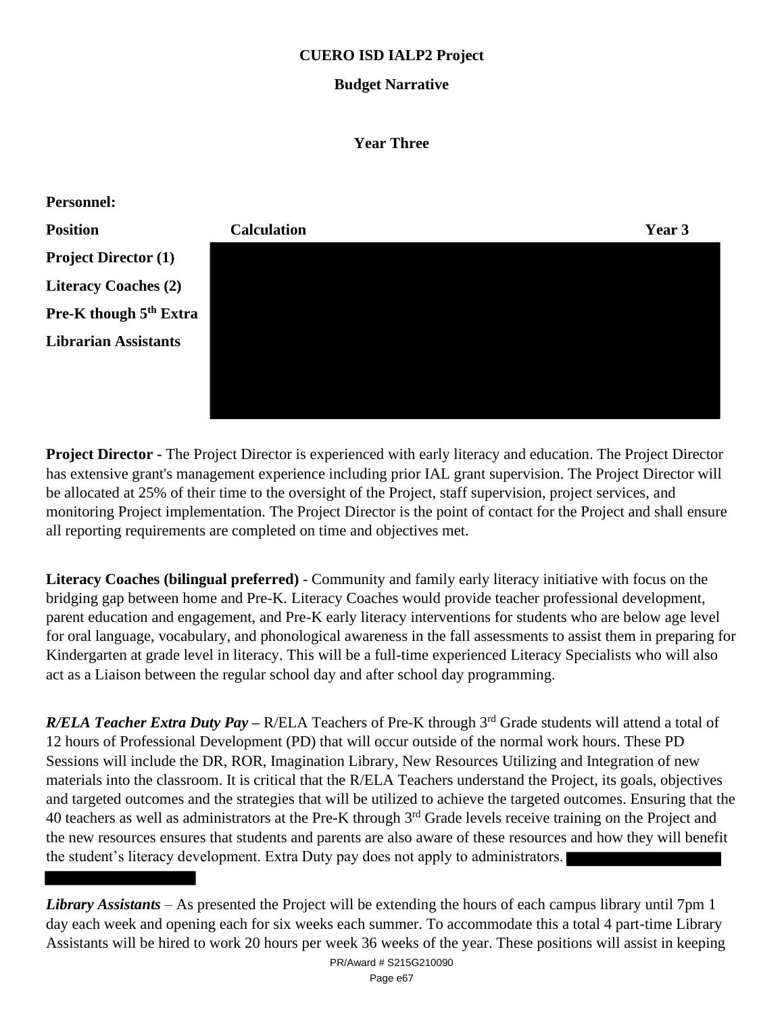# **CUERO ISD IALP2 Project**

# **Budget Narrative**

### **Year Three**



**Project Director -** The Project Director is experienced with early literacy and education. The Project Director has extensive grant's management experience including prior IAL grant supervision. The Project Director will be allocated at 25% of their time to the oversight of the Project, staff supervision, project services, and monitoring Project implementation. The Project Director is the point of contact for the Project and shall ensure all reporting requirements are completed on time and objectives met.

**Literacy Coaches (bilingual preferred)** - Community and family early literacy initiative with focus on the bridging gap between home and Pre-K. Literacy Coaches would provide teacher professional development, parent education and engagement, and Pre-K early literacy interventions for students who are below age level for oral language, vocabulary, and phonological awareness in the fall assessments to assist them in preparing for Kindergarten at grade level in literacy. This will be a full-time experienced Literacy Specialists who will also act as a Liaison between the regular school day and after school day programming.

*R/ELA Teacher Extra Duty Pay* – R/ELA Teachers of Pre-K through 3<sup>rd</sup> Grade students will attend a total of 12 hours of Professional Development (PD) that will occur outside of the normal work hours. These PD Sessions will include the DR, ROR, Imagination Library, New Resources Utilizing and Integration of new materials into the classroom. It is critical that the R/ELA Teachers understand the Project, its goals, objectives and targeted outcomes and the strategies that will be utilized to achieve the targeted outcomes. Ensuring that the 40 teachers as well as administrators at the Pre-K through 3<sup>rd</sup> Grade levels receive training on the Project and the new resources ensures that students and parents are also aware of these resources and how they will benefit the student's literacy development. Extra Duty pay does not apply to administrators.

*Library Assistants* – As presented the Project will be extending the hours of each campus library until 7pm 1 day each week and opening each for six weeks each summer. To accommodate this a total 4 part-time Library Assistants will be hired to work 20 hours per week 36 weeks of the year. These positions will assist in keeping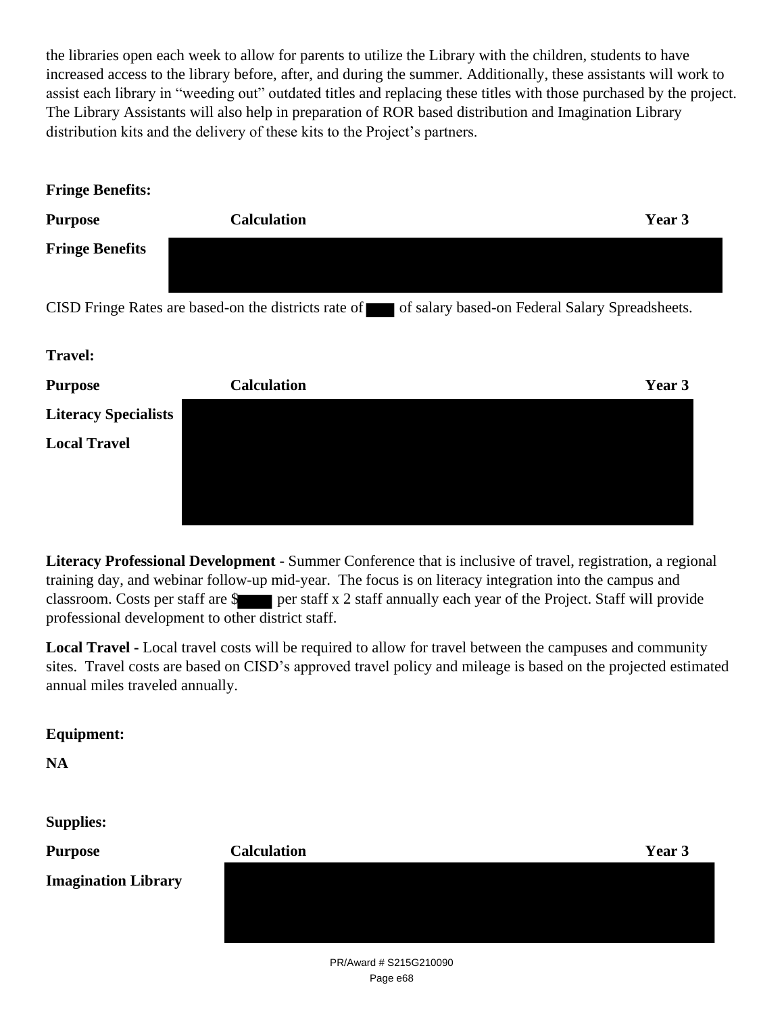the libraries open each week to allow for parents to utilize the Library with the children, students to have increased access to the library before, after, and during the summer. Additionally, these assistants will work to assist each library in "weeding out" outdated titles and replacing these titles with those purchased by the project. The Library Assistants will also help in preparation of ROR based distribution and Imagination Library distribution kits and the delivery of these kits to the Project's partners.

| <b>Fringe Benefits:</b>     |                                                      |                                                 |
|-----------------------------|------------------------------------------------------|-------------------------------------------------|
| <b>Purpose</b>              | <b>Calculation</b>                                   | Year 3                                          |
| <b>Fringe Benefits</b>      |                                                      |                                                 |
|                             | CISD Fringe Rates are based-on the districts rate of | of salary based-on Federal Salary Spreadsheets. |
| <b>Travel:</b>              |                                                      |                                                 |
| <b>Purpose</b>              | <b>Calculation</b>                                   | Year 3                                          |
| <b>Literacy Specialists</b> |                                                      |                                                 |
| <b>Local Travel</b>         |                                                      |                                                 |
|                             |                                                      |                                                 |

**Literacy Professional Development -** Summer Conference that is inclusive of travel, registration, a regional training day, and webinar follow-up mid-year. The focus is on literacy integration into the campus and classroom. Costs per staff are  $\frac{1}{2}$  per staff x 2 staff annually each year of the Project. Staff will provide professional development to other district staff.

**Local Travel -** Local travel costs will be required to allow for travel between the campuses and community sites. Travel costs are based on CISD's approved travel policy and mileage is based on the projected estimated annual miles traveled annually.

# **Equipment:**

**NA**

**Supplies:**

| <b>Purpose</b>             | <b>Calculation</b> | Year 3 |
|----------------------------|--------------------|--------|
| <b>Imagination Library</b> |                    |        |
|                            |                    |        |
|                            |                    |        |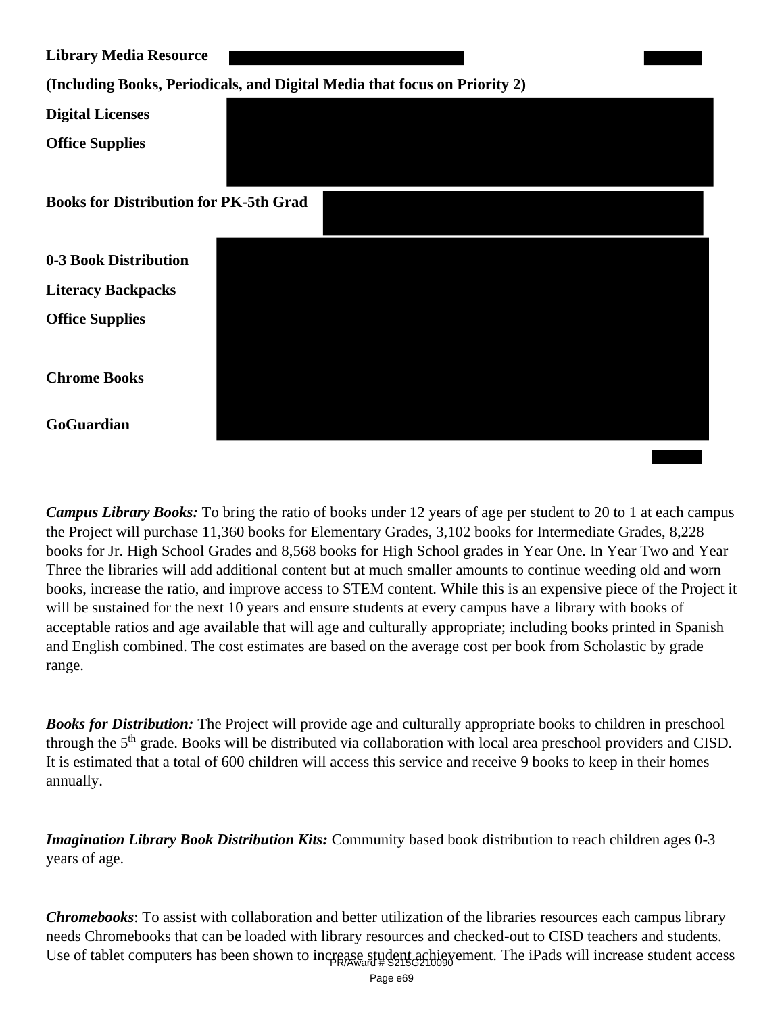| <b>Library Media Resource</b>                 |                                                                            |
|-----------------------------------------------|----------------------------------------------------------------------------|
|                                               | (Including Books, Periodicals, and Digital Media that focus on Priority 2) |
| <b>Digital Licenses</b>                       |                                                                            |
| <b>Office Supplies</b>                        |                                                                            |
| <b>Books for Distribution for PK-5th Grad</b> |                                                                            |
| 0-3 Book Distribution                         |                                                                            |
| <b>Literacy Backpacks</b>                     |                                                                            |
| <b>Office Supplies</b>                        |                                                                            |
| <b>Chrome Books</b>                           |                                                                            |
| GoGuardian                                    |                                                                            |

*Campus Library Books:* To bring the ratio of books under 12 years of age per student to 20 to 1 at each campus the Project will purchase 11,360 books for Elementary Grades, 3,102 books for Intermediate Grades, 8,228 books for Jr. High School Grades and 8,568 books for High School grades in Year One. In Year Two and Year Three the libraries will add additional content but at much smaller amounts to continue weeding old and worn books, increase the ratio, and improve access to STEM content. While this is an expensive piece of the Project it will be sustained for the next 10 years and ensure students at every campus have a library with books of acceptable ratios and age available that will age and culturally appropriate; including books printed in Spanish and English combined. The cost estimates are based on the average cost per book from Scholastic by grade range.

*Books for Distribution:* The Project will provide age and culturally appropriate books to children in preschool through the 5<sup>th</sup> grade. Books will be distributed via collaboration with local area preschool providers and CISD. It is estimated that a total of 600 children will access this service and receive 9 books to keep in their homes annually.

*Imagination Library Book Distribution Kits:* Community based book distribution to reach children ages 0-3 years of age.

*Chromebooks*: To assist with collaboration and better utilization of the libraries resources each campus library needs Chromebooks that can be loaded with library resources and checked-out to CISD teachers and students. Use of tablet computers has been shown to increase student achievement. The iPads will increase student access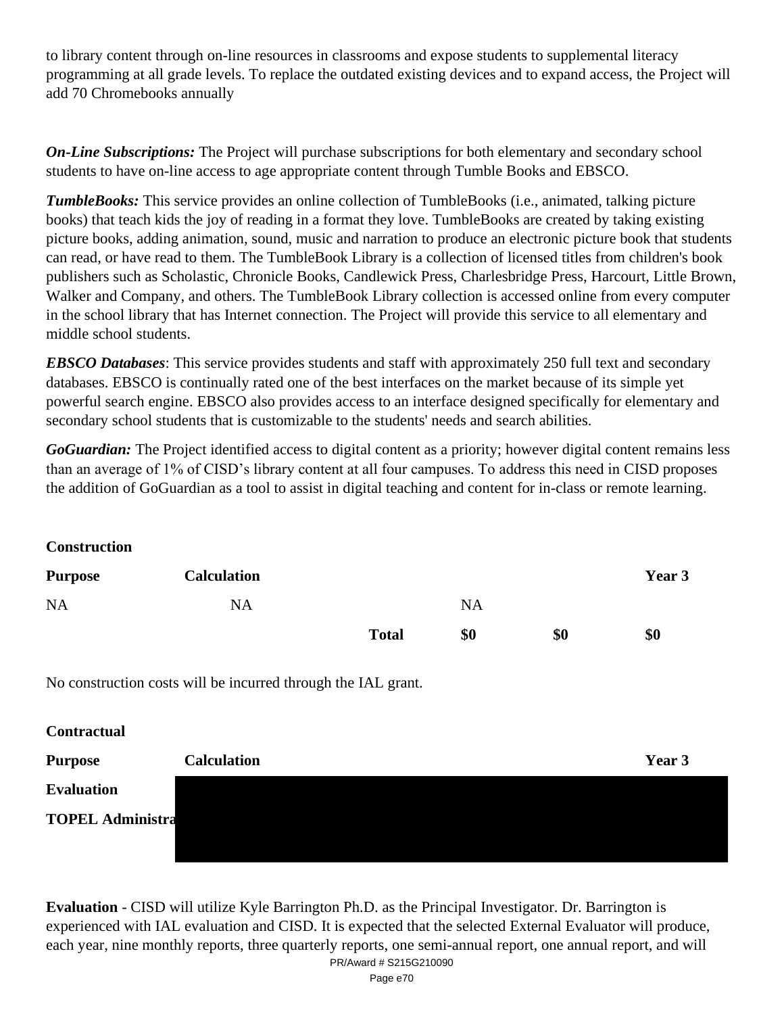to library content through on-line resources in classrooms and expose students to supplemental literacy programming at all grade levels. To replace the outdated existing devices and to expand access, the Project will add 70 Chromebooks annually

*On-Line Subscriptions:* The Project will purchase subscriptions for both elementary and secondary school students to have on-line access to age appropriate content through Tumble Books and EBSCO.

*TumbleBooks:* This service provides an online collection of TumbleBooks (i.e., animated, talking picture books) that teach kids the joy of reading in a format they love. TumbleBooks are created by taking existing picture books, adding animation, sound, music and narration to produce an electronic picture book that students can read, or have read to them. The TumbleBook Library is a collection of licensed titles from children's book publishers such as Scholastic, Chronicle Books, Candlewick Press, Charlesbridge Press, Harcourt, Little Brown, Walker and Company, and others. The TumbleBook Library collection is accessed online from every computer in the school library that has Internet connection. The Project will provide this service to all elementary and middle school students.

*EBSCO Databases*: This service provides students and staff with approximately 250 full text and secondary databases. EBSCO is continually rated one of the best interfaces on the market because of its simple yet powerful search engine. EBSCO also provides access to an interface designed specifically for elementary and secondary school students that is customizable to the students' needs and search abilities.

*GoGuardian:* The Project identified access to digital content as a priority; however digital content remains less than an average of 1% of CISD's library content at all four campuses. To address this need in CISD proposes the addition of GoGuardian as a tool to assist in digital teaching and content for in-class or remote learning.

**Construction**

| <b>Purpose</b> | <b>Calculation</b> |              |           |     | Year 3 |
|----------------|--------------------|--------------|-----------|-----|--------|
| <b>NA</b>      | <b>NA</b>          |              | <b>NA</b> |     |        |
|                |                    | <b>Total</b> | \$0       | \$0 | \$0    |

No construction costs will be incurred through the IAL grant.

**Contractual Purpose Calculation Year 3 Evaluation TOPEL Administra**

**Evaluation** - CISD will utilize Kyle Barrington Ph.D. as the Principal Investigator. Dr. Barrington is experienced with IAL evaluation and CISD. It is expected that the selected External Evaluator will produce, each year, nine monthly reports, three quarterly reports, one semi-annual report, one annual report, and will PR/Award # S215G210090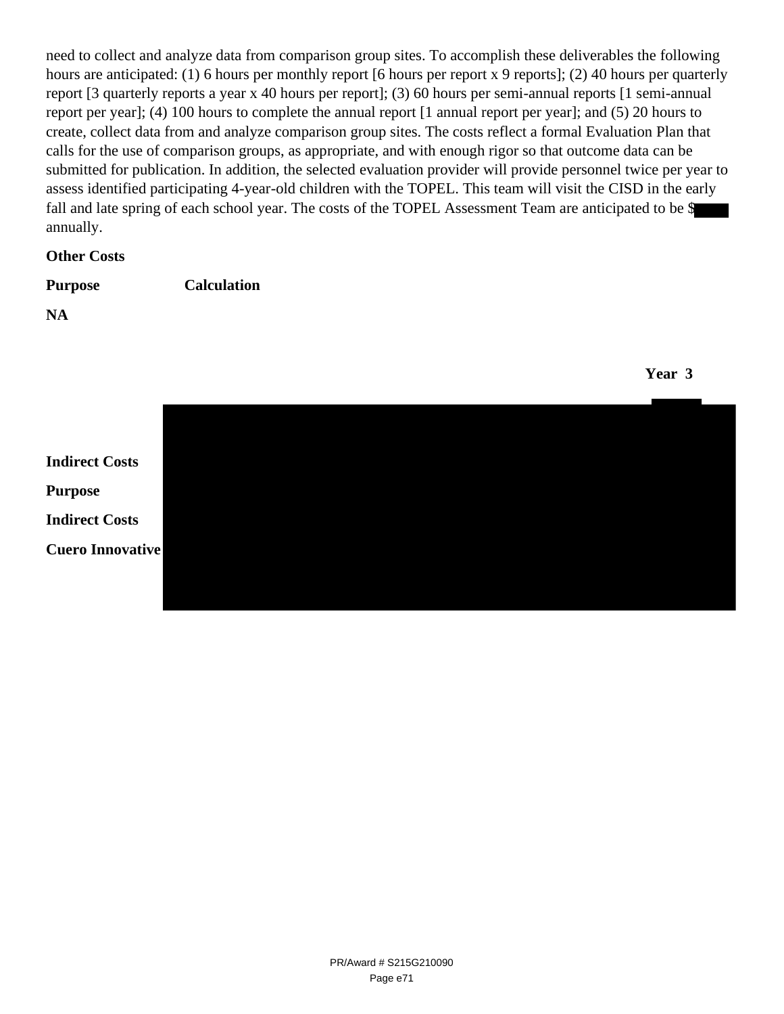need to collect and analyze data from comparison group sites. To accomplish these deliverables the following hours are anticipated: (1) 6 hours per monthly report [6 hours per report x 9 reports]; (2) 40 hours per quarterly report [3 quarterly reports a year x 40 hours per report]; (3) 60 hours per semi-annual reports [1 semi-annual report per year]; (4) 100 hours to complete the annual report [1 annual report per year]; and (5) 20 hours to create, collect data from and analyze comparison group sites. The costs reflect a formal Evaluation Plan that calls for the use of comparison groups, as appropriate, and with enough rigor so that outcome data can be submitted for publication. In addition, the selected evaluation provider will provide personnel twice per year to assess identified participating 4-year-old children with the TOPEL. This team will visit the CISD in the early fall and late spring of each school year. The costs of the TOPEL Assessment Team are anticipated to be \$ annually.

#### **Other Costs**

| <b>Purpose</b> | <b>Calculation</b> |
|----------------|--------------------|
|                |                    |

**NA**

**Year 3**

**Indirect Costs Purpose Indirect Costs Cuero Innovative**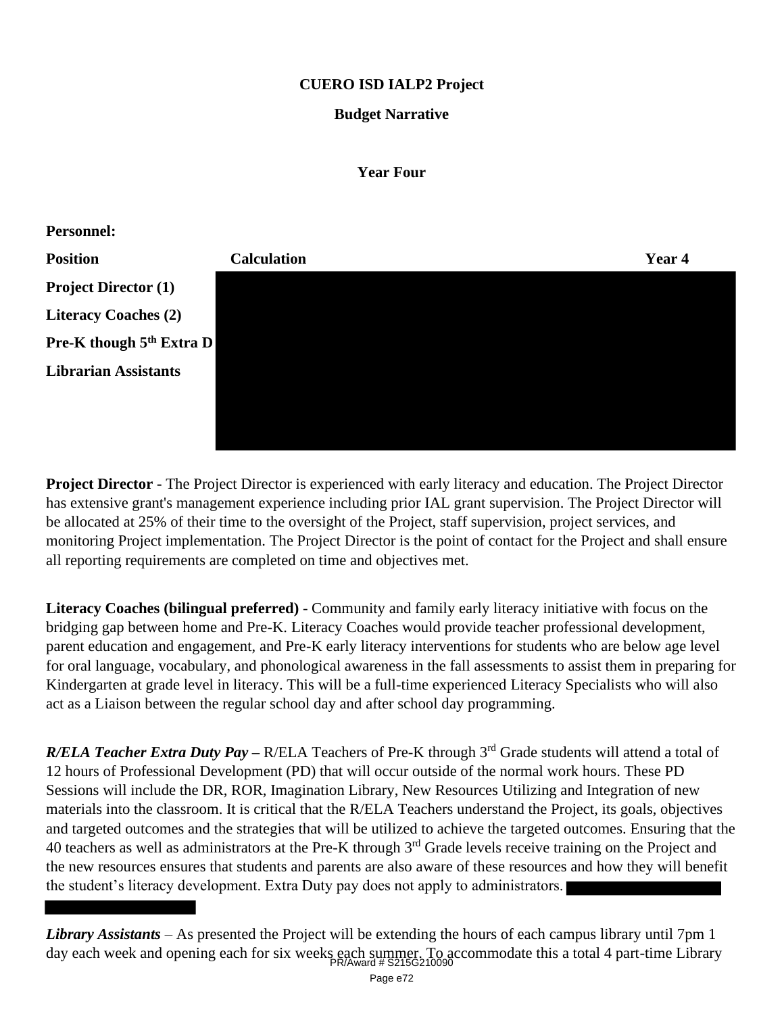# **CUERO ISD IALP2 Project**

### **Budget Narrative**

#### **Year Four**



**Project Director -** The Project Director is experienced with early literacy and education. The Project Director has extensive grant's management experience including prior IAL grant supervision. The Project Director will be allocated at 25% of their time to the oversight of the Project, staff supervision, project services, and monitoring Project implementation. The Project Director is the point of contact for the Project and shall ensure all reporting requirements are completed on time and objectives met.

**Literacy Coaches (bilingual preferred)** - Community and family early literacy initiative with focus on the bridging gap between home and Pre-K. Literacy Coaches would provide teacher professional development, parent education and engagement, and Pre-K early literacy interventions for students who are below age level for oral language, vocabulary, and phonological awareness in the fall assessments to assist them in preparing for Kindergarten at grade level in literacy. This will be a full-time experienced Literacy Specialists who will also act as a Liaison between the regular school day and after school day programming.

*R/ELA Teacher Extra Duty Pay* – R/ELA Teachers of Pre-K through 3<sup>rd</sup> Grade students will attend a total of 12 hours of Professional Development (PD) that will occur outside of the normal work hours. These PD Sessions will include the DR, ROR, Imagination Library, New Resources Utilizing and Integration of new materials into the classroom. It is critical that the R/ELA Teachers understand the Project, its goals, objectives and targeted outcomes and the strategies that will be utilized to achieve the targeted outcomes. Ensuring that the 40 teachers as well as administrators at the Pre-K through 3<sup>rd</sup> Grade levels receive training on the Project and the new resources ensures that students and parents are also aware of these resources and how they will benefit the student's literacy development. Extra Duty pay does not apply to administrators.

*Library Assistants* – As presented the Project will be extending the hours of each campus library until 7pm 1 day each week and opening each for six weeks each summer. To accommodate this a total 4 part-time Library PR/Award # S215G210090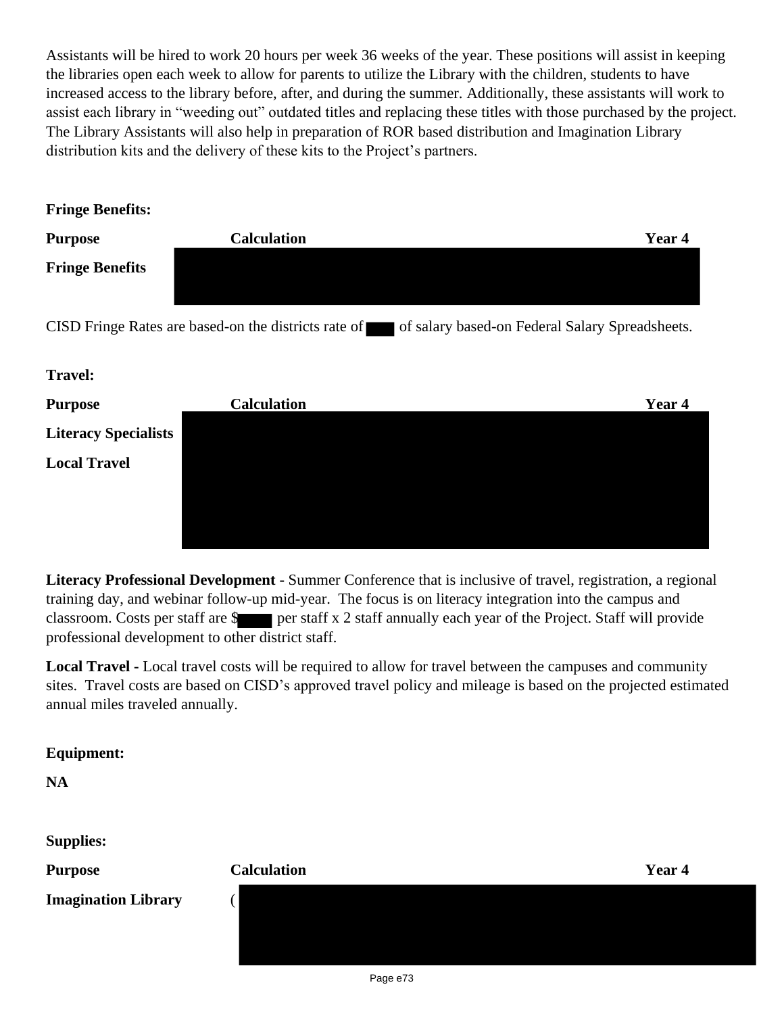Assistants will be hired to work 20 hours per week 36 weeks of the year. These positions will assist in keeping the libraries open each week to allow for parents to utilize the Library with the children, students to have increased access to the library before, after, and during the summer. Additionally, these assistants will work to assist each library in "weeding out" outdated titles and replacing these titles with those purchased by the project. The Library Assistants will also help in preparation of ROR based distribution and Imagination Library distribution kits and the delivery of these kits to the Project's partners.

| <b>Purpose</b>              | <b>Calculation</b>                                   | Year 4                                          |
|-----------------------------|------------------------------------------------------|-------------------------------------------------|
| <b>Fringe Benefits</b>      |                                                      |                                                 |
|                             | CISD Fringe Rates are based-on the districts rate of | of salary based-on Federal Salary Spreadsheets. |
| <b>Travel:</b>              |                                                      |                                                 |
| <b>Purpose</b>              | <b>Calculation</b>                                   | Year 4                                          |
| <b>Literacy Specialists</b> |                                                      |                                                 |
| <b>Local Travel</b>         |                                                      |                                                 |
|                             |                                                      |                                                 |
|                             |                                                      |                                                 |

**Literacy Professional Development -** Summer Conference that is inclusive of travel, registration, a regional training day, and webinar follow-up mid-year. The focus is on literacy integration into the campus and classroom. Costs per staff are  $\frac{1}{2}$  per staff x 2 staff annually each year of the Project. Staff will provide professional development to other district staff.

**Local Travel -** Local travel costs will be required to allow for travel between the campuses and community sites. Travel costs are based on CISD's approved travel policy and mileage is based on the projected estimated annual miles traveled annually.

# **Equipment:**

**NA**

**Supplies:**

**Imagination Library** (

| <b>Purpose</b>                                           | <b>Calculation</b> | Year 4 |
|----------------------------------------------------------|--------------------|--------|
| $L_{\text{max}}$ of $L_{\text{max}}$ of $L_{\text{max}}$ |                    |        |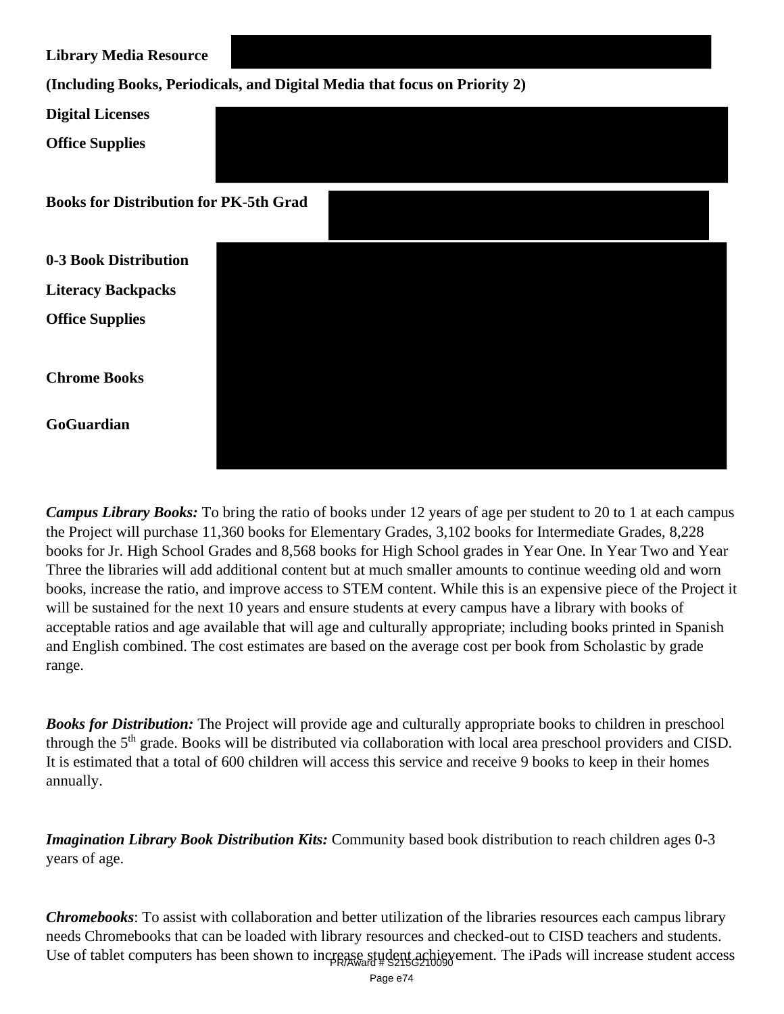| <b>Library Media Resource</b>                 |                                                                            |
|-----------------------------------------------|----------------------------------------------------------------------------|
|                                               | (Including Books, Periodicals, and Digital Media that focus on Priority 2) |
| <b>Digital Licenses</b>                       |                                                                            |
| <b>Office Supplies</b>                        |                                                                            |
| <b>Books for Distribution for PK-5th Grad</b> |                                                                            |
| 0-3 Book Distribution                         |                                                                            |
| <b>Literacy Backpacks</b>                     |                                                                            |
| <b>Office Supplies</b>                        |                                                                            |
| <b>Chrome Books</b>                           |                                                                            |
| GoGuardian                                    |                                                                            |

*Campus Library Books:* To bring the ratio of books under 12 years of age per student to 20 to 1 at each campus the Project will purchase 11,360 books for Elementary Grades, 3,102 books for Intermediate Grades, 8,228 books for Jr. High School Grades and 8,568 books for High School grades in Year One. In Year Two and Year Three the libraries will add additional content but at much smaller amounts to continue weeding old and worn books, increase the ratio, and improve access to STEM content. While this is an expensive piece of the Project it will be sustained for the next 10 years and ensure students at every campus have a library with books of acceptable ratios and age available that will age and culturally appropriate; including books printed in Spanish and English combined. The cost estimates are based on the average cost per book from Scholastic by grade range.

*Books for Distribution:* The Project will provide age and culturally appropriate books to children in preschool through the 5<sup>th</sup> grade. Books will be distributed via collaboration with local area preschool providers and CISD. It is estimated that a total of 600 children will access this service and receive 9 books to keep in their homes annually.

*Imagination Library Book Distribution Kits:* Community based book distribution to reach children ages 0-3 years of age.

*Chromebooks*: To assist with collaboration and better utilization of the libraries resources each campus library needs Chromebooks that can be loaded with library resources and checked-out to CISD teachers and students. Use of tablet computers has been shown to increase student achievement. The iPads will increase student access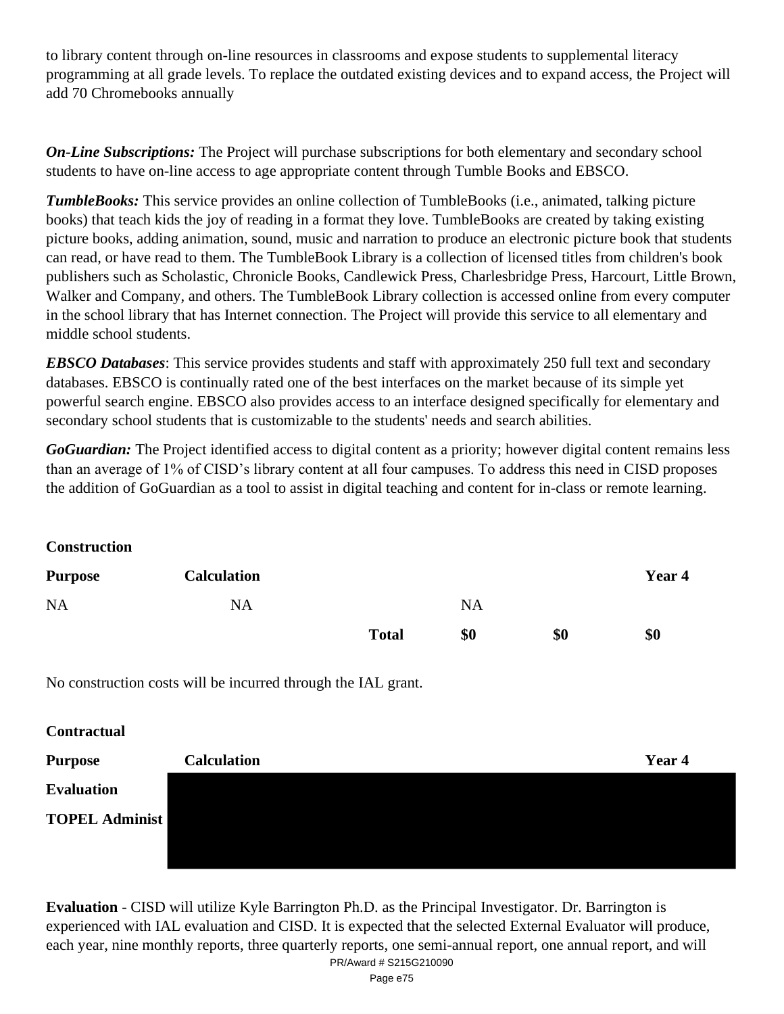to library content through on-line resources in classrooms and expose students to supplemental literacy programming at all grade levels. To replace the outdated existing devices and to expand access, the Project will add 70 Chromebooks annually

*On-Line Subscriptions:* The Project will purchase subscriptions for both elementary and secondary school students to have on-line access to age appropriate content through Tumble Books and EBSCO.

*TumbleBooks:* This service provides an online collection of TumbleBooks (i.e., animated, talking picture books) that teach kids the joy of reading in a format they love. TumbleBooks are created by taking existing picture books, adding animation, sound, music and narration to produce an electronic picture book that students can read, or have read to them. The TumbleBook Library is a collection of licensed titles from children's book publishers such as Scholastic, Chronicle Books, Candlewick Press, Charlesbridge Press, Harcourt, Little Brown, Walker and Company, and others. The TumbleBook Library collection is accessed online from every computer in the school library that has Internet connection. The Project will provide this service to all elementary and middle school students.

*EBSCO Databases*: This service provides students and staff with approximately 250 full text and secondary databases. EBSCO is continually rated one of the best interfaces on the market because of its simple yet powerful search engine. EBSCO also provides access to an interface designed specifically for elementary and secondary school students that is customizable to the students' needs and search abilities.

*GoGuardian:* The Project identified access to digital content as a priority; however digital content remains less than an average of 1% of CISD's library content at all four campuses. To address this need in CISD proposes the addition of GoGuardian as a tool to assist in digital teaching and content for in-class or remote learning.

**Construction**

| <b>Purpose</b> | <b>Calculation</b> |              |           |     | Year 4 |
|----------------|--------------------|--------------|-----------|-----|--------|
| <b>NA</b>      | <b>NA</b>          |              | <b>NA</b> |     |        |
|                |                    | <b>Total</b> | \$0       | \$0 | \$0    |

No construction costs will be incurred through the IAL grant.

**Contractual**

| <b>Purpose</b>        | <b>Calculation</b> | Year 4 |
|-----------------------|--------------------|--------|
| <b>Evaluation</b>     |                    |        |
| <b>TOPEL Administ</b> |                    |        |
|                       |                    |        |

**Evaluation** - CISD will utilize Kyle Barrington Ph.D. as the Principal Investigator. Dr. Barrington is experienced with IAL evaluation and CISD. It is expected that the selected External Evaluator will produce, each year, nine monthly reports, three quarterly reports, one semi-annual report, one annual report, and will PR/Award # S215G210090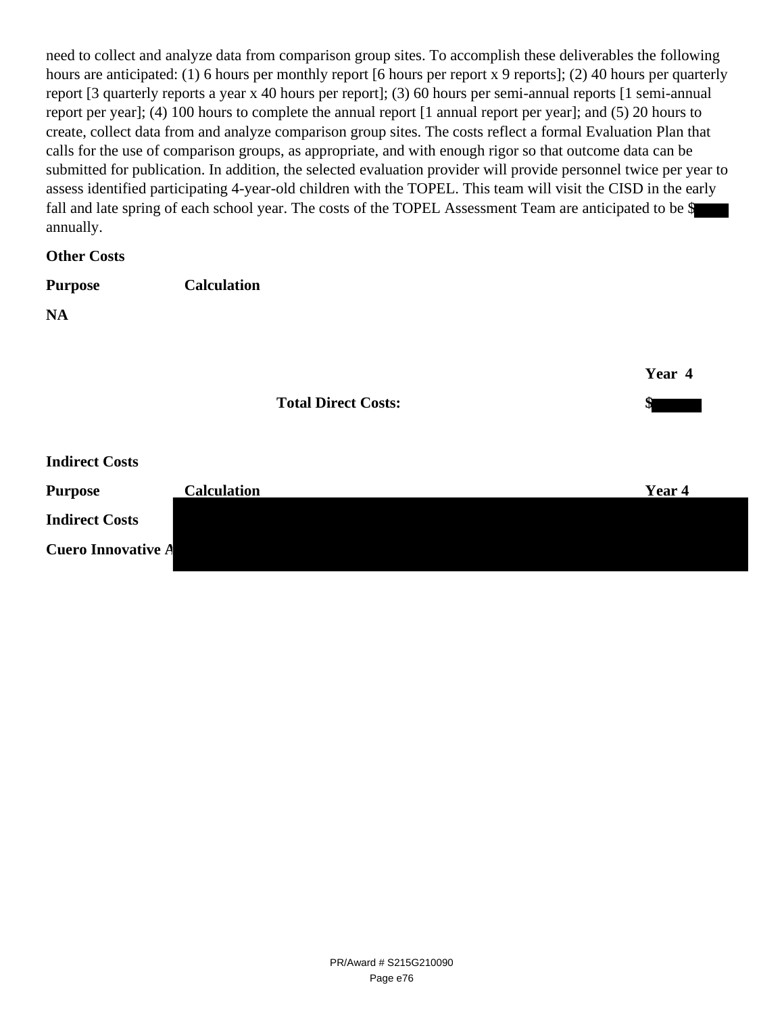need to collect and analyze data from comparison group sites. To accomplish these deliverables the following hours are anticipated: (1) 6 hours per monthly report [6 hours per report x 9 reports]; (2) 40 hours per quarterly report [3 quarterly reports a year x 40 hours per report]; (3) 60 hours per semi-annual reports [1 semi-annual report per year]; (4) 100 hours to complete the annual report [1 annual report per year]; and (5) 20 hours to create, collect data from and analyze comparison group sites. The costs reflect a formal Evaluation Plan that calls for the use of comparison groups, as appropriate, and with enough rigor so that outcome data can be submitted for publication. In addition, the selected evaluation provider will provide personnel twice per year to assess identified participating 4-year-old children with the TOPEL. This team will visit the CISD in the early fall and late spring of each school year. The costs of the TOPEL Assessment Team are anticipated to be \$ annually.

### **Other Costs**

| <b>Purpose</b> | <b>Calculation</b> |
|----------------|--------------------|
|                |                    |

**NA**

|                           |                    | <b>Total Direct Costs:</b> | Year 4 |
|---------------------------|--------------------|----------------------------|--------|
| <b>Indirect Costs</b>     |                    |                            |        |
| <b>Purpose</b>            | <b>Calculation</b> |                            | Year 4 |
| <b>Indirect Costs</b>     |                    |                            |        |
| <b>Cuero Innovative A</b> |                    |                            |        |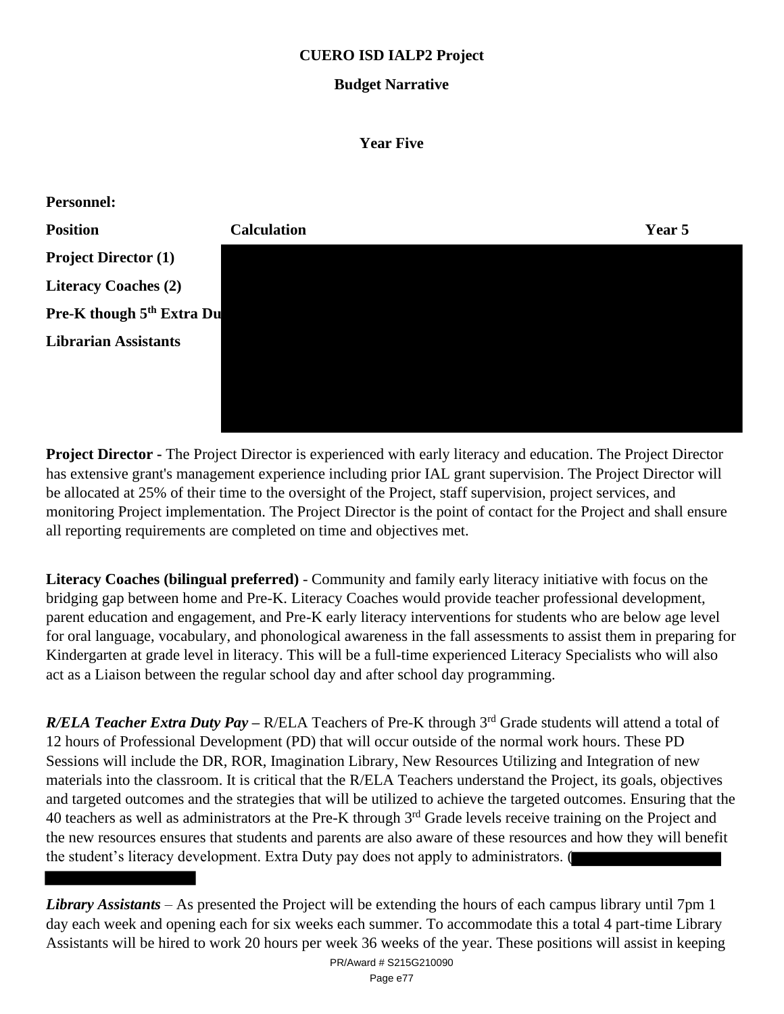## **CUERO ISD IALP2 Project**

# **Budget Narrative**

#### **Year Five**



**Project Director -** The Project Director is experienced with early literacy and education. The Project Director has extensive grant's management experience including prior IAL grant supervision. The Project Director will be allocated at 25% of their time to the oversight of the Project, staff supervision, project services, and monitoring Project implementation. The Project Director is the point of contact for the Project and shall ensure all reporting requirements are completed on time and objectives met.

**Literacy Coaches (bilingual preferred)** - Community and family early literacy initiative with focus on the bridging gap between home and Pre-K. Literacy Coaches would provide teacher professional development, parent education and engagement, and Pre-K early literacy interventions for students who are below age level for oral language, vocabulary, and phonological awareness in the fall assessments to assist them in preparing for Kindergarten at grade level in literacy. This will be a full-time experienced Literacy Specialists who will also act as a Liaison between the regular school day and after school day programming.

*R/ELA Teacher Extra Duty Pay* – R/ELA Teachers of Pre-K through 3<sup>rd</sup> Grade students will attend a total of 12 hours of Professional Development (PD) that will occur outside of the normal work hours. These PD Sessions will include the DR, ROR, Imagination Library, New Resources Utilizing and Integration of new materials into the classroom. It is critical that the R/ELA Teachers understand the Project, its goals, objectives and targeted outcomes and the strategies that will be utilized to achieve the targeted outcomes. Ensuring that the 40 teachers as well as administrators at the Pre-K through 3<sup>rd</sup> Grade levels receive training on the Project and the new resources ensures that students and parents are also aware of these resources and how they will benefit the student's literacy development. Extra Duty pay does not apply to administrators. (

*Library Assistants* – As presented the Project will be extending the hours of each campus library until 7pm 1 day each week and opening each for six weeks each summer. To accommodate this a total 4 part-time Library Assistants will be hired to work 20 hours per week 36 weeks of the year. These positions will assist in keeping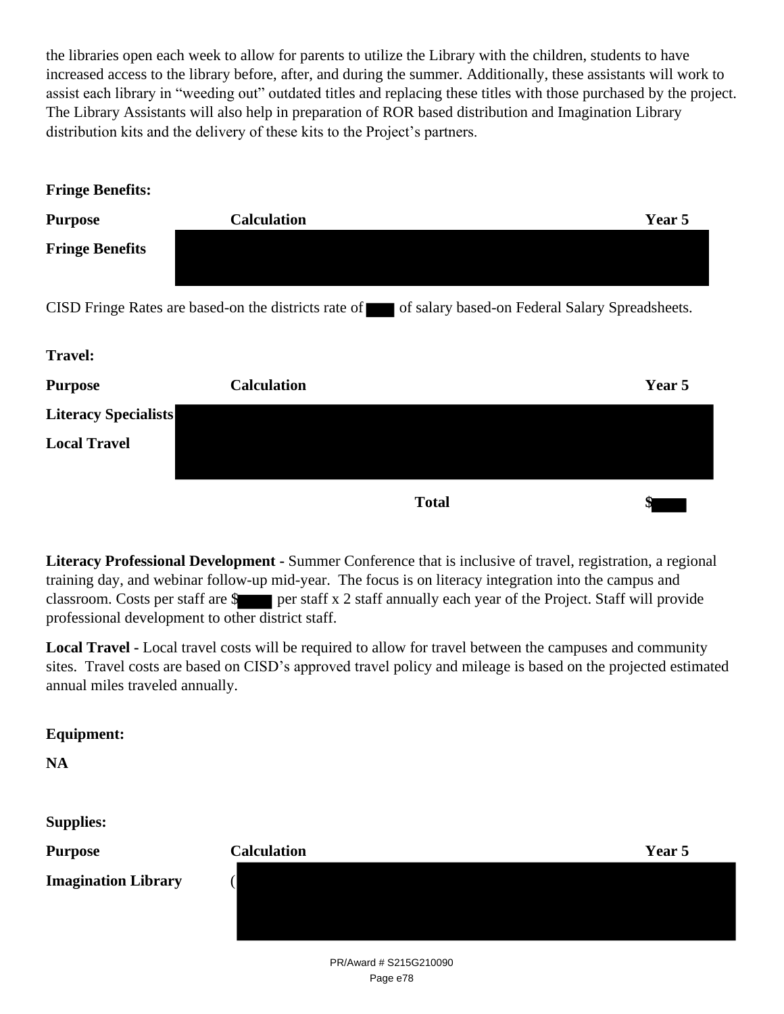the libraries open each week to allow for parents to utilize the Library with the children, students to have increased access to the library before, after, and during the summer. Additionally, these assistants will work to assist each library in "weeding out" outdated titles and replacing these titles with those purchased by the project. The Library Assistants will also help in preparation of ROR based distribution and Imagination Library distribution kits and the delivery of these kits to the Project's partners.

| <b>Fringe Benefits:</b>     |                                                      |                                                 |
|-----------------------------|------------------------------------------------------|-------------------------------------------------|
| <b>Purpose</b>              | <b>Calculation</b>                                   | Year 5                                          |
| <b>Fringe Benefits</b>      |                                                      |                                                 |
|                             | CISD Fringe Rates are based-on the districts rate of | of salary based-on Federal Salary Spreadsheets. |
| <b>Travel:</b>              |                                                      |                                                 |
| <b>Purpose</b>              | <b>Calculation</b>                                   | Year 5                                          |
| <b>Literacy Specialists</b> |                                                      |                                                 |
| <b>Local Travel</b>         |                                                      |                                                 |
|                             |                                                      |                                                 |

**Literacy Professional Development -** Summer Conference that is inclusive of travel, registration, a regional training day, and webinar follow-up mid-year. The focus is on literacy integration into the campus and classroom. Costs per staff are  $\frac{1}{2}$  per staff x 2 staff annually each year of the Project. Staff will provide professional development to other district staff.

**Total \$**

**Local Travel -** Local travel costs will be required to allow for travel between the campuses and community sites. Travel costs are based on CISD's approved travel policy and mileage is based on the projected estimated annual miles traveled annually.

## **Equipment:**

**NA**

**Supplies:**

| <b>Purpose</b>             | <b>Calculation</b> | Year 5 |
|----------------------------|--------------------|--------|
| <b>Imagination Library</b> |                    |        |
|                            |                    |        |
|                            |                    |        |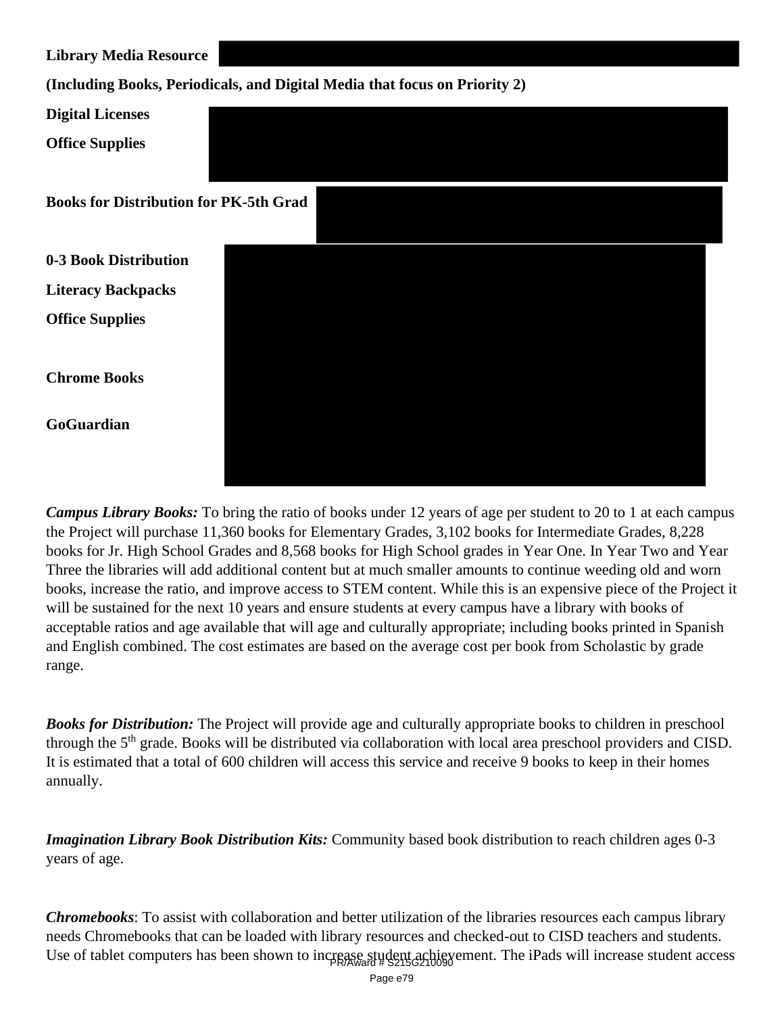**Library Media Resource**

**(Including Books, Periodicals, and Digital Media that focus on Priority 2)** 

| <b>Digital Licenses</b>                       |  |  |  |
|-----------------------------------------------|--|--|--|
| <b>Office Supplies</b>                        |  |  |  |
| <b>Books for Distribution for PK-5th Grad</b> |  |  |  |
| 0-3 Book Distribution                         |  |  |  |
| <b>Literacy Backpacks</b>                     |  |  |  |
| <b>Office Supplies</b>                        |  |  |  |
| <b>Chrome Books</b>                           |  |  |  |
| GoGuardian                                    |  |  |  |
|                                               |  |  |  |

*Campus Library Books:* To bring the ratio of books under 12 years of age per student to 20 to 1 at each campus the Project will purchase 11,360 books for Elementary Grades, 3,102 books for Intermediate Grades, 8,228 books for Jr. High School Grades and 8,568 books for High School grades in Year One. In Year Two and Year Three the libraries will add additional content but at much smaller amounts to continue weeding old and worn books, increase the ratio, and improve access to STEM content. While this is an expensive piece of the Project it will be sustained for the next 10 years and ensure students at every campus have a library with books of acceptable ratios and age available that will age and culturally appropriate; including books printed in Spanish and English combined. The cost estimates are based on the average cost per book from Scholastic by grade range.

*Books for Distribution:* The Project will provide age and culturally appropriate books to children in preschool through the 5<sup>th</sup> grade. Books will be distributed via collaboration with local area preschool providers and CISD. It is estimated that a total of 600 children will access this service and receive 9 books to keep in their homes annually.

*Imagination Library Book Distribution Kits:* Community based book distribution to reach children ages 0-3 years of age.

*Chromebooks*: To assist with collaboration and better utilization of the libraries resources each campus library needs Chromebooks that can be loaded with library resources and checked-out to CISD teachers and students. Use of tablet computers has been shown to increase student achievement. The iPads will increase student access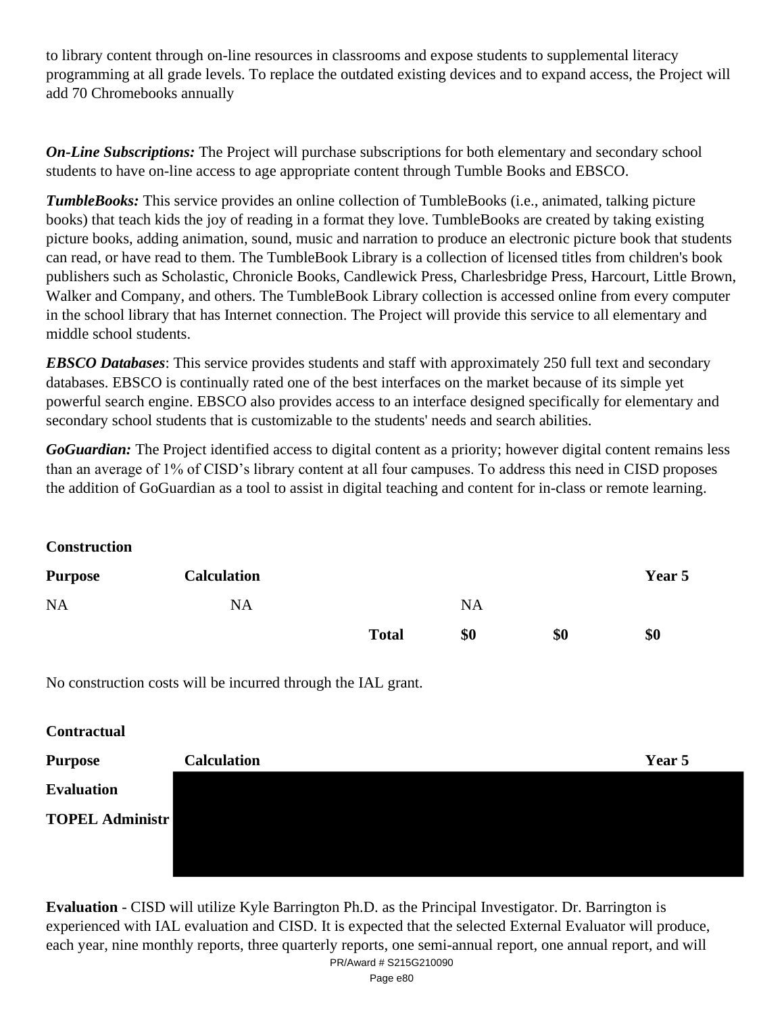to library content through on-line resources in classrooms and expose students to supplemental literacy programming at all grade levels. To replace the outdated existing devices and to expand access, the Project will add 70 Chromebooks annually

*On-Line Subscriptions:* The Project will purchase subscriptions for both elementary and secondary school students to have on-line access to age appropriate content through Tumble Books and EBSCO.

*TumbleBooks:* This service provides an online collection of TumbleBooks (i.e., animated, talking picture books) that teach kids the joy of reading in a format they love. TumbleBooks are created by taking existing picture books, adding animation, sound, music and narration to produce an electronic picture book that students can read, or have read to them. The TumbleBook Library is a collection of licensed titles from children's book publishers such as Scholastic, Chronicle Books, Candlewick Press, Charlesbridge Press, Harcourt, Little Brown, Walker and Company, and others. The TumbleBook Library collection is accessed online from every computer in the school library that has Internet connection. The Project will provide this service to all elementary and middle school students.

*EBSCO Databases*: This service provides students and staff with approximately 250 full text and secondary databases. EBSCO is continually rated one of the best interfaces on the market because of its simple yet powerful search engine. EBSCO also provides access to an interface designed specifically for elementary and secondary school students that is customizable to the students' needs and search abilities.

*GoGuardian:* The Project identified access to digital content as a priority; however digital content remains less than an average of 1% of CISD's library content at all four campuses. To address this need in CISD proposes the addition of GoGuardian as a tool to assist in digital teaching and content for in-class or remote learning.

**Construction**

| <b>Purpose</b> | <b>Calculation</b> |              |           |     | Year 5 |
|----------------|--------------------|--------------|-----------|-----|--------|
| <b>NA</b>      | <b>NA</b>          |              | <b>NA</b> |     |        |
|                |                    | <b>Total</b> | \$0       | \$0 | \$0    |

No construction costs will be incurred through the IAL grant.

**Contractual**

| <b>Purpose</b>         | <b>Calculation</b> | Year 5 |
|------------------------|--------------------|--------|
| <b>Evaluation</b>      |                    |        |
| <b>TOPEL Administr</b> |                    |        |
|                        |                    |        |
|                        |                    |        |

**Evaluation** - CISD will utilize Kyle Barrington Ph.D. as the Principal Investigator. Dr. Barrington is experienced with IAL evaluation and CISD. It is expected that the selected External Evaluator will produce, each year, nine monthly reports, three quarterly reports, one semi-annual report, one annual report, and will PR/Award # S215G210090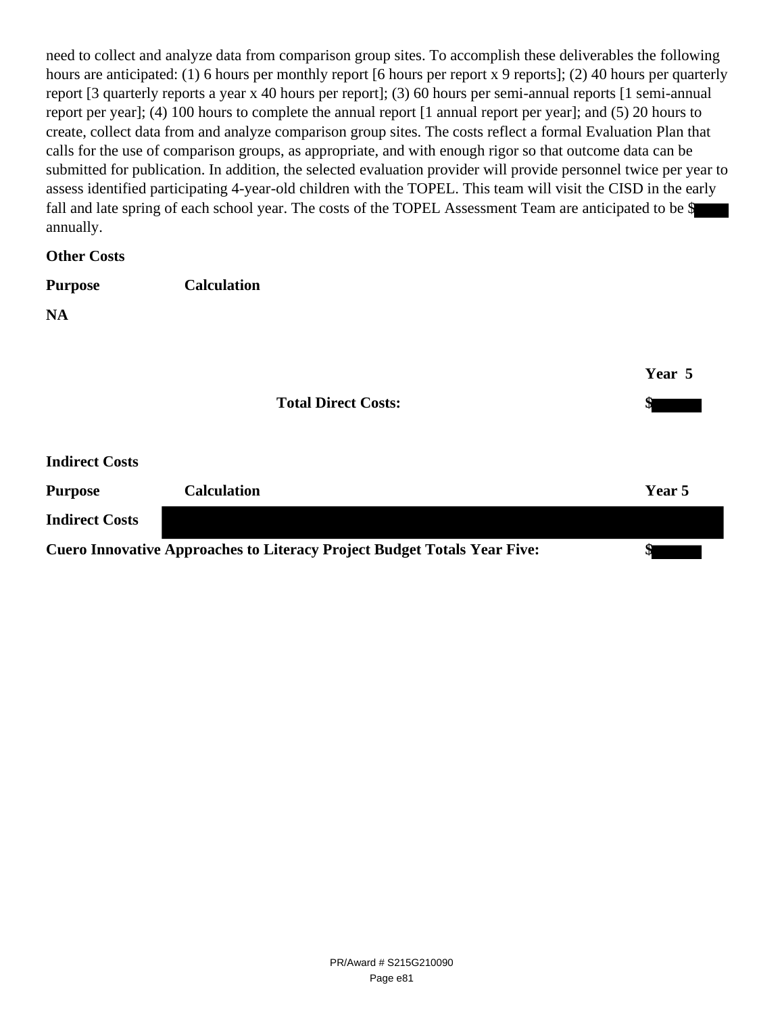need to collect and analyze data from comparison group sites. To accomplish these deliverables the following hours are anticipated: (1) 6 hours per monthly report [6 hours per report x 9 reports]; (2) 40 hours per quarterly report [3 quarterly reports a year x 40 hours per report]; (3) 60 hours per semi-annual reports [1 semi-annual report per year]; (4) 100 hours to complete the annual report [1 annual report per year]; and (5) 20 hours to create, collect data from and analyze comparison group sites. The costs reflect a formal Evaluation Plan that calls for the use of comparison groups, as appropriate, and with enough rigor so that outcome data can be submitted for publication. In addition, the selected evaluation provider will provide personnel twice per year to assess identified participating 4-year-old children with the TOPEL. This team will visit the CISD in the early fall and late spring of each school year. The costs of the TOPEL Assessment Team are anticipated to be \$ annually.

**Other Costs**

| <b>Purpose</b>        | <b>Calculation</b>         |        |
|-----------------------|----------------------------|--------|
| <b>NA</b>             |                            |        |
|                       |                            | Year 5 |
|                       | <b>Total Direct Costs:</b> | \$     |
| <b>Indirect Costs</b> |                            |        |

| <b>Purpose</b>        | <b>Calculation</b> |                                                                                 | Year 5 |
|-----------------------|--------------------|---------------------------------------------------------------------------------|--------|
| <b>Indirect Costs</b> |                    |                                                                                 |        |
|                       |                    | <b>Cuero Innovative Approaches to Literacy Project Budget Totals Year Five:</b> |        |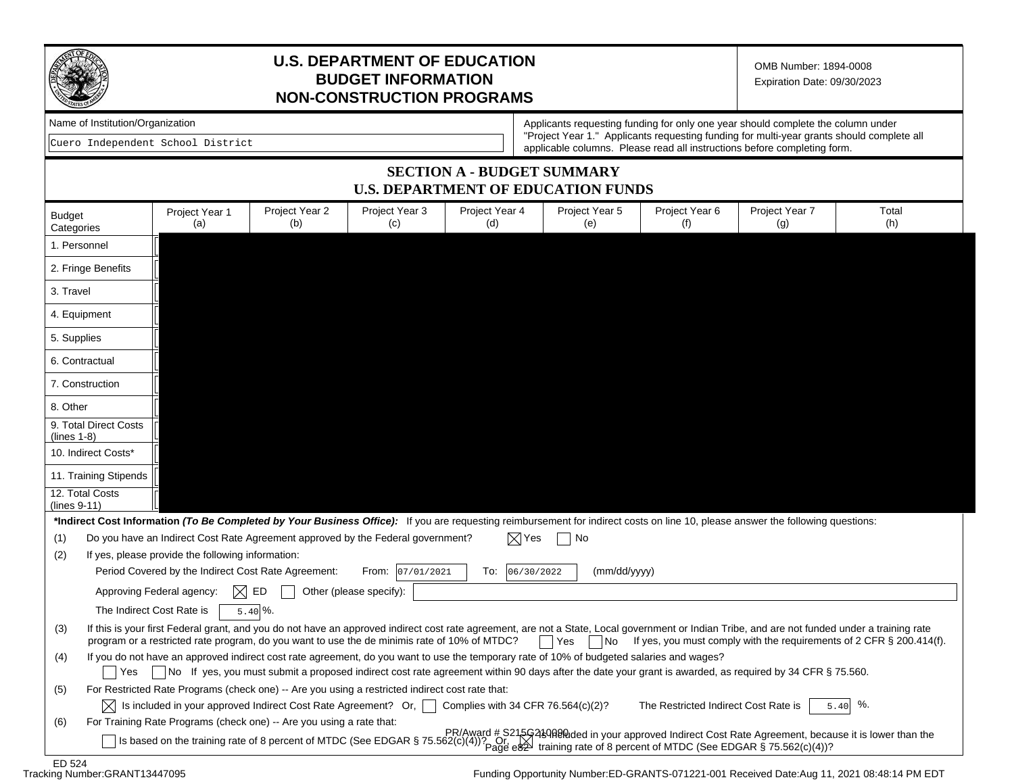

# **U.S. DEPARTMENT OF EDUCATION BUDGET INFORMATION NON-CONSTRUCTION PROGRAMS**

OMB Number: 1894-0008 Expiration Date: 09/30/2023

|  | Name of Institution/Organization |
|--|----------------------------------|
|--|----------------------------------|

Cuero Independent School District

Applicants requesting funding for only one year should complete the column under "Project Year 1." Applicants requesting funding for multi-year grants should complete all applicable columns. Please read all instructions before completing form.

### **SECTION A - BUDGET SUMMARY U.S. DEPARTMENT OF EDUCATION FUNDS**

| <b>Budget</b><br>Categories                                                                                                                      | Project Year 1<br>(a)                                                                                                                                                                        | Project Year 2<br>(b)                                                                        | Project Year 3<br>(C)   | Project Year 4<br>(d) | Project Year 5<br>(e) | Project Year 6<br>(f)                                                                                                                                                                          | Project Year 7<br>(g) | Total<br>(h)                                                                                           |
|--------------------------------------------------------------------------------------------------------------------------------------------------|----------------------------------------------------------------------------------------------------------------------------------------------------------------------------------------------|----------------------------------------------------------------------------------------------|-------------------------|-----------------------|-----------------------|------------------------------------------------------------------------------------------------------------------------------------------------------------------------------------------------|-----------------------|--------------------------------------------------------------------------------------------------------|
| 1. Personnel                                                                                                                                     |                                                                                                                                                                                              |                                                                                              |                         |                       |                       |                                                                                                                                                                                                |                       |                                                                                                        |
| 2. Fringe Benefits                                                                                                                               |                                                                                                                                                                                              |                                                                                              |                         |                       |                       |                                                                                                                                                                                                |                       |                                                                                                        |
| 3. Travel                                                                                                                                        |                                                                                                                                                                                              |                                                                                              |                         |                       |                       |                                                                                                                                                                                                |                       |                                                                                                        |
| 4. Equipment                                                                                                                                     |                                                                                                                                                                                              |                                                                                              |                         |                       |                       |                                                                                                                                                                                                |                       |                                                                                                        |
| 5. Supplies                                                                                                                                      |                                                                                                                                                                                              |                                                                                              |                         |                       |                       |                                                                                                                                                                                                |                       |                                                                                                        |
| 6. Contractual                                                                                                                                   |                                                                                                                                                                                              |                                                                                              |                         |                       |                       |                                                                                                                                                                                                |                       |                                                                                                        |
| 7. Construction                                                                                                                                  |                                                                                                                                                                                              |                                                                                              |                         |                       |                       |                                                                                                                                                                                                |                       |                                                                                                        |
| 8. Other                                                                                                                                         |                                                                                                                                                                                              |                                                                                              |                         |                       |                       |                                                                                                                                                                                                |                       |                                                                                                        |
| 9. Total Direct Costs<br>$(lines 1-8)$                                                                                                           |                                                                                                                                                                                              |                                                                                              |                         |                       |                       |                                                                                                                                                                                                |                       |                                                                                                        |
| 10. Indirect Costs*                                                                                                                              |                                                                                                                                                                                              |                                                                                              |                         |                       |                       |                                                                                                                                                                                                |                       |                                                                                                        |
| 11. Training Stipends                                                                                                                            |                                                                                                                                                                                              |                                                                                              |                         |                       |                       |                                                                                                                                                                                                |                       |                                                                                                        |
| 12. Total Costs<br>(lines 9-11)                                                                                                                  |                                                                                                                                                                                              |                                                                                              |                         |                       |                       |                                                                                                                                                                                                |                       |                                                                                                        |
|                                                                                                                                                  |                                                                                                                                                                                              |                                                                                              |                         |                       |                       | *Indirect Cost Information (To Be Completed by Your Business Office): If you are requesting reimbursement for indirect costs on line 10, please answer the following questions:                |                       |                                                                                                        |
| (1)                                                                                                                                              | Do you have an Indirect Cost Rate Agreement approved by the Federal government?<br>$\boxtimes$ Yes<br>No                                                                                     |                                                                                              |                         |                       |                       |                                                                                                                                                                                                |                       |                                                                                                        |
| (2)                                                                                                                                              | If yes, please provide the following information:                                                                                                                                            |                                                                                              |                         |                       |                       |                                                                                                                                                                                                |                       |                                                                                                        |
|                                                                                                                                                  | Period Covered by the Indirect Cost Rate Agreement:                                                                                                                                          |                                                                                              | From: 07/01/2021        | 06/30/2022<br>To:     | (mm/dd/yyyy)          |                                                                                                                                                                                                |                       |                                                                                                        |
|                                                                                                                                                  | Approving Federal agency:                                                                                                                                                                    | ED                                                                                           | Other (please specify): |                       |                       |                                                                                                                                                                                                |                       |                                                                                                        |
|                                                                                                                                                  | The Indirect Cost Rate is                                                                                                                                                                    | $5.40\%$ .                                                                                   |                         |                       |                       |                                                                                                                                                                                                |                       |                                                                                                        |
| (3)                                                                                                                                              |                                                                                                                                                                                              | program or a restricted rate program, do you want to use the de minimis rate of 10% of MTDC? |                         |                       | Yes<br>  No           | If this is your first Federal grant, and you do not have an approved indirect cost rate agreement, are not a State, Local government or Indian Tribe, and are not funded under a training rate |                       | If yes, you must comply with the requirements of 2 CFR § 200.414(f).                                   |
| If you do not have an approved indirect cost rate agreement, do you want to use the temporary rate of 10% of budgeted salaries and wages?<br>(4) |                                                                                                                                                                                              |                                                                                              |                         |                       |                       |                                                                                                                                                                                                |                       |                                                                                                        |
| Yes                                                                                                                                              | No If yes, you must submit a proposed indirect cost rate agreement within 90 days after the date your grant is awarded, as required by 34 CFR § 75.560.                                      |                                                                                              |                         |                       |                       |                                                                                                                                                                                                |                       |                                                                                                        |
| (5)                                                                                                                                              | For Restricted Rate Programs (check one) -- Are you using a restricted indirect cost rate that:                                                                                              |                                                                                              |                         |                       |                       |                                                                                                                                                                                                |                       |                                                                                                        |
|                                                                                                                                                  | %.<br>Complies with 34 CFR 76.564(c)(2)?<br>$\vert\chi\vert$ Is included in your approved Indirect Cost Rate Agreement? Or, $\vert\;\;\vert$<br>The Restricted Indirect Cost Rate is<br>5.40 |                                                                                              |                         |                       |                       |                                                                                                                                                                                                |                       |                                                                                                        |
| (6)                                                                                                                                              |                                                                                                                                                                                              | For Training Rate Programs (check one) -- Are you using a rate that:                         |                         |                       |                       |                                                                                                                                                                                                |                       |                                                                                                        |
|                                                                                                                                                  |                                                                                                                                                                                              |                                                                                              |                         |                       |                       | Is based on the training rate of 8 percent of MTDC (See EDGAR § 75.562(c)(4))? $\overrightarrow{Pr}$ training rate of 8 percent of MTDC (See EDGAR § 75.562(c)(4))?                            |                       | $PR/Award # S215G489R8Red$ in your approved Indirect Cost Rate Agreement, because it is lower than the |
| ED 524                                                                                                                                           |                                                                                                                                                                                              |                                                                                              |                         |                       |                       |                                                                                                                                                                                                |                       |                                                                                                        |

Tracking Number: GRANT13447095

Funding Opportunity Number:ED-GRANTS-071221-001 Received Date:Aug 11, 2021 08:48:14 PM EDT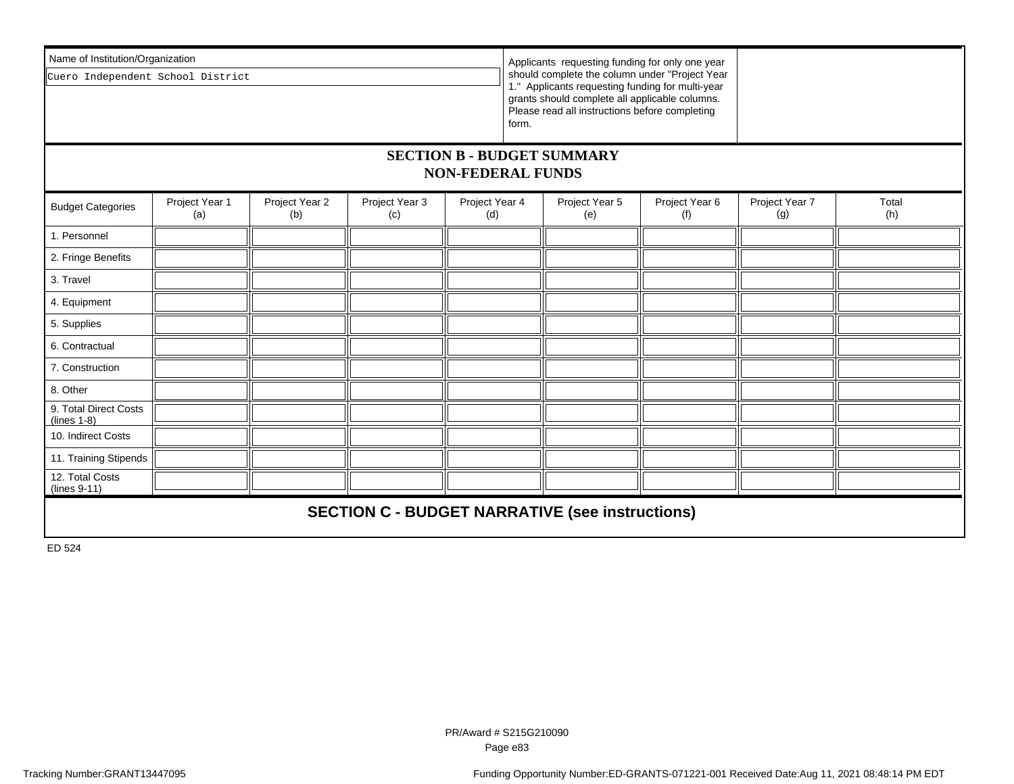| Name of Institution/Organization                              |                       |                       |                       |                                                                                                                                                                                                                                                                    |  |                       |                       |                       |              |
|---------------------------------------------------------------|-----------------------|-----------------------|-----------------------|--------------------------------------------------------------------------------------------------------------------------------------------------------------------------------------------------------------------------------------------------------------------|--|-----------------------|-----------------------|-----------------------|--------------|
| Cuero Independent School District                             |                       |                       |                       | Applicants requesting funding for only one year<br>should complete the column under "Project Year<br>1." Applicants requesting funding for multi-year<br>grants should complete all applicable columns.<br>Please read all instructions before completing<br>form. |  |                       |                       |                       |              |
| <b>SECTION B - BUDGET SUMMARY</b><br><b>NON-FEDERAL FUNDS</b> |                       |                       |                       |                                                                                                                                                                                                                                                                    |  |                       |                       |                       |              |
| <b>Budget Categories</b>                                      | Project Year 1<br>(a) | Project Year 2<br>(b) | Project Year 3<br>(c) | Project Year 4<br>(d)                                                                                                                                                                                                                                              |  | Project Year 5<br>(e) | Project Year 6<br>(f) | Project Year 7<br>(g) | Total<br>(h) |
| 1. Personnel                                                  |                       |                       |                       |                                                                                                                                                                                                                                                                    |  |                       |                       |                       |              |
| 2. Fringe Benefits                                            |                       |                       |                       |                                                                                                                                                                                                                                                                    |  |                       |                       |                       |              |
| 3. Travel                                                     |                       |                       |                       |                                                                                                                                                                                                                                                                    |  |                       |                       |                       |              |
| 4. Equipment                                                  |                       |                       |                       |                                                                                                                                                                                                                                                                    |  |                       |                       |                       |              |
| 5. Supplies                                                   |                       |                       |                       |                                                                                                                                                                                                                                                                    |  |                       |                       |                       |              |
| 6. Contractual                                                |                       |                       |                       |                                                                                                                                                                                                                                                                    |  |                       |                       |                       |              |
| 7. Construction                                               |                       |                       |                       |                                                                                                                                                                                                                                                                    |  |                       |                       |                       |              |
| 8. Other                                                      |                       |                       |                       |                                                                                                                                                                                                                                                                    |  |                       |                       |                       |              |
| 9. Total Direct Costs<br>$(lines 1-8)$                        |                       |                       |                       |                                                                                                                                                                                                                                                                    |  |                       |                       |                       |              |
| 10. Indirect Costs                                            |                       |                       |                       |                                                                                                                                                                                                                                                                    |  |                       |                       |                       |              |
| 11. Training Stipends                                         |                       |                       |                       |                                                                                                                                                                                                                                                                    |  |                       |                       |                       |              |
| 12. Total Costs<br>(lines 9-11)                               |                       |                       |                       |                                                                                                                                                                                                                                                                    |  |                       |                       |                       |              |
| <b>SECTION C - BUDGET NARRATIVE (see instructions)</b>        |                       |                       |                       |                                                                                                                                                                                                                                                                    |  |                       |                       |                       |              |

ED 524